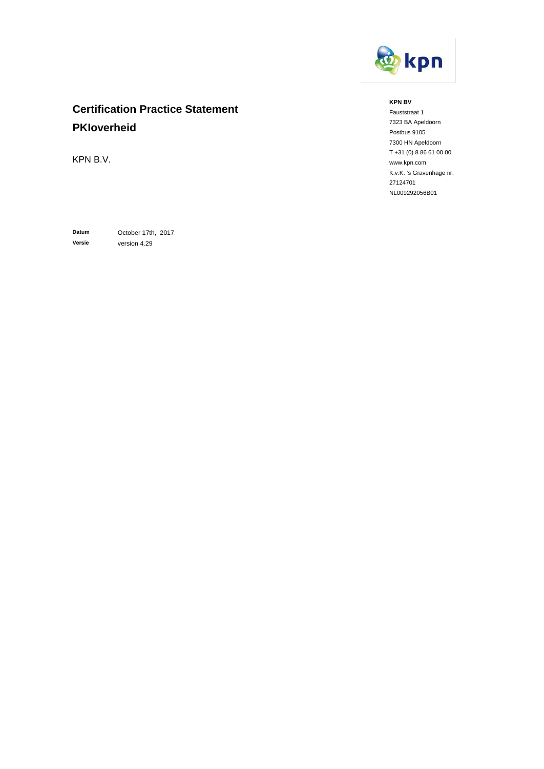

# **Certification Practice Statement PKIoverheid**

KPN B.V.

**Datum** October 17th, 2017 **Versie** version 4.29

#### **KPN BV**

Fauststraat 1 7323 BA Apeldoorn Postbus 9105 7300 HN Apeldoorn T +31 (0) 8 86 61 00 00 www.kpn.com K.v.K. 's Gravenhage nr. 27124701 NL009292056B01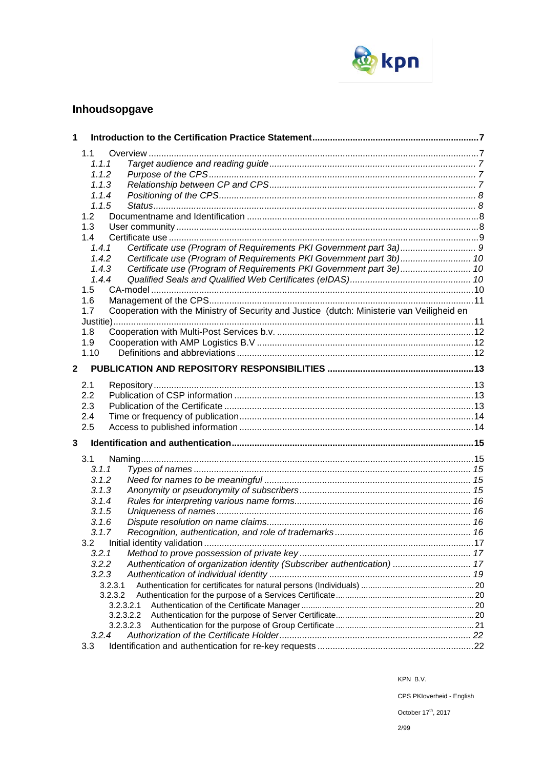

# **Inhoudsopgave**

| 1           |                                                                                                   |  |
|-------------|---------------------------------------------------------------------------------------------------|--|
|             | 1.1                                                                                               |  |
|             | 1.1.1                                                                                             |  |
|             | 1.1.2                                                                                             |  |
|             | 1.1.3                                                                                             |  |
|             | 1.1.4                                                                                             |  |
|             | 1.1.5                                                                                             |  |
|             | 1.2                                                                                               |  |
|             | 1.3                                                                                               |  |
|             | 1.4                                                                                               |  |
|             | 1.4.1                                                                                             |  |
|             | Certificate use (Program of Requirements PKI Government part 3b) 10<br>1.4.2                      |  |
|             | Certificate use (Program of Requirements PKI Government part 3e) 10<br>1.4.3                      |  |
|             | 1.4.4                                                                                             |  |
|             | 1.5                                                                                               |  |
|             | 1.6                                                                                               |  |
|             | Cooperation with the Ministry of Security and Justice (dutch: Ministerie van Veiligheid en<br>1.7 |  |
|             | 1.8                                                                                               |  |
|             | 1.9                                                                                               |  |
|             | 1.10                                                                                              |  |
|             |                                                                                                   |  |
| $\mathbf 2$ |                                                                                                   |  |
|             | 2.1                                                                                               |  |
|             | 2.2                                                                                               |  |
|             | 2.3                                                                                               |  |
|             | 2.4                                                                                               |  |
|             | 2.5                                                                                               |  |
| 3           |                                                                                                   |  |
|             | 3.1                                                                                               |  |
|             | 3.1.1                                                                                             |  |
|             | 3.1.2                                                                                             |  |
|             | 3.1.3                                                                                             |  |
|             | 3.1.4                                                                                             |  |
|             | 3.1.5                                                                                             |  |
|             | 3.1.6                                                                                             |  |
|             | 3.1.7                                                                                             |  |
|             | 3.2                                                                                               |  |
|             | 3.2.1                                                                                             |  |
|             | Authentication of organization identity (Subscriber authentication)  17<br>3.2.2                  |  |
|             | 3.2.3                                                                                             |  |
|             | 3.2.3.1                                                                                           |  |
|             | 3.2.3.2                                                                                           |  |
|             | 3.2.3.2.1                                                                                         |  |
|             | 3.2.3.2.2                                                                                         |  |
|             | 3.2.3.2.3                                                                                         |  |
|             | 3.2.4                                                                                             |  |
|             | 3.3                                                                                               |  |

KPN B.V.

CPS PKIoverheid - English

October 17<sup>th</sup>, 2017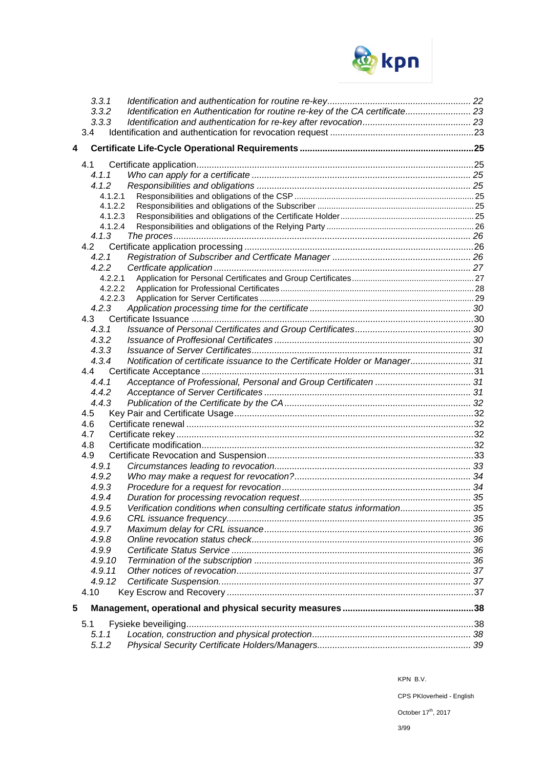

|   | 3.3.1   |                                                                              |  |
|---|---------|------------------------------------------------------------------------------|--|
|   | 3.3.2   | Identification en Authentication for routine re-key of the CA certificate 23 |  |
|   | 3.3.3   |                                                                              |  |
|   | 3.4     |                                                                              |  |
|   |         |                                                                              |  |
| 4 |         |                                                                              |  |
|   |         |                                                                              |  |
|   | 4.1.1   |                                                                              |  |
|   | 4.1.2   |                                                                              |  |
|   | 4.1.2.1 |                                                                              |  |
|   | 4.1.2.2 |                                                                              |  |
|   | 4.1.2.3 |                                                                              |  |
|   | 4.1.2.4 |                                                                              |  |
|   | 4.1.3   |                                                                              |  |
|   | 4.2     |                                                                              |  |
|   | 4.2.1   |                                                                              |  |
|   | 4.2.2   |                                                                              |  |
|   | 4.2.2.1 |                                                                              |  |
|   | 4.2.2.2 |                                                                              |  |
|   | 4.2.2.3 |                                                                              |  |
|   | 4.2.3   |                                                                              |  |
|   |         |                                                                              |  |
|   | 4.3.1   |                                                                              |  |
|   | 4.3.2   |                                                                              |  |
|   | 4.3.3   |                                                                              |  |
|   | 4.3.4   | Notification of certificate issuance to the Certificate Holder or Manager 31 |  |
|   | 4.4     |                                                                              |  |
|   | 4.4.1   |                                                                              |  |
|   | 4.4.2   |                                                                              |  |
|   | 4.4.3   |                                                                              |  |
|   | 4.5     |                                                                              |  |
|   | 4.6     |                                                                              |  |
|   | 4.7     |                                                                              |  |
|   | 4.8     |                                                                              |  |
|   | 4.9     |                                                                              |  |
|   | 4.9.1   |                                                                              |  |
|   | 4.9.2   |                                                                              |  |
|   | 4.9.3   |                                                                              |  |
|   | 4.9.4   |                                                                              |  |
|   | 4.9.5   | Verification conditions when consulting certificate status information 35    |  |
|   | 4.9.6   |                                                                              |  |
|   | 4.9.7   |                                                                              |  |
|   | 4.9.8   |                                                                              |  |
|   | 4.9.9   |                                                                              |  |
|   | 4.9.10  |                                                                              |  |
|   | 4.9.11  |                                                                              |  |
|   | 4.9.12  |                                                                              |  |
|   | 4.10    |                                                                              |  |
| 5 |         |                                                                              |  |
|   | 5.1     |                                                                              |  |
|   | 5.1.1   |                                                                              |  |
|   | 5.1.2   |                                                                              |  |
|   |         |                                                                              |  |

CPS PKIoverheid - English

October  $17^{\text{th}}$ , 2017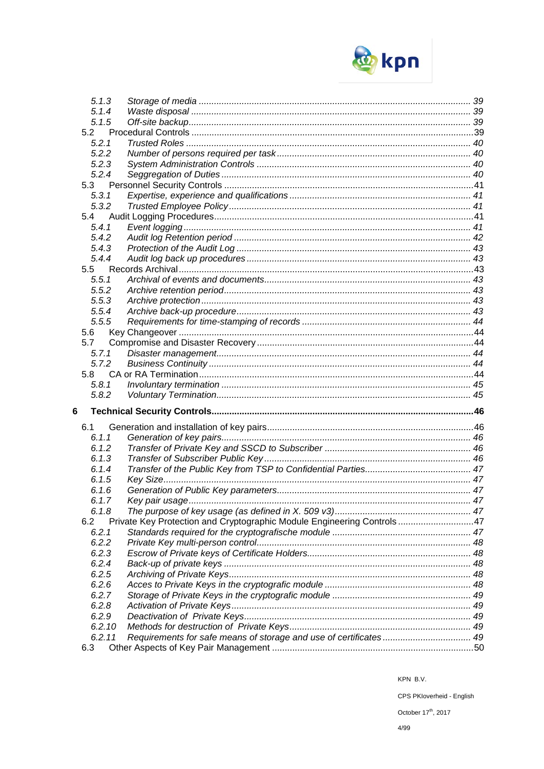

| 5.1.4<br>5.1.5<br>5.2<br>5.2.1<br>5.2.2<br>5.2.3<br>5.2.4<br>5.3<br>5.3.1<br>5.3.2<br>5.4<br>5.4.1<br>5.4.2<br>5.4.3<br>5.4.4<br>5.5<br>5.5.1<br>5.5.2<br>5.5.3<br>5.5.4<br>5.5.5<br>5.6<br>5.7<br>5.7.1<br>5.7.2<br>5.8<br>5.8.1<br>5.8.2<br>6<br>6.1<br>6.1.1<br>6.1.2<br>6.1.3<br>6.1.4<br>6.1.5<br>6.1.6<br>6.1.7<br>6.1.8<br>Private Key Protection and Cryptographic Module Engineering Controls47<br>6.2<br>6.2.1<br>6.2.2<br>6.2.3<br>6.2.4<br>6.2.5<br>6.2.6<br>6.2.7<br>6.2.8<br>6.2.9<br>6.2.10<br>Requirements for safe means of storage and use of certificates 49<br>6.2.11<br>6.3 | 5.1.3 |  |
|--------------------------------------------------------------------------------------------------------------------------------------------------------------------------------------------------------------------------------------------------------------------------------------------------------------------------------------------------------------------------------------------------------------------------------------------------------------------------------------------------------------------------------------------------------------------------------------------------|-------|--|
|                                                                                                                                                                                                                                                                                                                                                                                                                                                                                                                                                                                                  |       |  |
|                                                                                                                                                                                                                                                                                                                                                                                                                                                                                                                                                                                                  |       |  |
|                                                                                                                                                                                                                                                                                                                                                                                                                                                                                                                                                                                                  |       |  |
|                                                                                                                                                                                                                                                                                                                                                                                                                                                                                                                                                                                                  |       |  |
|                                                                                                                                                                                                                                                                                                                                                                                                                                                                                                                                                                                                  |       |  |
|                                                                                                                                                                                                                                                                                                                                                                                                                                                                                                                                                                                                  |       |  |
|                                                                                                                                                                                                                                                                                                                                                                                                                                                                                                                                                                                                  |       |  |
|                                                                                                                                                                                                                                                                                                                                                                                                                                                                                                                                                                                                  |       |  |
|                                                                                                                                                                                                                                                                                                                                                                                                                                                                                                                                                                                                  |       |  |
|                                                                                                                                                                                                                                                                                                                                                                                                                                                                                                                                                                                                  |       |  |
|                                                                                                                                                                                                                                                                                                                                                                                                                                                                                                                                                                                                  |       |  |
|                                                                                                                                                                                                                                                                                                                                                                                                                                                                                                                                                                                                  |       |  |
|                                                                                                                                                                                                                                                                                                                                                                                                                                                                                                                                                                                                  |       |  |
|                                                                                                                                                                                                                                                                                                                                                                                                                                                                                                                                                                                                  |       |  |
|                                                                                                                                                                                                                                                                                                                                                                                                                                                                                                                                                                                                  |       |  |
|                                                                                                                                                                                                                                                                                                                                                                                                                                                                                                                                                                                                  |       |  |
|                                                                                                                                                                                                                                                                                                                                                                                                                                                                                                                                                                                                  |       |  |
|                                                                                                                                                                                                                                                                                                                                                                                                                                                                                                                                                                                                  |       |  |
|                                                                                                                                                                                                                                                                                                                                                                                                                                                                                                                                                                                                  |       |  |
|                                                                                                                                                                                                                                                                                                                                                                                                                                                                                                                                                                                                  |       |  |
|                                                                                                                                                                                                                                                                                                                                                                                                                                                                                                                                                                                                  |       |  |
|                                                                                                                                                                                                                                                                                                                                                                                                                                                                                                                                                                                                  |       |  |
|                                                                                                                                                                                                                                                                                                                                                                                                                                                                                                                                                                                                  |       |  |
|                                                                                                                                                                                                                                                                                                                                                                                                                                                                                                                                                                                                  |       |  |
|                                                                                                                                                                                                                                                                                                                                                                                                                                                                                                                                                                                                  |       |  |
|                                                                                                                                                                                                                                                                                                                                                                                                                                                                                                                                                                                                  |       |  |
|                                                                                                                                                                                                                                                                                                                                                                                                                                                                                                                                                                                                  |       |  |
|                                                                                                                                                                                                                                                                                                                                                                                                                                                                                                                                                                                                  |       |  |
|                                                                                                                                                                                                                                                                                                                                                                                                                                                                                                                                                                                                  |       |  |
|                                                                                                                                                                                                                                                                                                                                                                                                                                                                                                                                                                                                  |       |  |
|                                                                                                                                                                                                                                                                                                                                                                                                                                                                                                                                                                                                  |       |  |
|                                                                                                                                                                                                                                                                                                                                                                                                                                                                                                                                                                                                  |       |  |
|                                                                                                                                                                                                                                                                                                                                                                                                                                                                                                                                                                                                  |       |  |
|                                                                                                                                                                                                                                                                                                                                                                                                                                                                                                                                                                                                  |       |  |
|                                                                                                                                                                                                                                                                                                                                                                                                                                                                                                                                                                                                  |       |  |
|                                                                                                                                                                                                                                                                                                                                                                                                                                                                                                                                                                                                  |       |  |
|                                                                                                                                                                                                                                                                                                                                                                                                                                                                                                                                                                                                  |       |  |
|                                                                                                                                                                                                                                                                                                                                                                                                                                                                                                                                                                                                  |       |  |
|                                                                                                                                                                                                                                                                                                                                                                                                                                                                                                                                                                                                  |       |  |
|                                                                                                                                                                                                                                                                                                                                                                                                                                                                                                                                                                                                  |       |  |
|                                                                                                                                                                                                                                                                                                                                                                                                                                                                                                                                                                                                  |       |  |
|                                                                                                                                                                                                                                                                                                                                                                                                                                                                                                                                                                                                  |       |  |
|                                                                                                                                                                                                                                                                                                                                                                                                                                                                                                                                                                                                  |       |  |
|                                                                                                                                                                                                                                                                                                                                                                                                                                                                                                                                                                                                  |       |  |
|                                                                                                                                                                                                                                                                                                                                                                                                                                                                                                                                                                                                  |       |  |
|                                                                                                                                                                                                                                                                                                                                                                                                                                                                                                                                                                                                  |       |  |
|                                                                                                                                                                                                                                                                                                                                                                                                                                                                                                                                                                                                  |       |  |
|                                                                                                                                                                                                                                                                                                                                                                                                                                                                                                                                                                                                  |       |  |
|                                                                                                                                                                                                                                                                                                                                                                                                                                                                                                                                                                                                  |       |  |
|                                                                                                                                                                                                                                                                                                                                                                                                                                                                                                                                                                                                  |       |  |
|                                                                                                                                                                                                                                                                                                                                                                                                                                                                                                                                                                                                  |       |  |

CPS PKloverheid - English

October 17<sup>th</sup>, 2017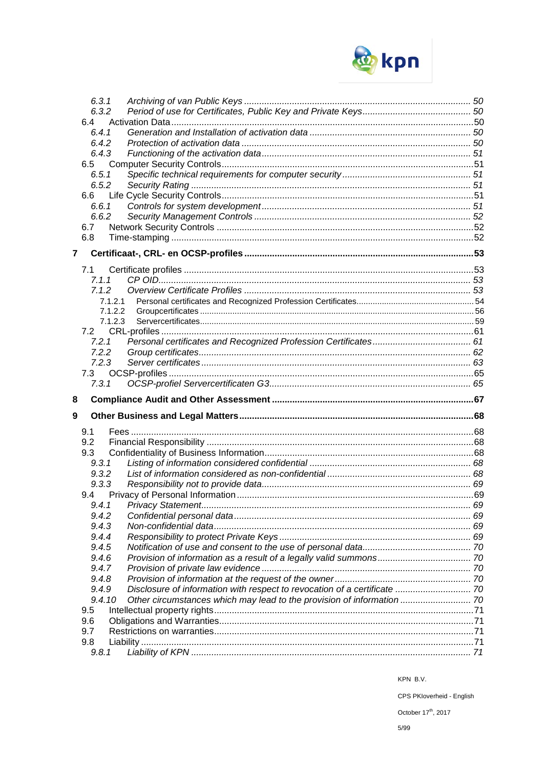

|   | 6.3.1        |                                                                           |  |
|---|--------------|---------------------------------------------------------------------------|--|
|   | 6.3.2        |                                                                           |  |
|   | 6.4          |                                                                           |  |
|   | 6.4.1        |                                                                           |  |
|   | 6.4.2        |                                                                           |  |
|   | 6.4.3        |                                                                           |  |
|   | 6.5          |                                                                           |  |
|   | 6.5.1        |                                                                           |  |
|   | 6.5.2        |                                                                           |  |
|   | 6.6          |                                                                           |  |
|   | 6.6.1        |                                                                           |  |
|   | 6.6.2        |                                                                           |  |
|   | 6.7          |                                                                           |  |
|   | 6.8          |                                                                           |  |
| 7 |              |                                                                           |  |
|   | 7.1          |                                                                           |  |
|   | 7.1.1        |                                                                           |  |
|   | 7.1.2        |                                                                           |  |
|   | 7.1.2.1      |                                                                           |  |
|   | 7.1.2.2      |                                                                           |  |
|   | 7.1.2.3      |                                                                           |  |
|   | 7.2          |                                                                           |  |
|   | 7.2.1        |                                                                           |  |
|   | 7.2.2        |                                                                           |  |
|   | 7.2.3        |                                                                           |  |
|   | 7.3          |                                                                           |  |
|   | 7.3.1        |                                                                           |  |
| 8 |              |                                                                           |  |
|   |              |                                                                           |  |
|   |              |                                                                           |  |
| 9 |              |                                                                           |  |
|   | 9.1          |                                                                           |  |
|   | 9.2          |                                                                           |  |
|   | 9.3          |                                                                           |  |
|   | 9.3.1        |                                                                           |  |
|   | 9.3.2        |                                                                           |  |
|   | 9.3.3        |                                                                           |  |
|   | 9.4          |                                                                           |  |
|   |              |                                                                           |  |
|   | 9.4.2        |                                                                           |  |
|   | 9.4.3        |                                                                           |  |
|   | 9.4.4        |                                                                           |  |
|   | 9.4.5        |                                                                           |  |
|   | 9.4.6        |                                                                           |  |
|   | 9.4.7        |                                                                           |  |
|   | 9.4.8        |                                                                           |  |
|   | 9.4.9        | Disclosure of information with respect to revocation of a certificate  70 |  |
|   | 9.4.10       | Other circumstances which may lead to the provision of information  70    |  |
|   | 9.5          |                                                                           |  |
|   | 9.6          |                                                                           |  |
|   | 9.7          |                                                                           |  |
|   | 9.8<br>9.8.1 |                                                                           |  |

KPN B.V.

CPS PKloverheid - English

October 17<sup>th</sup>, 2017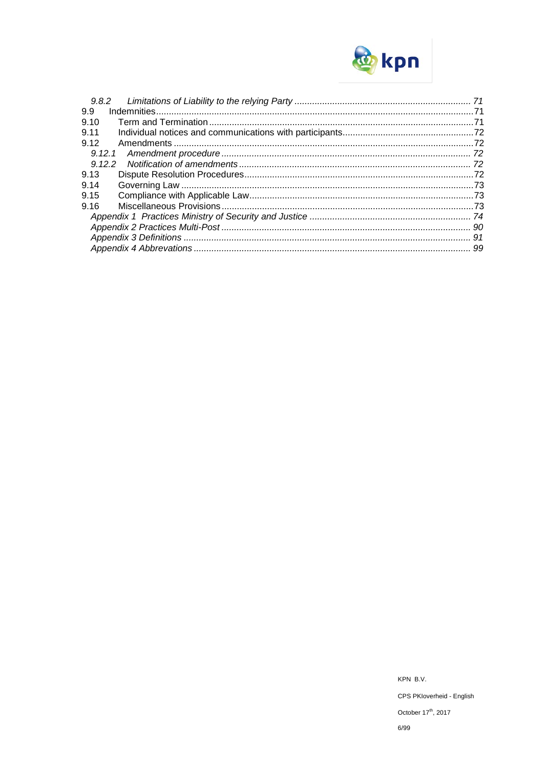

| 9.8.2  |  |
|--------|--|
| 9.9    |  |
| 9.10   |  |
| 9.11   |  |
| 9.12   |  |
| 9.12.1 |  |
| 9.12.2 |  |
| 9.13   |  |
| 9.14   |  |
| 9.15   |  |
| 9.16   |  |
|        |  |
|        |  |
|        |  |
|        |  |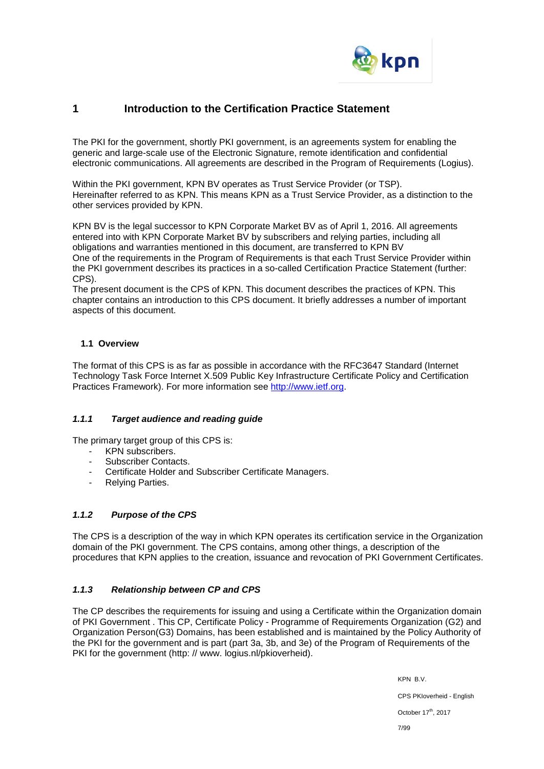

## **1 Introduction to the Certification Practice Statement**

The PKI for the government, shortly PKI government, is an agreements system for enabling the generic and large-scale use of the Electronic Signature, remote identification and confidential electronic communications. All agreements are described in the Program of Requirements (Logius).

Within the PKI government, KPN BV operates as Trust Service Provider (or TSP). Hereinafter referred to as KPN. This means KPN as a Trust Service Provider, as a distinction to the other services provided by KPN.

KPN BV is the legal successor to KPN Corporate Market BV as of April 1, 2016. All agreements entered into with KPN Corporate Market BV by subscribers and relying parties, including all obligations and warranties mentioned in this document, are transferred to KPN BV One of the requirements in the Program of Requirements is that each Trust Service Provider within the PKI government describes its practices in a so-called Certification Practice Statement (further: CPS).

The present document is the CPS of KPN. This document describes the practices of KPN. This chapter contains an introduction to this CPS document. It briefly addresses a number of important aspects of this document.

### **1.1 Overview**

The format of this CPS is as far as possible in accordance with the RFC3647 Standard (Internet Technology Task Force Internet X.509 Public Key Infrastructure Certificate Policy and Certification Practices Framework). For more information see [http://www.ietf.org.](http://www.ietf.org/)

### *1.1.1 Target audience and reading guide*

The primary target group of this CPS is:

- KPN subscribers.
- Subscriber Contacts.
- Certificate Holder and Subscriber Certificate Managers.
- Relying Parties.

### *1.1.2 Purpose of the CPS*

The CPS is a description of the way in which KPN operates its certification service in the Organization domain of the PKI government. The CPS contains, among other things, a description of the procedures that KPN applies to the creation, issuance and revocation of PKI Government Certificates.

### *1.1.3 Relationship between CP and CPS*

The CP describes the requirements for issuing and using a Certificate within the Organization domain of PKI Government . This CP, Certificate Policy - Programme of Requirements Organization (G2) and Organization Person(G3) Domains, has been established and is maintained by the Policy Authority of the PKI for the government and is part (part 3a, 3b, and 3e) of the Program of Requirements of the PKI for the government (http: // www. logius.nl/pkioverheid).

> KPN B.V. CPS PKIoverheid - English October 17<sup>th</sup>, 2017 7/99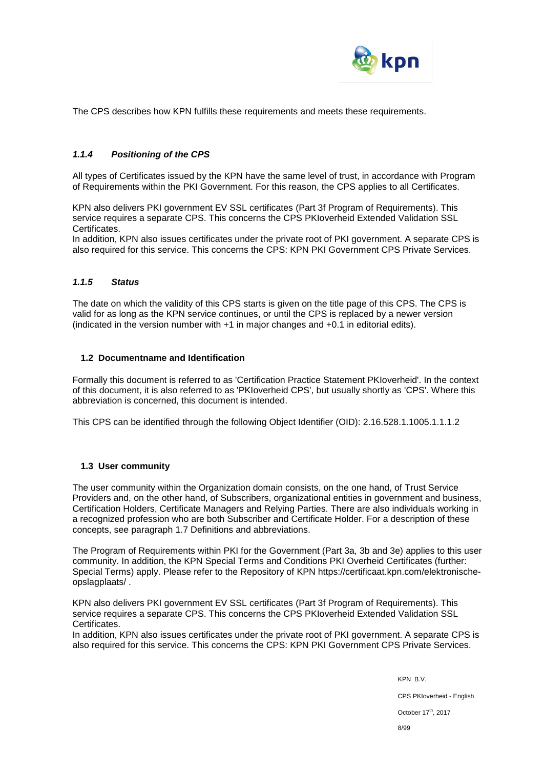

The CPS describes how KPN fulfills these requirements and meets these requirements.

### *1.1.4 Positioning of the CPS*

All types of Certificates issued by the KPN have the same level of trust, in accordance with Program of Requirements within the PKI Government. For this reason, the CPS applies to all Certificates.

KPN also delivers PKI government EV SSL certificates (Part 3f Program of Requirements). This service requires a separate CPS. This concerns the CPS PKIoverheid Extended Validation SSL Certificates.

In addition, KPN also issues certificates under the private root of PKI government. A separate CPS is also required for this service. This concerns the CPS: KPN PKI Government CPS Private Services.

### *1.1.5 Status*

The date on which the validity of this CPS starts is given on the title page of this CPS. The CPS is valid for as long as the KPN service continues, or until the CPS is replaced by a newer version (indicated in the version number with +1 in major changes and +0.1 in editorial edits).

#### **1.2 Documentname and Identification**

Formally this document is referred to as 'Certification Practice Statement PKIoverheid'. In the context of this document, it is also referred to as 'PKIoverheid CPS', but usually shortly as 'CPS'. Where this abbreviation is concerned, this document is intended.

This CPS can be identified through the following Object Identifier (OID): 2.16.528.1.1005.1.1.1.2

#### **1.3 User community**

The user community within the Organization domain consists, on the one hand, of Trust Service Providers and, on the other hand, of Subscribers, organizational entities in government and business, Certification Holders, Certificate Managers and Relying Parties. There are also individuals working in a recognized profession who are both Subscriber and Certificate Holder. For a description of these concepts, see paragraph 1.7 Definitions and abbreviations.

The Program of Requirements within PKI for the Government (Part 3a, 3b and 3e) applies to this user community. In addition, the KPN Special Terms and Conditions PKI Overheid Certificates (further: Special Terms) apply. Please refer to the Repository of KPN https://certificaat.kpn.com/elektronischeopslagplaats/ .

KPN also delivers PKI government EV SSL certificates (Part 3f Program of Requirements). This service requires a separate CPS. This concerns the CPS PKIoverheid Extended Validation SSL Certificates.

In addition, KPN also issues certificates under the private root of PKI government. A separate CPS is also required for this service. This concerns the CPS: KPN PKI Government CPS Private Services.

> KPN B.V. CPS PKIoverheid - English October 17<sup>th</sup>, 2017 8/99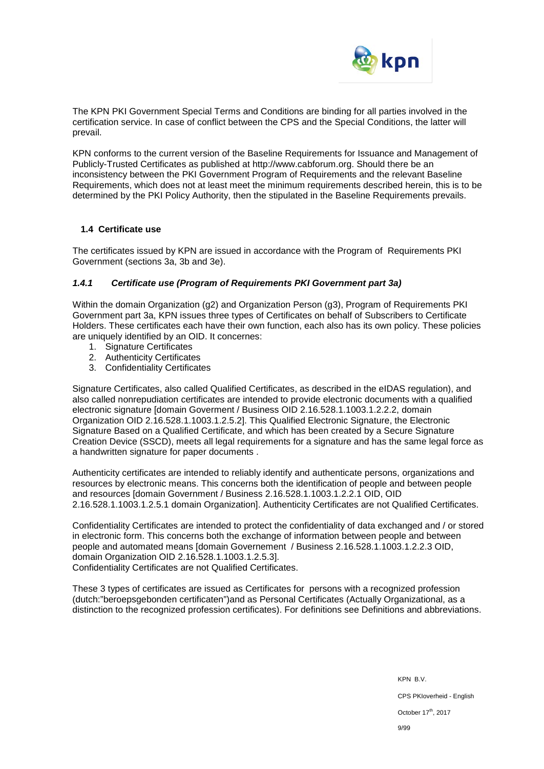

The KPN PKI Government Special Terms and Conditions are binding for all parties involved in the certification service. In case of conflict between the CPS and the Special Conditions, the latter will prevail.

KPN conforms to the current version of the Baseline Requirements for Issuance and Management of Publicly-Trusted Certificates as published at http://www.cabforum.org. Should there be an inconsistency between the PKI Government Program of Requirements and the relevant Baseline Requirements, which does not at least meet the minimum requirements described herein, this is to be determined by the PKI Policy Authority, then the stipulated in the Baseline Requirements prevails.

### **1.4 Certificate use**

The certificates issued by KPN are issued in accordance with the Program of Requirements PKI Government (sections 3a, 3b and 3e).

#### *1.4.1 Certificate use (Program of Requirements PKI Government part 3a)*

Within the domain Organization (g2) and Organization Person (g3), Program of Requirements PKI Government part 3a, KPN issues three types of Certificates on behalf of Subscribers to Certificate Holders. These certificates each have their own function, each also has its own policy. These policies are uniquely identified by an OID. It concernes:

- 1. Signature Certificates
- 2. Authenticity Certificates
- 3. Confidentiality Certificates

Signature Certificates, also called Qualified Certificates, as described in the eIDAS regulation), and also called nonrepudiation certificates are intended to provide electronic documents with a qualified electronic signature [domain Goverment / Business OID 2.16.528.1.1003.1.2.2.2, domain Organization OID 2.16.528.1.1003.1.2.5.2]. This Qualified Electronic Signature, the Electronic Signature Based on a Qualified Certificate, and which has been created by a Secure Signature Creation Device (SSCD), meets all legal requirements for a signature and has the same legal force as a handwritten signature for paper documents .

Authenticity certificates are intended to reliably identify and authenticate persons, organizations and resources by electronic means. This concerns both the identification of people and between people and resources [domain Government / Business 2.16.528.1.1003.1.2.2.1 OID, OID 2.16.528.1.1003.1.2.5.1 domain Organization]. Authenticity Certificates are not Qualified Certificates.

Confidentiality Certificates are intended to protect the confidentiality of data exchanged and / or stored in electronic form. This concerns both the exchange of information between people and between people and automated means [domain Governement / Business 2.16.528.1.1003.1.2.2.3 OID, domain Organization OID 2.16.528.1.1003.1.2.5.3]. Confidentiality Certificates are not Qualified Certificates.

These 3 types of certificates are issued as Certificates for persons with a recognized profession (dutch:"beroepsgebonden certificaten")and as Personal Certificates (Actually Organizational, as a distinction to the recognized profession certificates). For definitions see Definitions and abbreviations.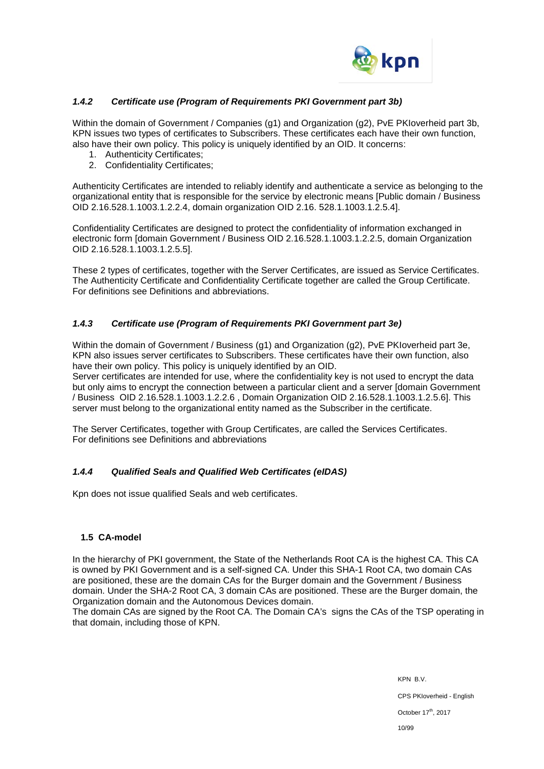

### *1.4.2 Certificate use (Program of Requirements PKI Government part 3b)*

Within the domain of Government / Companies (g1) and Organization (g2), PvE PKIoverheid part 3b, KPN issues two types of certificates to Subscribers. These certificates each have their own function, also have their own policy. This policy is uniquely identified by an OID. It concerns:

- 1. Authenticity Certificates;
- 2. Confidentiality Certificates;

Authenticity Certificates are intended to reliably identify and authenticate a service as belonging to the organizational entity that is responsible for the service by electronic means [Public domain / Business OID 2.16.528.1.1003.1.2.2.4, domain organization OID 2.16. 528.1.1003.1.2.5.4].

Confidentiality Certificates are designed to protect the confidentiality of information exchanged in electronic form [domain Government / Business OID 2.16.528.1.1003.1.2.2.5, domain Organization OID 2.16.528.1.1003.1.2.5.5].

These 2 types of certificates, together with the Server Certificates, are issued as Service Certificates. The Authenticity Certificate and Confidentiality Certificate together are called the Group Certificate. For definitions see Definitions and abbreviations.

### *1.4.3 Certificate use (Program of Requirements PKI Government part 3e)*

Within the domain of Government / Business (g1) and Organization (g2), PvE PKIoverheid part 3e, KPN also issues server certificates to Subscribers. These certificates have their own function, also have their own policy. This policy is uniquely identified by an OID.

Server certificates are intended for use, where the confidentiality key is not used to encrypt the data but only aims to encrypt the connection between a particular client and a server [domain Government / Business OID 2.16.528.1.1003.1.2.2.6 , Domain Organization OID 2.16.528.1.1003.1.2.5.6]. This server must belong to the organizational entity named as the Subscriber in the certificate.

The Server Certificates, together with Group Certificates, are called the Services Certificates. For definitions see Definitions and abbreviations

### *1.4.4 Qualified Seals and Qualified Web Certificates (eIDAS)*

Kpn does not issue qualified Seals and web certificates.

### **1.5 CA-model**

In the hierarchy of PKI government, the State of the Netherlands Root CA is the highest CA. This CA is owned by PKI Government and is a self-signed CA. Under this SHA-1 Root CA, two domain CAs are positioned, these are the domain CAs for the Burger domain and the Government / Business domain. Under the SHA-2 Root CA, 3 domain CAs are positioned. These are the Burger domain, the Organization domain and the Autonomous Devices domain.

The domain CAs are signed by the Root CA. The Domain CA's signs the CAs of the TSP operating in that domain, including those of KPN.

> KPN B.V. CPS PKIoverheid - English October 17<sup>th</sup>, 2017 10/99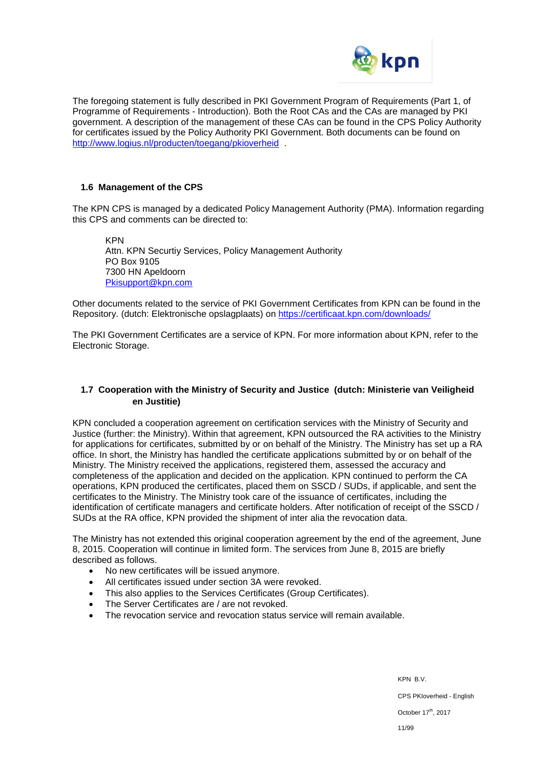

The foregoing statement is fully described in PKI Government Program of Requirements (Part 1, of Programme of Requirements - Introduction). Both the Root CAs and the CAs are managed by PKI government. A description of the management of these CAs can be found in the CPS Policy Authority for certificates issued by the Policy Authority PKI Government. Both documents can be found on <http://www.logius.nl/producten/toegang/pkioverheid> .

### **1.6 Management of the CPS**

The KPN CPS is managed by a dedicated Policy Management Authority (PMA). Information regarding this CPS and comments can be directed to:

KPN Attn. KPN Securtiy Services, Policy Management Authority PO Box 9105 7300 HN Apeldoorn [Pkisupport@kpn.com](mailto:Pkisupport@kpn.com)

Other documents related to the service of PKI Government Certificates from KPN can be found in the Repository. (dutch: Elektronische opslagplaats) on<https://certificaat.kpn.com/downloads/>

The PKI Government Certificates are a service of KPN. For more information about KPN, refer to the Electronic Storage.

#### **1.7 Cooperation with the Ministry of Security and Justice (dutch: Ministerie van Veiligheid en Justitie)**

KPN concluded a cooperation agreement on certification services with the Ministry of Security and Justice (further: the Ministry). Within that agreement, KPN outsourced the RA activities to the Ministry for applications for certificates, submitted by or on behalf of the Ministry. The Ministry has set up a RA office. In short, the Ministry has handled the certificate applications submitted by or on behalf of the Ministry. The Ministry received the applications, registered them, assessed the accuracy and completeness of the application and decided on the application. KPN continued to perform the CA operations, KPN produced the certificates, placed them on SSCD / SUDs, if applicable, and sent the certificates to the Ministry. The Ministry took care of the issuance of certificates, including the identification of certificate managers and certificate holders. After notification of receipt of the SSCD / SUDs at the RA office, KPN provided the shipment of inter alia the revocation data.

The Ministry has not extended this original cooperation agreement by the end of the agreement, June 8, 2015. Cooperation will continue in limited form. The services from June 8, 2015 are briefly described as follows.

- No new certificates will be issued anymore.
- All certificates issued under section 3A were revoked.
- This also applies to the Services Certificates (Group Certificates).
- The Server Certificates are / are not revoked.
- The revocation service and revocation status service will remain available.

KPN B.V. CPS PKIoverheid - English October 17<sup>th</sup>, 2017 11/99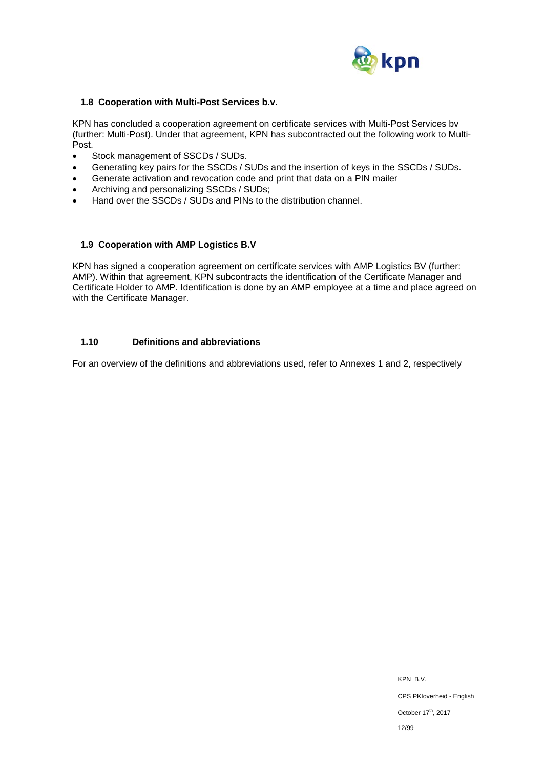

### **1.8 Cooperation with Multi-Post Services b.v.**

KPN has concluded a cooperation agreement on certificate services with Multi-Post Services bv (further: Multi-Post). Under that agreement, KPN has subcontracted out the following work to Multi-Post.

- Stock management of SSCDs / SUDs.
- Generating key pairs for the SSCDs / SUDs and the insertion of keys in the SSCDs / SUDs.
- Generate activation and revocation code and print that data on a PIN mailer
- Archiving and personalizing SSCDs / SUDs;
- Hand over the SSCDs / SUDs and PINs to the distribution channel.

#### **1.9 Cooperation with AMP Logistics B.V**

KPN has signed a cooperation agreement on certificate services with AMP Logistics BV (further: AMP). Within that agreement, KPN subcontracts the identification of the Certificate Manager and Certificate Holder to AMP. Identification is done by an AMP employee at a time and place agreed on with the Certificate Manager.

### **1.10 Definitions and abbreviations**

For an overview of the definitions and abbreviations used, refer to Annexes 1 and 2, respectively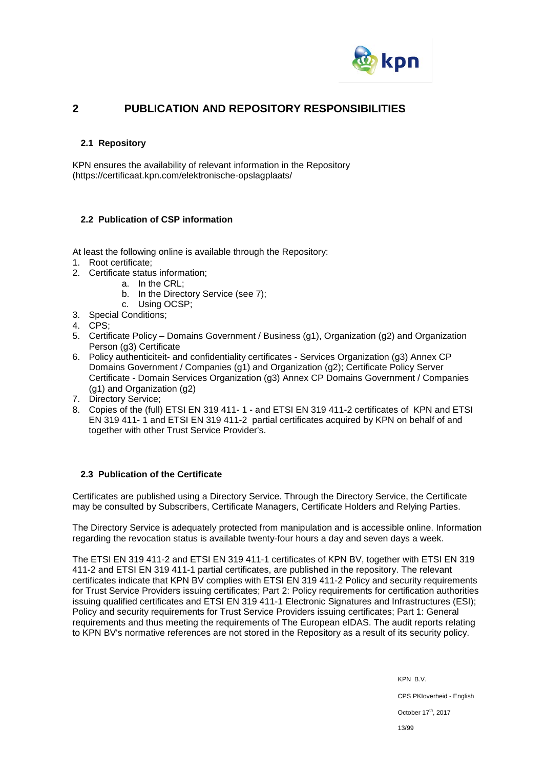

## **2 PUBLICATION AND REPOSITORY RESPONSIBILITIES**

### **2.1 Repository**

KPN ensures the availability of relevant information in the Repository (https://certificaat.kpn.com/elektronische-opslagplaats/

### **2.2 Publication of CSP information**

At least the following online is available through the Repository:

- 1. Root certificate;
- 2. Certificate status information;
	- a. In the CRL;
		- b. In the Directory Service (see 7);
		- c. Using OCSP;
- 3. Special Conditions;
- 4. CPS;
- 5. Certificate Policy Domains Government / Business (g1), Organization (g2) and Organization Person (g3) Certificate
- 6. Policy authenticiteit- and confidentiality certificates Services Organization (g3) Annex CP Domains Government / Companies (g1) and Organization (g2); Certificate Policy Server Certificate - Domain Services Organization (g3) Annex CP Domains Government / Companies (g1) and Organization (g2)
- 7. Directory Service;
- 8. Copies of the (full) ETSI EN 319 411- 1 and ETSI EN 319 411-2 certificates of KPN and ETSI EN 319 411- 1 and ETSI EN 319 411-2 partial certificates acquired by KPN on behalf of and together with other Trust Service Provider's.

### **2.3 Publication of the Certificate**

Certificates are published using a Directory Service. Through the Directory Service, the Certificate may be consulted by Subscribers, Certificate Managers, Certificate Holders and Relying Parties.

The Directory Service is adequately protected from manipulation and is accessible online. Information regarding the revocation status is available twenty-four hours a day and seven days a week.

The ETSI EN 319 411-2 and ETSI EN 319 411-1 certificates of KPN BV, together with ETSI EN 319 411-2 and ETSI EN 319 411-1 partial certificates, are published in the repository. The relevant certificates indicate that KPN BV complies with ETSI EN 319 411-2 Policy and security requirements for Trust Service Providers issuing certificates; Part 2: Policy requirements for certification authorities issuing qualified certificates and ETSI EN 319 411-1 Electronic Signatures and Infrastructures (ESI); Policy and security requirements for Trust Service Providers issuing certificates; Part 1: General requirements and thus meeting the requirements of The European eIDAS. The audit reports relating to KPN BV's normative references are not stored in the Repository as a result of its security policy.

> KPN B.V. CPS PKIoverheid - English October 17<sup>th</sup>, 2017 13/99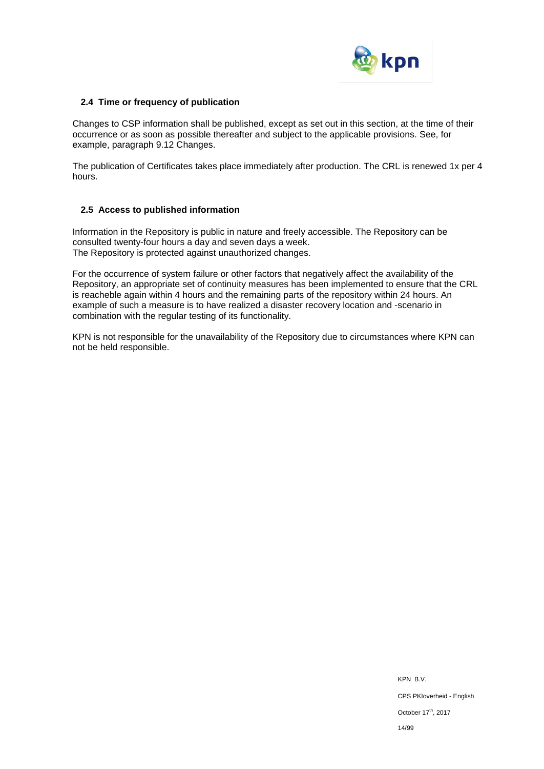

### **2.4 Time or frequency of publication**

Changes to CSP information shall be published, except as set out in this section, at the time of their occurrence or as soon as possible thereafter and subject to the applicable provisions. See, for example, paragraph 9.12 Changes.

The publication of Certificates takes place immediately after production. The CRL is renewed 1x per 4 hours.

### **2.5 Access to published information**

Information in the Repository is public in nature and freely accessible. The Repository can be consulted twenty-four hours a day and seven days a week. The Repository is protected against unauthorized changes.

For the occurrence of system failure or other factors that negatively affect the availability of the Repository, an appropriate set of continuity measures has been implemented to ensure that the CRL is reacheble again within 4 hours and the remaining parts of the repository within 24 hours. An example of such a measure is to have realized a disaster recovery location and -scenario in combination with the regular testing of its functionality.

KPN is not responsible for the unavailability of the Repository due to circumstances where KPN can not be held responsible.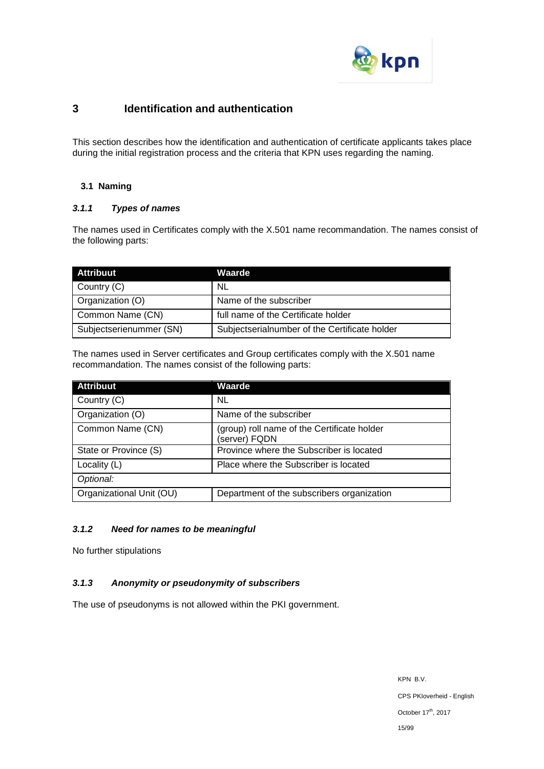

# **3 Identification and authentication**

This section describes how the identification and authentication of certificate applicants takes place during the initial registration process and the criteria that KPN uses regarding the naming.

### **3.1 Naming**

### *3.1.1 Types of names*

The names used in Certificates comply with the X.501 name recommandation. The names consist of the following parts:

| <b>Attribuut</b>        | Waarde                                        |
|-------------------------|-----------------------------------------------|
| Country (C)             | <b>NL</b>                                     |
| Organization (O)        | Name of the subscriber                        |
| Common Name (CN)        | full name of the Certificate holder           |
| Subjectserienummer (SN) | Subjectserialnumber of the Certificate holder |

The names used in Server certificates and Group certificates comply with the X.501 name recommandation. The names consist of the following parts:

| <b>Attribuut</b>         | Waarde                                                       |
|--------------------------|--------------------------------------------------------------|
| Country (C)              | NL.                                                          |
| Organization (O)         | Name of the subscriber                                       |
| Common Name (CN)         | (group) roll name of the Certificate holder<br>(server) FQDN |
| State or Province (S)    | Province where the Subscriber is located                     |
| Locality (L)             | Place where the Subscriber is located                        |
| Optional:                |                                                              |
| Organizational Unit (OU) | Department of the subscribers organization                   |

### *3.1.2 Need for names to be meaningful*

No further stipulations

### *3.1.3 Anonymity or pseudonymity of subscribers*

The use of pseudonyms is not allowed within the PKI government.

KPN B.V. CPS PKIoverheid - English October  $17^{\text{th}}$ , 2017 15/99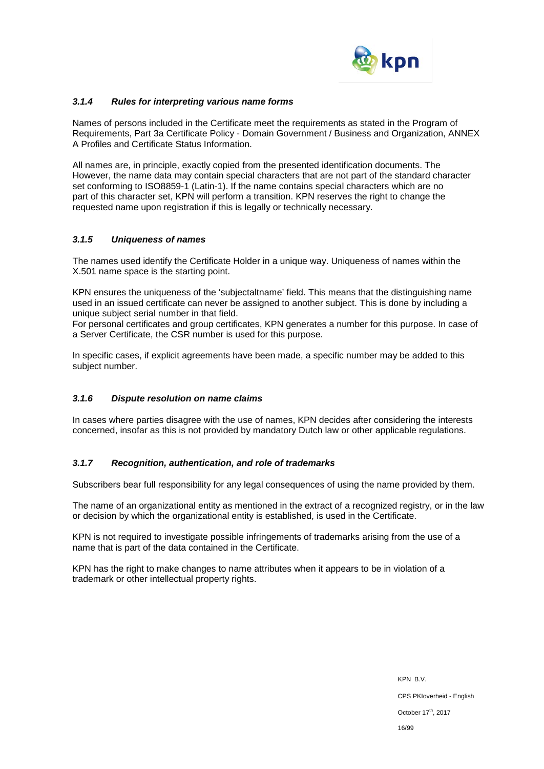

### *3.1.4 Rules for interpreting various name forms*

Names of persons included in the Certificate meet the requirements as stated in the Program of Requirements, Part 3a Certificate Policy - Domain Government / Business and Organization, ANNEX A Profiles and Certificate Status Information.

All names are, in principle, exactly copied from the presented identification documents. The However, the name data may contain special characters that are not part of the standard character set conforming to ISO8859-1 (Latin-1). If the name contains special characters which are no part of this character set, KPN will perform a transition. KPN reserves the right to change the requested name upon registration if this is legally or technically necessary.

#### *3.1.5 Uniqueness of names*

The names used identify the Certificate Holder in a unique way. Uniqueness of names within the X.501 name space is the starting point.

KPN ensures the uniqueness of the 'subjectaltname' field. This means that the distinguishing name used in an issued certificate can never be assigned to another subject. This is done by including a unique subject serial number in that field.

For personal certificates and group certificates, KPN generates a number for this purpose. In case of a Server Certificate, the CSR number is used for this purpose.

In specific cases, if explicit agreements have been made, a specific number may be added to this subject number.

### *3.1.6 Dispute resolution on name claims*

In cases where parties disagree with the use of names, KPN decides after considering the interests concerned, insofar as this is not provided by mandatory Dutch law or other applicable regulations.

#### *3.1.7 Recognition, authentication, and role of trademarks*

Subscribers bear full responsibility for any legal consequences of using the name provided by them.

The name of an organizational entity as mentioned in the extract of a recognized registry, or in the law or decision by which the organizational entity is established, is used in the Certificate.

KPN is not required to investigate possible infringements of trademarks arising from the use of a name that is part of the data contained in the Certificate.

KPN has the right to make changes to name attributes when it appears to be in violation of a trademark or other intellectual property rights.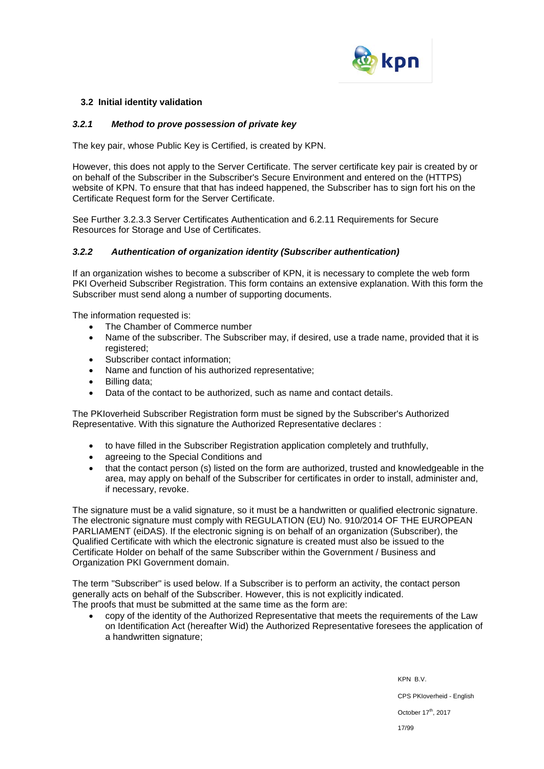

### **3.2 Initial identity validation**

### *3.2.1 Method to prove possession of private key*

The key pair, whose Public Key is Certified, is created by KPN.

However, this does not apply to the Server Certificate. The server certificate key pair is created by or on behalf of the Subscriber in the Subscriber's Secure Environment and entered on the (HTTPS) website of KPN. To ensure that that has indeed happened, the Subscriber has to sign fort his on the Certificate Request form for the Server Certificate.

See Further 3.2.3.3 Server Certificates Authentication and 6.2.11 Requirements for Secure Resources for Storage and Use of Certificates.

#### *3.2.2 Authentication of organization identity (Subscriber authentication)*

If an organization wishes to become a subscriber of KPN, it is necessary to complete the web form PKI Overheid Subscriber Registration. This form contains an extensive explanation. With this form the Subscriber must send along a number of supporting documents.

The information requested is:

- The Chamber of Commerce number
- Name of the subscriber. The Subscriber may, if desired, use a trade name, provided that it is registered:
- Subscriber contact information:
- Name and function of his authorized representative;
- Billing data:
- Data of the contact to be authorized, such as name and contact details.

The PKIoverheid Subscriber Registration form must be signed by the Subscriber's Authorized Representative. With this signature the Authorized Representative declares :

- to have filled in the Subscriber Registration application completely and truthfully,
- agreeing to the Special Conditions and
- that the contact person (s) listed on the form are authorized, trusted and knowledgeable in the area, may apply on behalf of the Subscriber for certificates in order to install, administer and, if necessary, revoke.

The signature must be a valid signature, so it must be a handwritten or qualified electronic signature. The electronic signature must comply with REGULATION (EU) No. 910/2014 OF THE EUROPEAN PARLIAMENT (eiDAS). If the electronic signing is on behalf of an organization (Subscriber), the Qualified Certificate with which the electronic signature is created must also be issued to the Certificate Holder on behalf of the same Subscriber within the Government / Business and Organization PKI Government domain.

The term "Subscriber" is used below. If a Subscriber is to perform an activity, the contact person generally acts on behalf of the Subscriber. However, this is not explicitly indicated. The proofs that must be submitted at the same time as the form are:

• copy of the identity of the Authorized Representative that meets the requirements of the Law on Identification Act (hereafter Wid) the Authorized Representative foresees the application of a handwritten signature;

> KPN B.V. CPS PKIoverheid - English October 17<sup>th</sup>, 2017 17/99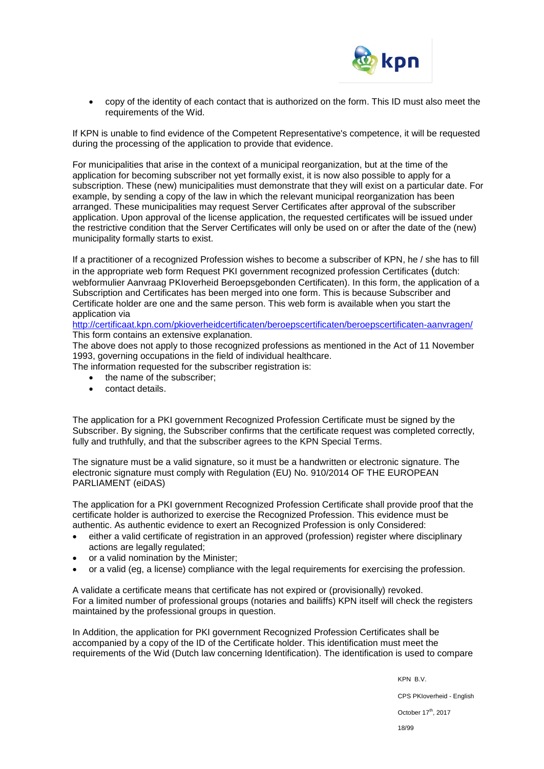

• copy of the identity of each contact that is authorized on the form. This ID must also meet the requirements of the Wid.

If KPN is unable to find evidence of the Competent Representative's competence, it will be requested during the processing of the application to provide that evidence.

For municipalities that arise in the context of a municipal reorganization, but at the time of the application for becoming subscriber not yet formally exist, it is now also possible to apply for a subscription. These (new) municipalities must demonstrate that they will exist on a particular date. For example, by sending a copy of the law in which the relevant municipal reorganization has been arranged. These municipalities may request Server Certificates after approval of the subscriber application. Upon approval of the license application, the requested certificates will be issued under the restrictive condition that the Server Certificates will only be used on or after the date of the (new) municipality formally starts to exist.

If a practitioner of a recognized Profession wishes to become a subscriber of KPN, he / she has to fill in the appropriate web form Request PKI government recognized profession Certificates (dutch: webformulier Aanvraag PKIoverheid Beroepsgebonden Certificaten). In this form, the application of a Subscription and Certificates has been merged into one form. This is because Subscriber and Certificate holder are one and the same person. This web form is available when you start the application via

<http://certificaat.kpn.com/pkioverheidcertificaten/beroepscertificaten/beroepscertificaten-aanvragen/> This form contains an extensive explanation.

The above does not apply to those recognized professions as mentioned in the Act of 11 November 1993, governing occupations in the field of individual healthcare.

The information requested for the subscriber registration is:

- the name of the subscriber;
- contact details.

The application for a PKI government Recognized Profession Certificate must be signed by the Subscriber. By signing, the Subscriber confirms that the certificate request was completed correctly, fully and truthfully, and that the subscriber agrees to the KPN Special Terms.

The signature must be a valid signature, so it must be a handwritten or electronic signature. The electronic signature must comply with Regulation (EU) No. 910/2014 OF THE EUROPEAN PARLIAMENT (eiDAS)

The application for a PKI government Recognized Profession Certificate shall provide proof that the certificate holder is authorized to exercise the Recognized Profession. This evidence must be authentic. As authentic evidence to exert an Recognized Profession is only Considered:

- either a valid certificate of registration in an approved (profession) register where disciplinary actions are legally regulated;
- or a valid nomination by the Minister;
- or a valid (eg, a license) compliance with the legal requirements for exercising the profession.

A validate a certificate means that certificate has not expired or (provisionally) revoked. For a limited number of professional groups (notaries and bailiffs) KPN itself will check the registers maintained by the professional groups in question.

In Addition, the application for PKI government Recognized Profession Certificates shall be accompanied by a copy of the ID of the Certificate holder. This identification must meet the requirements of the Wid (Dutch law concerning Identification). The identification is used to compare

KPN B.V.

CPS PKIoverheid - English

October 17<sup>th</sup>, 2017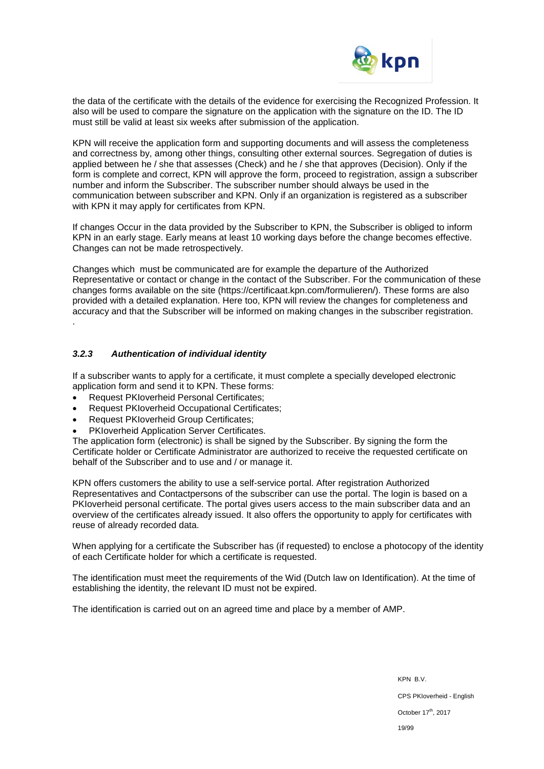

the data of the certificate with the details of the evidence for exercising the Recognized Profession. It also will be used to compare the signature on the application with the signature on the ID. The ID must still be valid at least six weeks after submission of the application.

KPN will receive the application form and supporting documents and will assess the completeness and correctness by, among other things, consulting other external sources. Segregation of duties is applied between he / she that assesses (Check) and he / she that approves (Decision). Only if the form is complete and correct, KPN will approve the form, proceed to registration, assign a subscriber number and inform the Subscriber. The subscriber number should always be used in the communication between subscriber and KPN. Only if an organization is registered as a subscriber with KPN it may apply for certificates from KPN.

If changes Occur in the data provided by the Subscriber to KPN, the Subscriber is obliged to inform KPN in an early stage. Early means at least 10 working days before the change becomes effective. Changes can not be made retrospectively.

Changes which must be communicated are for example the departure of the Authorized Representative or contact or change in the contact of the Subscriber. For the communication of these changes forms available on the site (https://certificaat.kpn.com/formulieren/). These forms are also provided with a detailed explanation. Here too, KPN will review the changes for completeness and accuracy and that the Subscriber will be informed on making changes in the subscriber registration. .

### *3.2.3 Authentication of individual identity*

If a subscriber wants to apply for a certificate, it must complete a specially developed electronic application form and send it to KPN. These forms:

- Request PKIoverheid Personal Certificates;
- Request PKIoverheid Occupational Certificates;
- Request PKIoverheid Group Certificates;
- PKIoverheid Application Server Certificates.

The application form (electronic) is shall be signed by the Subscriber. By signing the form the Certificate holder or Certificate Administrator are authorized to receive the requested certificate on behalf of the Subscriber and to use and / or manage it.

KPN offers customers the ability to use a self-service portal. After registration Authorized Representatives and Contactpersons of the subscriber can use the portal. The login is based on a PKIoverheid personal certificate. The portal gives users access to the main subscriber data and an overview of the certificates already issued. It also offers the opportunity to apply for certificates with reuse of already recorded data.

When applying for a certificate the Subscriber has (if requested) to enclose a photocopy of the identity of each Certificate holder for which a certificate is requested.

The identification must meet the requirements of the Wid (Dutch law on Identification). At the time of establishing the identity, the relevant ID must not be expired.

The identification is carried out on an agreed time and place by a member of AMP.

KPN B.V. CPS PKIoverheid - English October 17<sup>th</sup>, 2017 19/99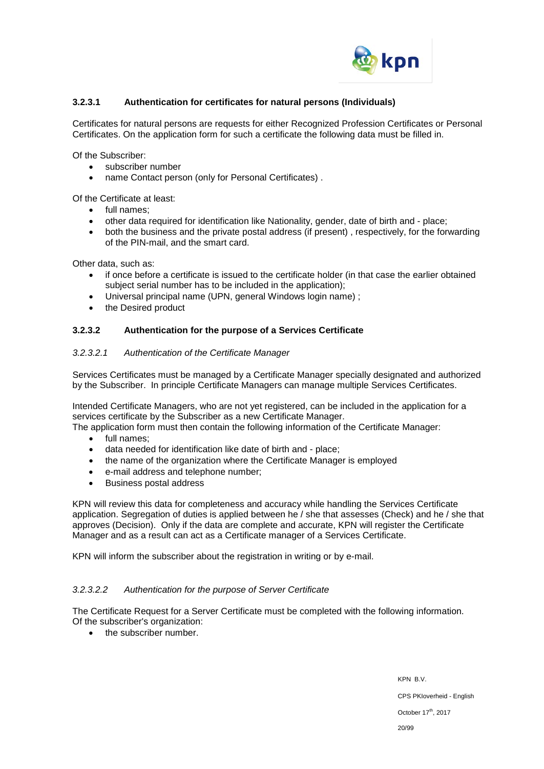

### **3.2.3.1 Authentication for certificates for natural persons (Individuals)**

Certificates for natural persons are requests for either Recognized Profession Certificates or Personal Certificates. On the application form for such a certificate the following data must be filled in.

Of the Subscriber:

- subscriber number
- name Contact person (only for Personal Certificates) .

Of the Certificate at least:

- full names;
- other data required for identification like Nationality, gender, date of birth and place;
- both the business and the private postal address (if present), respectively, for the forwarding of the PIN-mail, and the smart card.

Other data, such as:

- if once before a certificate is issued to the certificate holder (in that case the earlier obtained subject serial number has to be included in the application);
- Universal principal name (UPN, general Windows login name) ;
- the Desired product

### **3.2.3.2 Authentication for the purpose of a Services Certificate**

#### *3.2.3.2.1 Authentication of the Certificate Manager*

Services Certificates must be managed by a Certificate Manager specially designated and authorized by the Subscriber. In principle Certificate Managers can manage multiple Services Certificates.

Intended Certificate Managers, who are not yet registered, can be included in the application for a services certificate by the Subscriber as a new Certificate Manager.

The application form must then contain the following information of the Certificate Manager:

- full names;
- data needed for identification like date of birth and place;
- the name of the organization where the Certificate Manager is employed
- e-mail address and telephone number;
- Business postal address

KPN will review this data for completeness and accuracy while handling the Services Certificate application. Segregation of duties is applied between he / she that assesses (Check) and he / she that approves (Decision). Only if the data are complete and accurate, KPN will register the Certificate Manager and as a result can act as a Certificate manager of a Services Certificate.

KPN will inform the subscriber about the registration in writing or by e-mail.

#### *3.2.3.2.2 Authentication for the purpose of Server Certificate*

The Certificate Request for a Server Certificate must be completed with the following information. Of the subscriber's organization:

• the subscriber number.

KPN B.V. CPS PKIoverheid - English October 17<sup>th</sup>, 2017 20/99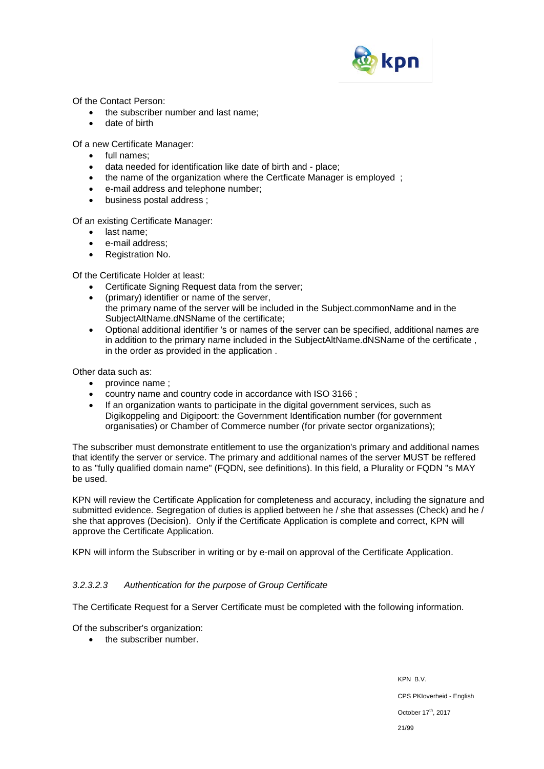

Of the Contact Person:

- the subscriber number and last name;
- date of birth

Of a new Certificate Manager:

- full names;
- data needed for identification like date of birth and place;
- the name of the organization where the Certficate Manager is employed;
- e-mail address and telephone number;
- business postal address ;

Of an existing Certificate Manager:

- last name;
- e-mail address;
- Registration No.

Of the Certificate Holder at least:

- Certificate Signing Request data from the server;
- (primary) identifier or name of the server, the primary name of the server will be included in the Subject.commonName and in the SubjectAltName.dNSName of the certificate;
- Optional additional identifier 's or names of the server can be specified, additional names are in addition to the primary name included in the SubjectAltName.dNSName of the certificate , in the order as provided in the application .

Other data such as:

- province name ;
- country name and country code in accordance with ISO 3166 ;
- If an organization wants to participate in the digital government services, such as Digikoppeling and Digipoort: the Government Identification number (for government organisaties) or Chamber of Commerce number (for private sector organizations);

The subscriber must demonstrate entitlement to use the organization's primary and additional names that identify the server or service. The primary and additional names of the server MUST be reffered to as "fully qualified domain name" (FQDN, see definitions). In this field, a Plurality or FQDN "s MAY be used.

KPN will review the Certificate Application for completeness and accuracy, including the signature and submitted evidence. Segregation of duties is applied between he / she that assesses (Check) and he / she that approves (Decision). Only if the Certificate Application is complete and correct, KPN will approve the Certificate Application.

KPN will inform the Subscriber in writing or by e-mail on approval of the Certificate Application.

### *3.2.3.2.3 Authentication for the purpose of Group Certificate*

The Certificate Request for a Server Certificate must be completed with the following information.

Of the subscriber's organization:

• the subscriber number.

KPN B.V. CPS PKIoverheid - English October 17<sup>th</sup>, 2017 21/99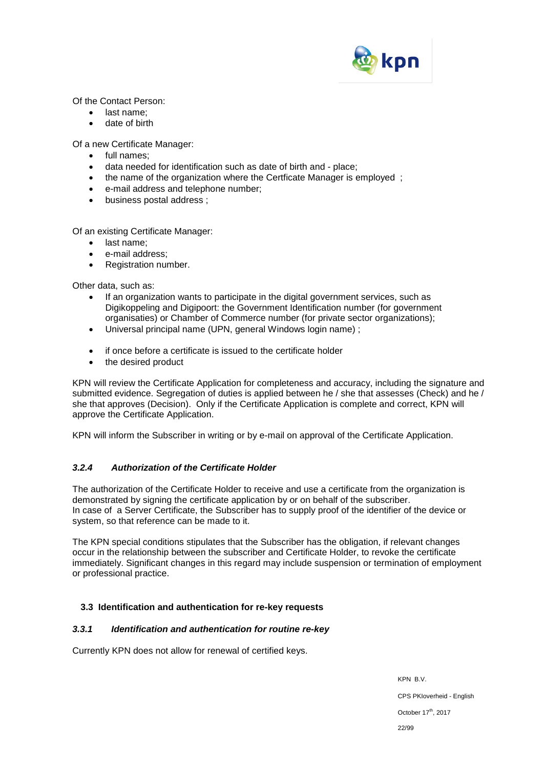

Of the Contact Person:

- last name:
- date of birth

Of a new Certificate Manager:

- full names;
- data needed for identification such as date of birth and place;
- the name of the organization where the Certficate Manager is employed ;
- e-mail address and telephone number;
- business postal address ;

Of an existing Certificate Manager:

- last name;
- e-mail address:
- Registration number.

Other data, such as:

- If an organization wants to participate in the digital government services, such as Digikoppeling and Digipoort: the Government Identification number (for government organisaties) or Chamber of Commerce number (for private sector organizations);
- Universal principal name (UPN, general Windows login name) ;
- if once before a certificate is issued to the certificate holder
- the desired product

KPN will review the Certificate Application for completeness and accuracy, including the signature and submitted evidence. Segregation of duties is applied between he / she that assesses (Check) and he / she that approves (Decision). Only if the Certificate Application is complete and correct, KPN will approve the Certificate Application.

KPN will inform the Subscriber in writing or by e-mail on approval of the Certificate Application.

### *3.2.4 Authorization of the Certificate Holder*

The authorization of the Certificate Holder to receive and use a certificate from the organization is demonstrated by signing the certificate application by or on behalf of the subscriber. In case of a Server Certificate, the Subscriber has to supply proof of the identifier of the device or system, so that reference can be made to it.

The KPN special conditions stipulates that the Subscriber has the obligation, if relevant changes occur in the relationship between the subscriber and Certificate Holder, to revoke the certificate immediately. Significant changes in this regard may include suspension or termination of employment or professional practice.

### **3.3 Identification and authentication for re-key requests**

### *3.3.1 Identification and authentication for routine re-key*

Currently KPN does not allow for renewal of certified keys.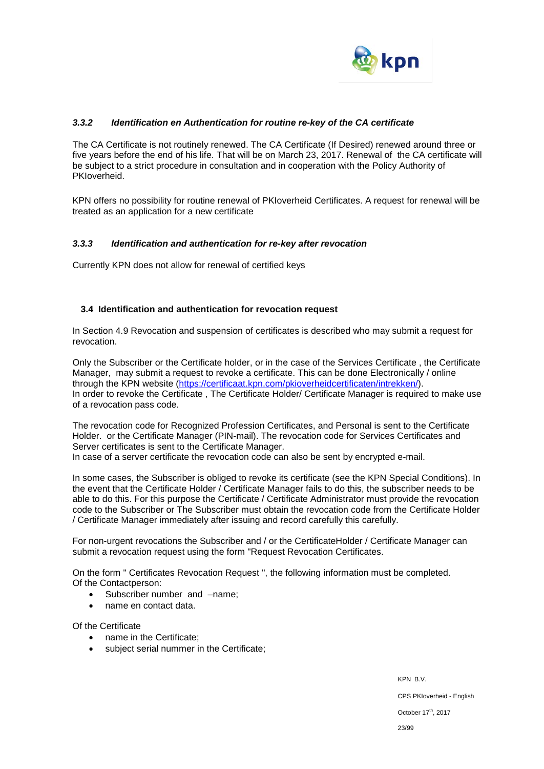

### *3.3.2 Identification en Authentication for routine re-key of the CA certificate*

The CA Certificate is not routinely renewed. The CA Certificate (If Desired) renewed around three or five years before the end of his life. That will be on March 23, 2017. Renewal of the CA certificate will be subject to a strict procedure in consultation and in cooperation with the Policy Authority of PKIoverheid.

KPN offers no possibility for routine renewal of PKIoverheid Certificates. A request for renewal will be treated as an application for a new certificate

#### *3.3.3 Identification and authentication for re-key after revocation*

Currently KPN does not allow for renewal of certified keys

#### **3.4 Identification and authentication for revocation request**

In Section 4.9 Revocation and suspension of certificates is described who may submit a request for revocation.

Only the Subscriber or the Certificate holder, or in the case of the Services Certificate , the Certificate Manager, may submit a request to revoke a certificate. This can be done Electronically / online through the KPN website [\(https://certificaat.kpn.com/pkioverheidcertificaten/intrekken/\)](https://certificaat.kpn.com/pkioverheidcertificaten/intrekken/). In order to revoke the Certificate , The Certificate Holder/ Certificate Manager is required to make use of a revocation pass code.

The revocation code for Recognized Profession Certificates, and Personal is sent to the Certificate Holder. or the Certificate Manager (PIN-mail). The revocation code for Services Certificates and Server certificates is sent to the Certificate Manager. In case of a server certificate the revocation code can also be sent by encrypted e-mail.

In some cases, the Subscriber is obliged to revoke its certificate (see the KPN Special Conditions). In the event that the Certificate Holder / Certificate Manager fails to do this, the subscriber needs to be able to do this. For this purpose the Certificate / Certificate Administrator must provide the revocation code to the Subscriber or The Subscriber must obtain the revocation code from the Certificate Holder / Certificate Manager immediately after issuing and record carefully this carefully.

For non-urgent revocations the Subscriber and / or the CertificateHolder / Certificate Manager can submit a revocation request using the form "Request Revocation Certificates.

On the form " Certificates Revocation Request ", the following information must be completed. Of the Contactperson:

- Subscriber number and -name;
- name en contact data.

Of the Certificate

- name in the Certificate;
- subject serial nummer in the Certificate;

KPN B.V. CPS PKIoverheid - English October 17<sup>th</sup>, 2017 23/99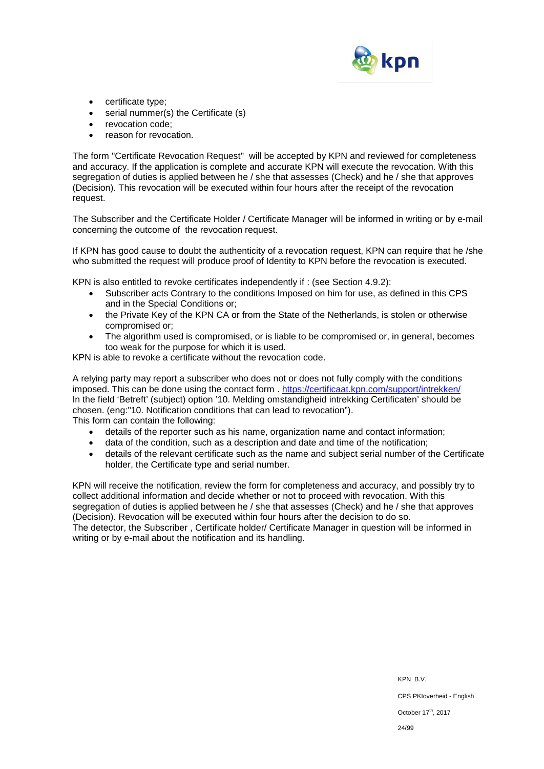

- certificate type;
- serial nummer(s) the Certificate (s)
- revocation code:
- reason for revocation.

The form "Certificate Revocation Request" will be accepted by KPN and reviewed for completeness and accuracy. If the application is complete and accurate KPN will execute the revocation. With this segregation of duties is applied between he / she that assesses (Check) and he / she that approves (Decision). This revocation will be executed within four hours after the receipt of the revocation request.

The Subscriber and the Certificate Holder / Certificate Manager will be informed in writing or by e-mail concerning the outcome of the revocation request.

If KPN has good cause to doubt the authenticity of a revocation request, KPN can require that he /she who submitted the request will produce proof of Identity to KPN before the revocation is executed.

KPN is also entitled to revoke certificates independently if : (see Section 4.9.2):

- Subscriber acts Contrary to the conditions Imposed on him for use, as defined in this CPS and in the Special Conditions or;
- the Private Key of the KPN CA or from the State of the Netherlands, is stolen or otherwise compromised or;
- The algorithm used is compromised, or is liable to be compromised or, in general, becomes too weak for the purpose for which it is used.

KPN is able to revoke a certificate without the revocation code.

A relying party may report a subscriber who does not or does not fully comply with the conditions imposed. This can be done using the contact form . <https://certificaat.kpn.com/support/intrekken/> In the field 'Betreft' (subject) option '10. Melding omstandigheid intrekking Certificaten' should be chosen. (eng:"10. Notification conditions that can lead to revocation"). This form can contain the following:

- details of the reporter such as his name, organization name and contact information;
- data of the condition, such as a description and date and time of the notification;
- details of the relevant certificate such as the name and subject serial number of the Certificate holder, the Certificate type and serial number.

KPN will receive the notification, review the form for completeness and accuracy, and possibly try to collect additional information and decide whether or not to proceed with revocation. With this segregation of duties is applied between he / she that assesses (Check) and he / she that approves (Decision). Revocation will be executed within four hours after the decision to do so. The detector, the Subscriber , Certificate holder/ Certificate Manager in question will be informed in writing or by e-mail about the notification and its handling.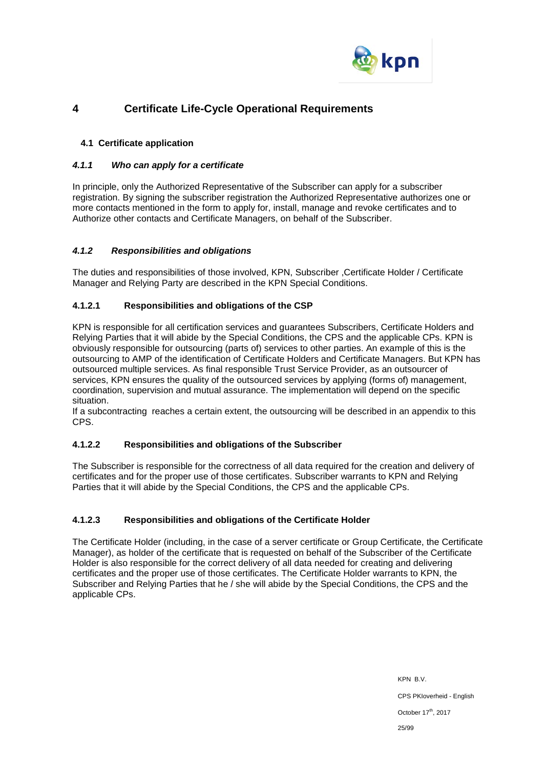

# **4 Certificate Life-Cycle Operational Requirements**

### **4.1 Certificate application**

### *4.1.1 Who can apply for a certificate*

In principle, only the Authorized Representative of the Subscriber can apply for a subscriber registration. By signing the subscriber registration the Authorized Representative authorizes one or more contacts mentioned in the form to apply for, install, manage and revoke certificates and to Authorize other contacts and Certificate Managers, on behalf of the Subscriber.

### *4.1.2 Responsibilities and obligations*

The duties and responsibilities of those involved, KPN, Subscriber ,Certificate Holder / Certificate Manager and Relying Party are described in the KPN Special Conditions.

### **4.1.2.1 Responsibilities and obligations of the CSP**

KPN is responsible for all certification services and guarantees Subscribers, Certificate Holders and Relying Parties that it will abide by the Special Conditions, the CPS and the applicable CPs. KPN is obviously responsible for outsourcing (parts of) services to other parties. An example of this is the outsourcing to AMP of the identification of Certificate Holders and Certificate Managers. But KPN has outsourced multiple services. As final responsible Trust Service Provider, as an outsourcer of services, KPN ensures the quality of the outsourced services by applying (forms of) management, coordination, supervision and mutual assurance. The implementation will depend on the specific situation.

If a subcontracting reaches a certain extent, the outsourcing will be described in an appendix to this CPS.

### **4.1.2.2 Responsibilities and obligations of the Subscriber**

The Subscriber is responsible for the correctness of all data required for the creation and delivery of certificates and for the proper use of those certificates. Subscriber warrants to KPN and Relying Parties that it will abide by the Special Conditions, the CPS and the applicable CPs.

### **4.1.2.3 Responsibilities and obligations of the Certificate Holder**

The Certificate Holder (including, in the case of a server certificate or Group Certificate, the Certificate Manager), as holder of the certificate that is requested on behalf of the Subscriber of the Certificate Holder is also responsible for the correct delivery of all data needed for creating and delivering certificates and the proper use of those certificates. The Certificate Holder warrants to KPN, the Subscriber and Relying Parties that he / she will abide by the Special Conditions, the CPS and the applicable CPs.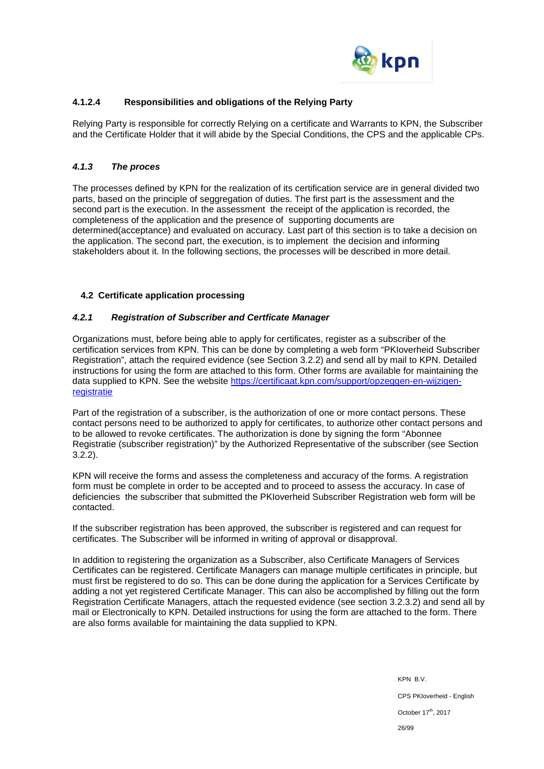

### **4.1.2.4 Responsibilities and obligations of the Relying Party**

Relying Party is responsible for correctly Relying on a certificate and Warrants to KPN, the Subscriber and the Certificate Holder that it will abide by the Special Conditions, the CPS and the applicable CPs.

### *4.1.3 The proces*

The processes defined by KPN for the realization of its certification service are in general divided two parts, based on the principle of seggregation of duties. The first part is the assessment and the second part is the execution. In the assessment the receipt of the application is recorded, the completeness of the application and the presence of supporting documents are determined(acceptance) and evaluated on accuracy. Last part of this section is to take a decision on the application. The second part, the execution, is to implement the decision and informing stakeholders about it. In the following sections, the processes will be described in more detail.

### **4.2 Certificate application processing**

### *4.2.1 Registration of Subscriber and Certficate Manager*

Organizations must, before being able to apply for certificates, register as a subscriber of the certification services from KPN. This can be done by completing a web form "PKIoverheid Subscriber Registration", attach the required evidence (see Section 3.2.2) and send all by mail to KPN. Detailed instructions for using the form are attached to this form. Other forms are available for maintaining the data supplied to KPN. See the website [https://certificaat.kpn.com/support/opzeggen-en-wijzigen](https://certificaat.kpn.com/support/opzeggen-en-wijzigen-registratie)[registratie](https://certificaat.kpn.com/support/opzeggen-en-wijzigen-registratie)

Part of the registration of a subscriber, is the authorization of one or more contact persons. These contact persons need to be authorized to apply for certificates, to authorize other contact persons and to be allowed to revoke certificates. The authorization is done by signing the form "Abonnee Registratie (subscriber registration)" by the Authorized Representative of the subscriber (see Section 3.2.2).

KPN will receive the forms and assess the completeness and accuracy of the forms. A registration form must be complete in order to be accepted and to proceed to assess the accuracy. In case of deficiencies the subscriber that submitted the PKIoverheid Subscriber Registration web form will be contacted.

If the subscriber registration has been approved, the subscriber is registered and can request for certificates. The Subscriber will be informed in writing of approval or disapproval.

In addition to registering the organization as a Subscriber, also Certificate Managers of Services Certificates can be registered. Certificate Managers can manage multiple certificates in principle, but must first be registered to do so. This can be done during the application for a Services Certificate by adding a not yet registered Certificate Manager. This can also be accomplished by filling out the form Registration Certificate Managers, attach the requested evidence (see section 3.2.3.2) and send all by mail or Electronically to KPN. Detailed instructions for using the form are attached to the form. There are also forms available for maintaining the data supplied to KPN.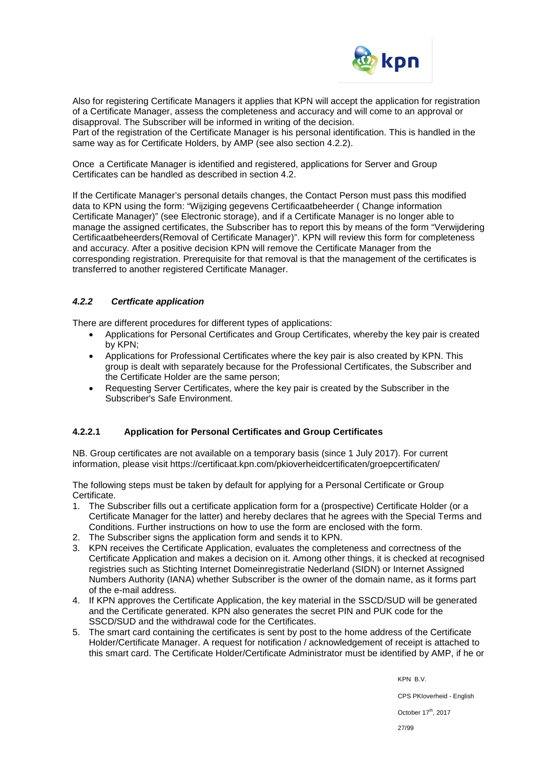

Also for registering Certificate Managers it applies that KPN will accept the application for registration of a Certificate Manager, assess the completeness and accuracy and will come to an approval or disapproval. The Subscriber will be informed in writing of the decision. Part of the registration of the Certificate Manager is his personal identification. This is handled in the

same way as for Certificate Holders, by AMP (see also section 4.2.2).

Once a Certificate Manager is identified and registered, applications for Server and Group Certificates can be handled as described in section 4.2.

If the Certificate Manager's personal details changes, the Contact Person must pass this modified data to KPN using the form: "Wijziging gegevens Certificaatbeheerder ( Change information Certificate Manager)" (see Electronic storage), and if a Certificate Manager is no longer able to manage the assigned certificates, the Subscriber has to report this by means of the form "Verwijdering Certificaatbeheerders(Removal of Certificate Manager)". KPN will review this form for completeness and accuracy. After a positive decision KPN will remove the Certificate Manager from the corresponding registration. Prerequisite for that removal is that the management of the certificates is transferred to another registered Certificate Manager.

### *4.2.2 Certficate application*

There are different procedures for different types of applications:

- Applications for Personal Certificates and Group Certificates, whereby the key pair is created by KPN;
- Applications for Professional Certificates where the key pair is also created by KPN. This group is dealt with separately because for the Professional Certificates, the Subscriber and the Certificate Holder are the same person;
- Requesting Server Certificates, where the key pair is created by the Subscriber in the Subscriber's Safe Environment.

### **4.2.2.1 Application for Personal Certificates and Group Certificates**

NB. Group certificates are not available on a temporary basis (since 1 July 2017). For current information, please visit https://certificaat.kpn.com/pkioverheidcertificaten/groepcertificaten/

The following steps must be taken by default for applying for a Personal Certificate or Group Certificate.

- 1. The Subscriber fills out a certificate application form for a (prospective) Certificate Holder (or a Certificate Manager for the latter) and hereby declares that he agrees with the Special Terms and Conditions. Further instructions on how to use the form are enclosed with the form.
- 2. The Subscriber signs the application form and sends it to KPN.
- 3. KPN receives the Certificate Application, evaluates the completeness and correctness of the Certificate Application and makes a decision on it. Among other things, it is checked at recognised registries such as Stichting Internet Domeinregistratie Nederland (SIDN) or Internet Assigned Numbers Authority (IANA) whether Subscriber is the owner of the domain name, as it forms part of the e-mail address.
- 4. If KPN approves the Certificate Application, the key material in the SSCD/SUD will be generated and the Certificate generated. KPN also generates the secret PIN and PUK code for the SSCD/SUD and the withdrawal code for the Certificates.
- 5. The smart card containing the certificates is sent by post to the home address of the Certificate Holder/Certificate Manager. A request for notification / acknowledgement of receipt is attached to this smart card. The Certificate Holder/Certificate Administrator must be identified by AMP, if he or

KPN B.V.

CPS PKIoverheid - English

October 17<sup>th</sup>, 2017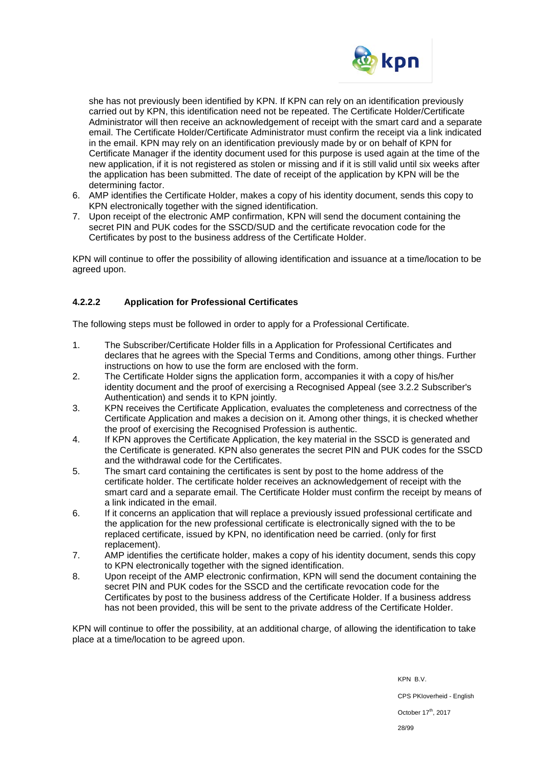

she has not previously been identified by KPN. If KPN can rely on an identification previously carried out by KPN, this identification need not be repeated. The Certificate Holder/Certificate Administrator will then receive an acknowledgement of receipt with the smart card and a separate email. The Certificate Holder/Certificate Administrator must confirm the receipt via a link indicated in the email. KPN may rely on an identification previously made by or on behalf of KPN for Certificate Manager if the identity document used for this purpose is used again at the time of the new application, if it is not registered as stolen or missing and if it is still valid until six weeks after the application has been submitted. The date of receipt of the application by KPN will be the determining factor.

- 6. AMP identifies the Certificate Holder, makes a copy of his identity document, sends this copy to KPN electronically together with the signed identification.
- 7. Upon receipt of the electronic AMP confirmation, KPN will send the document containing the secret PIN and PUK codes for the SSCD/SUD and the certificate revocation code for the Certificates by post to the business address of the Certificate Holder.

KPN will continue to offer the possibility of allowing identification and issuance at a time/location to be agreed upon.

### **4.2.2.2 Application for Professional Certificates**

The following steps must be followed in order to apply for a Professional Certificate.

- 1. The Subscriber/Certificate Holder fills in a Application for Professional Certificates and declares that he agrees with the Special Terms and Conditions, among other things. Further instructions on how to use the form are enclosed with the form.
- 2. The Certificate Holder signs the application form, accompanies it with a copy of his/her identity document and the proof of exercising a Recognised Appeal (see 3.2.2 Subscriber's Authentication) and sends it to KPN jointly.
- 3. KPN receives the Certificate Application, evaluates the completeness and correctness of the Certificate Application and makes a decision on it. Among other things, it is checked whether the proof of exercising the Recognised Profession is authentic.
- 4. If KPN approves the Certificate Application, the key material in the SSCD is generated and the Certificate is generated. KPN also generates the secret PIN and PUK codes for the SSCD and the withdrawal code for the Certificates.
- 5. The smart card containing the certificates is sent by post to the home address of the certificate holder. The certificate holder receives an acknowledgement of receipt with the smart card and a separate email. The Certificate Holder must confirm the receipt by means of a link indicated in the email.
- 6. If it concerns an application that will replace a previously issued professional certificate and the application for the new professional certificate is electronically signed with the to be replaced certificate, issued by KPN, no identification need be carried. (only for first replacement).
- 7. AMP identifies the certificate holder, makes a copy of his identity document, sends this copy to KPN electronically together with the signed identification.
- 8. Upon receipt of the AMP electronic confirmation, KPN will send the document containing the secret PIN and PUK codes for the SSCD and the certificate revocation code for the Certificates by post to the business address of the Certificate Holder. If a business address has not been provided, this will be sent to the private address of the Certificate Holder.

KPN will continue to offer the possibility, at an additional charge, of allowing the identification to take place at a time/location to be agreed upon.

> KPN B.V. CPS PKIoverheid - English October 17<sup>th</sup>, 2017 28/99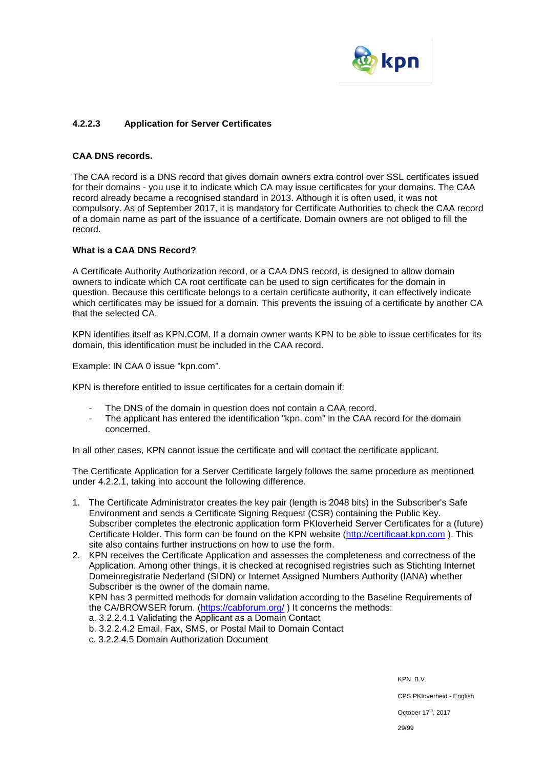

### **4.2.2.3 Application for Server Certificates**

#### **CAA DNS records.**

The CAA record is a DNS record that gives domain owners extra control over SSL certificates issued for their domains - you use it to indicate which CA may issue certificates for your domains. The CAA record already became a recognised standard in 2013. Although it is often used, it was not compulsory. As of September 2017, it is mandatory for Certificate Authorities to check the CAA record of a domain name as part of the issuance of a certificate. Domain owners are not obliged to fill the record.

#### **What is a CAA DNS Record?**

A Certificate Authority Authorization record, or a CAA DNS record, is designed to allow domain owners to indicate which CA root certificate can be used to sign certificates for the domain in question. Because this certificate belongs to a certain certificate authority, it can effectively indicate which certificates may be issued for a domain. This prevents the issuing of a certificate by another CA that the selected CA.

KPN identifies itself as KPN.COM. If a domain owner wants KPN to be able to issue certificates for its domain, this identification must be included in the CAA record.

Example: IN CAA 0 issue "kpn.com".

KPN is therefore entitled to issue certificates for a certain domain if:

- The DNS of the domain in question does not contain a CAA record.
- The applicant has entered the identification "kpn. com" in the CAA record for the domain concerned.

In all other cases, KPN cannot issue the certificate and will contact the certificate applicant.

The Certificate Application for a Server Certificate largely follows the same procedure as mentioned under 4.2.2.1, taking into account the following difference.

1. The Certificate Administrator creates the key pair (length is 2048 bits) in the Subscriber's Safe Environment and sends a Certificate Signing Request (CSR) containing the Public Key. Subscriber completes the electronic application form PKIoverheid Server Certificates for a (future) Certificate Holder. This form can be found on the KPN website [\(http://certificaat.kpn.com](http://certificaat.kpn.com/)). This site also contains further instructions on how to use the form.

2. KPN receives the Certificate Application and assesses the completeness and correctness of the Application. Among other things, it is checked at recognised registries such as Stichting Internet Domeinregistratie Nederland (SIDN) or Internet Assigned Numbers Authority (IANA) whether Subscriber is the owner of the domain name. KPN has 3 permitted methods for domain validation according to the Baseline Requirements of the CA/BROWSER forum. [\(https://cabforum.org/](https://cabforum.org/) ) It concerns the methods: a. 3.2.2.4.1 Validating the Applicant as a Domain Contact b. 3.2.2.4.2 Email, Fax, SMS, or Postal Mail to Domain Contact c. 3.2.2.4.5 Domain Authorization Document

KPN B.V.

CPS PKIoverheid - English

October 17<sup>th</sup>, 2017

29/99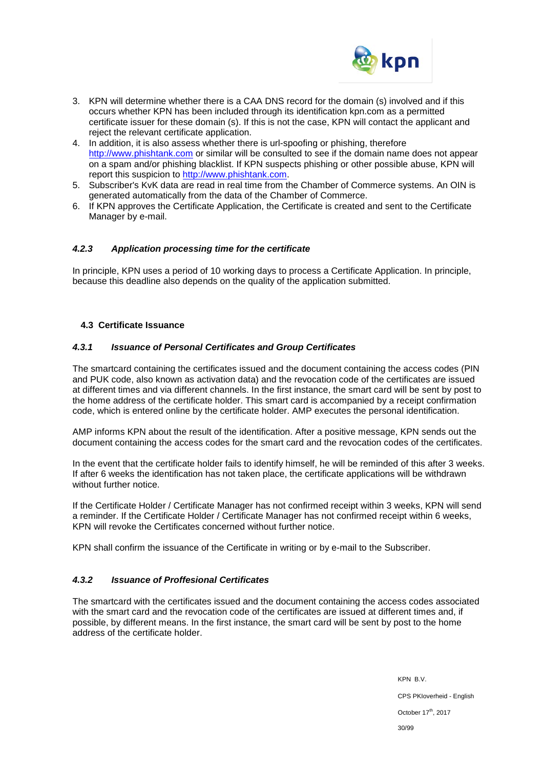

- 3. KPN will determine whether there is a CAA DNS record for the domain (s) involved and if this occurs whether KPN has been included through its identification kpn.com as a permitted certificate issuer for these domain (s). If this is not the case, KPN will contact the applicant and reject the relevant certificate application.
- 4. In addition, it is also assess whether there is url-spoofing or phishing, therefore [http://www.phishtank.com](http://www.phishtank.com/) or similar will be consulted to see if the domain name does not appear on a spam and/or phishing blacklist. If KPN suspects phishing or other possible abuse, KPN will report this suspicion to [http://www.phishtank.com.](http://www.phishtank.com/)
- 5. Subscriber's KvK data are read in real time from the Chamber of Commerce systems. An OIN is generated automatically from the data of the Chamber of Commerce.
- 6. If KPN approves the Certificate Application, the Certificate is created and sent to the Certificate Manager by e-mail.

### *4.2.3 Application processing time for the certificate*

In principle, KPN uses a period of 10 working days to process a Certificate Application. In principle, because this deadline also depends on the quality of the application submitted.

### **4.3 Certificate Issuance**

#### *4.3.1 Issuance of Personal Certificates and Group Certificates*

The smartcard containing the certificates issued and the document containing the access codes (PIN and PUK code, also known as activation data) and the revocation code of the certificates are issued at different times and via different channels. In the first instance, the smart card will be sent by post to the home address of the certificate holder. This smart card is accompanied by a receipt confirmation code, which is entered online by the certificate holder. AMP executes the personal identification.

AMP informs KPN about the result of the identification. After a positive message, KPN sends out the document containing the access codes for the smart card and the revocation codes of the certificates.

In the event that the certificate holder fails to identify himself, he will be reminded of this after 3 weeks. If after 6 weeks the identification has not taken place, the certificate applications will be withdrawn without further notice.

If the Certificate Holder / Certificate Manager has not confirmed receipt within 3 weeks, KPN will send a reminder. If the Certificate Holder / Certificate Manager has not confirmed receipt within 6 weeks, KPN will revoke the Certificates concerned without further notice.

KPN shall confirm the issuance of the Certificate in writing or by e-mail to the Subscriber.

### *4.3.2 Issuance of Proffesional Certificates*

The smartcard with the certificates issued and the document containing the access codes associated with the smart card and the revocation code of the certificates are issued at different times and, if possible, by different means. In the first instance, the smart card will be sent by post to the home address of the certificate holder.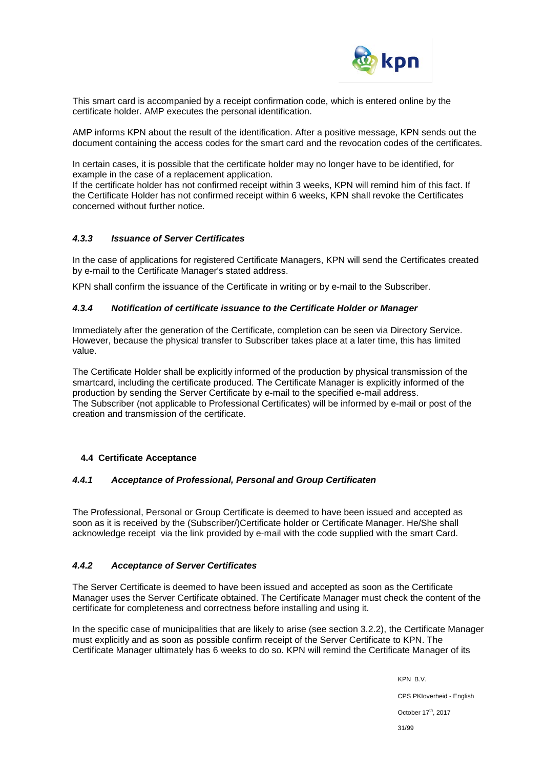

This smart card is accompanied by a receipt confirmation code, which is entered online by the certificate holder. AMP executes the personal identification.

AMP informs KPN about the result of the identification. After a positive message, KPN sends out the document containing the access codes for the smart card and the revocation codes of the certificates.

In certain cases, it is possible that the certificate holder may no longer have to be identified, for example in the case of a replacement application.

If the certificate holder has not confirmed receipt within 3 weeks, KPN will remind him of this fact. If the Certificate Holder has not confirmed receipt within 6 weeks, KPN shall revoke the Certificates concerned without further notice.

### *4.3.3 Issuance of Server Certificates*

In the case of applications for registered Certificate Managers, KPN will send the Certificates created by e-mail to the Certificate Manager's stated address.

KPN shall confirm the issuance of the Certificate in writing or by e-mail to the Subscriber.

#### *4.3.4 Notification of certificate issuance to the Certificate Holder or Manager*

Immediately after the generation of the Certificate, completion can be seen via Directory Service. However, because the physical transfer to Subscriber takes place at a later time, this has limited value.

The Certificate Holder shall be explicitly informed of the production by physical transmission of the smartcard, including the certificate produced. The Certificate Manager is explicitly informed of the production by sending the Server Certificate by e-mail to the specified e-mail address. The Subscriber (not applicable to Professional Certificates) will be informed by e-mail or post of the creation and transmission of the certificate.

### **4.4 Certificate Acceptance**

#### *4.4.1 Acceptance of Professional, Personal and Group Certificaten*

The Professional, Personal or Group Certificate is deemed to have been issued and accepted as soon as it is received by the (Subscriber/)Certificate holder or Certificate Manager. He/She shall acknowledge receipt via the link provided by e-mail with the code supplied with the smart Card.

### *4.4.2 Acceptance of Server Certificates*

The Server Certificate is deemed to have been issued and accepted as soon as the Certificate Manager uses the Server Certificate obtained. The Certificate Manager must check the content of the certificate for completeness and correctness before installing and using it.

In the specific case of municipalities that are likely to arise (see section 3.2.2), the Certificate Manager must explicitly and as soon as possible confirm receipt of the Server Certificate to KPN. The Certificate Manager ultimately has 6 weeks to do so. KPN will remind the Certificate Manager of its

> KPN B.V. CPS PKIoverheid - English October 17<sup>th</sup>, 2017 31/99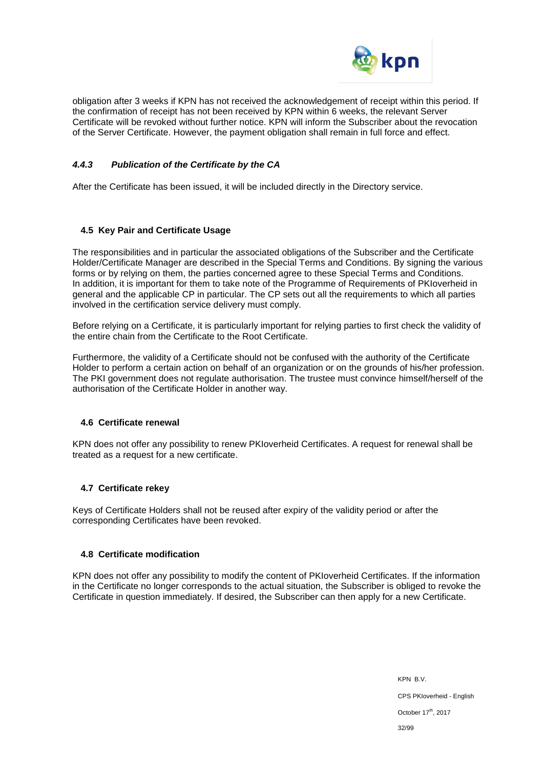

obligation after 3 weeks if KPN has not received the acknowledgement of receipt within this period. If the confirmation of receipt has not been received by KPN within 6 weeks, the relevant Server Certificate will be revoked without further notice. KPN will inform the Subscriber about the revocation of the Server Certificate. However, the payment obligation shall remain in full force and effect.

### *4.4.3 Publication of the Certificate by the CA*

After the Certificate has been issued, it will be included directly in the Directory service.

### **4.5 Key Pair and Certificate Usage**

The responsibilities and in particular the associated obligations of the Subscriber and the Certificate Holder/Certificate Manager are described in the Special Terms and Conditions. By signing the various forms or by relying on them, the parties concerned agree to these Special Terms and Conditions. In addition, it is important for them to take note of the Programme of Requirements of PKIoverheid in general and the applicable CP in particular. The CP sets out all the requirements to which all parties involved in the certification service delivery must comply.

Before relying on a Certificate, it is particularly important for relying parties to first check the validity of the entire chain from the Certificate to the Root Certificate.

Furthermore, the validity of a Certificate should not be confused with the authority of the Certificate Holder to perform a certain action on behalf of an organization or on the grounds of his/her profession. The PKI government does not regulate authorisation. The trustee must convince himself/herself of the authorisation of the Certificate Holder in another way.

### **4.6 Certificate renewal**

KPN does not offer any possibility to renew PKIoverheid Certificates. A request for renewal shall be treated as a request for a new certificate.

### **4.7 Certificate rekey**

Keys of Certificate Holders shall not be reused after expiry of the validity period or after the corresponding Certificates have been revoked.

### **4.8 Certificate modification**

KPN does not offer any possibility to modify the content of PKIoverheid Certificates. If the information in the Certificate no longer corresponds to the actual situation, the Subscriber is obliged to revoke the Certificate in question immediately. If desired, the Subscriber can then apply for a new Certificate.

> KPN B.V. CPS PKIoverheid - English October 17<sup>th</sup>, 2017 32/99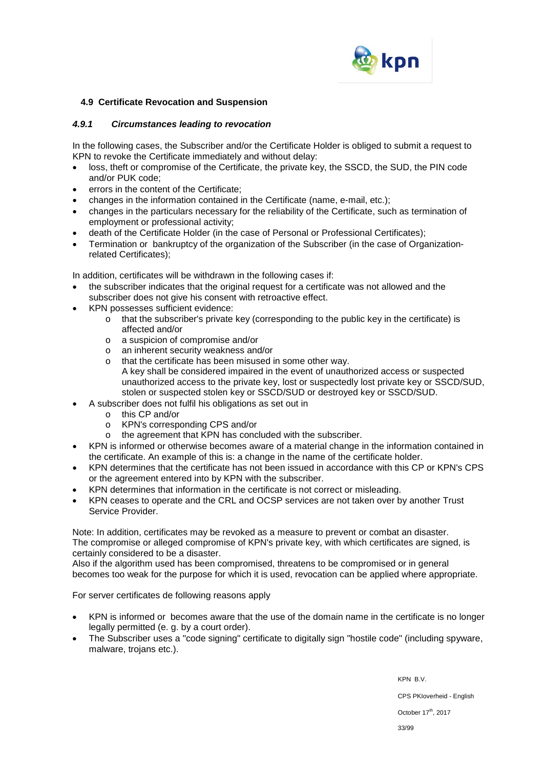

### **4.9 Certificate Revocation and Suspension**

#### *4.9.1 Circumstances leading to revocation*

In the following cases, the Subscriber and/or the Certificate Holder is obliged to submit a request to KPN to revoke the Certificate immediately and without delay:

- loss, theft or compromise of the Certificate, the private key, the SSCD, the SUD, the PIN code and/or PUK code;
- errors in the content of the Certificate:
- changes in the information contained in the Certificate (name, e-mail, etc.);
- changes in the particulars necessary for the reliability of the Certificate, such as termination of employment or professional activity;
- death of the Certificate Holder (in the case of Personal or Professional Certificates);
- Termination or bankruptcy of the organization of the Subscriber (in the case of Organizationrelated Certificates);

In addition, certificates will be withdrawn in the following cases if:

- the subscriber indicates that the original request for a certificate was not allowed and the subscriber does not give his consent with retroactive effect.
- KPN possesses sufficient evidence:
	- o that the subscriber's private key (corresponding to the public key in the certificate) is affected and/or
	- o a suspicion of compromise and/or
	- o an inherent security weakness and/or
	- o that the certificate has been misused in some other way. A key shall be considered impaired in the event of unauthorized access or suspected unauthorized access to the private key, lost or suspectedly lost private key or SSCD/SUD, stolen or suspected stolen key or SSCD/SUD or destroyed key or SSCD/SUD.
- A subscriber does not fulfil his obligations as set out in
	- o this CP and/or<br>o KPN's correspo
	- o KPN's corresponding CPS and/or<br>
	o the agreement that KPN has conc
	- the agreement that KPN has concluded with the subscriber.
- KPN is informed or otherwise becomes aware of a material change in the information contained in the certificate. An example of this is: a change in the name of the certificate holder.
- KPN determines that the certificate has not been issued in accordance with this CP or KPN's CPS or the agreement entered into by KPN with the subscriber.
- KPN determines that information in the certificate is not correct or misleading.
- KPN ceases to operate and the CRL and OCSP services are not taken over by another Trust Service Provider.

Note: In addition, certificates may be revoked as a measure to prevent or combat an disaster. The compromise or alleged compromise of KPN's private key, with which certificates are signed, is certainly considered to be a disaster.

Also if the algorithm used has been compromised, threatens to be compromised or in general becomes too weak for the purpose for which it is used, revocation can be applied where appropriate.

For server certificates de following reasons apply

- KPN is informed or becomes aware that the use of the domain name in the certificate is no longer legally permitted (e. g. by a court order).
- The Subscriber uses a "code signing" certificate to digitally sign "hostile code" (including spyware, malware, trojans etc.).

KPN B.V. CPS PKIoverheid - English October 17<sup>th</sup>, 2017 33/99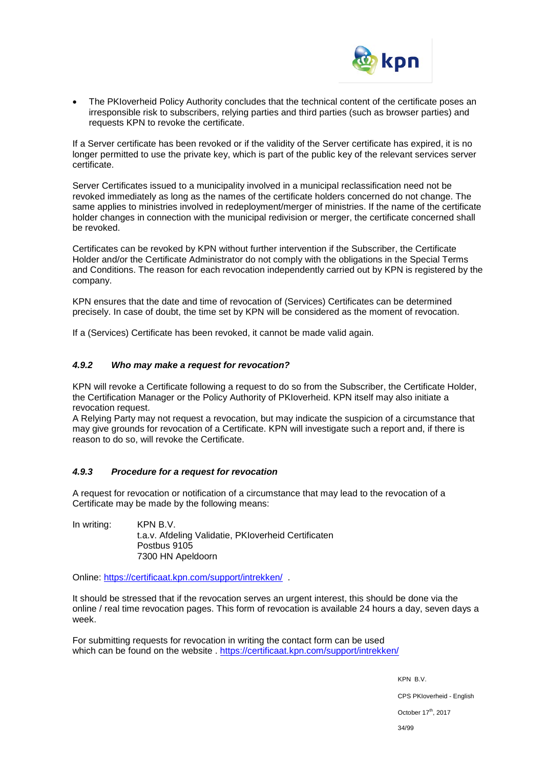

The PKIoverheid Policy Authority concludes that the technical content of the certificate poses an irresponsible risk to subscribers, relying parties and third parties (such as browser parties) and requests KPN to revoke the certificate.

If a Server certificate has been revoked or if the validity of the Server certificate has expired, it is no longer permitted to use the private key, which is part of the public key of the relevant services server certificate.

Server Certificates issued to a municipality involved in a municipal reclassification need not be revoked immediately as long as the names of the certificate holders concerned do not change. The same applies to ministries involved in redeployment/merger of ministries. If the name of the certificate holder changes in connection with the municipal redivision or merger, the certificate concerned shall be revoked.

Certificates can be revoked by KPN without further intervention if the Subscriber, the Certificate Holder and/or the Certificate Administrator do not comply with the obligations in the Special Terms and Conditions. The reason for each revocation independently carried out by KPN is registered by the company.

KPN ensures that the date and time of revocation of (Services) Certificates can be determined precisely. In case of doubt, the time set by KPN will be considered as the moment of revocation.

If a (Services) Certificate has been revoked, it cannot be made valid again.

### *4.9.2 Who may make a request for revocation?*

KPN will revoke a Certificate following a request to do so from the Subscriber, the Certificate Holder, the Certification Manager or the Policy Authority of PKIoverheid. KPN itself may also initiate a revocation request.

A Relying Party may not request a revocation, but may indicate the suspicion of a circumstance that may give grounds for revocation of a Certificate. KPN will investigate such a report and, if there is reason to do so, will revoke the Certificate.

### *4.9.3 Procedure for a request for revocation*

A request for revocation or notification of a circumstance that may lead to the revocation of a Certificate may be made by the following means:

In writing: KPN B.V. t.a.v. Afdeling Validatie, PKIoverheid Certificaten Postbus 9105 7300 HN Apeldoorn

Online:<https://certificaat.kpn.com/support/intrekken/>.

It should be stressed that if the revocation serves an urgent interest, this should be done via the online / real time revocation pages. This form of revocation is available 24 hours a day, seven days a week.

For submitting requests for revocation in writing the contact form can be used which can be found on the website . <https://certificaat.kpn.com/support/intrekken/>

> KPN B.V. CPS PKIoverheid - English October 17<sup>th</sup>, 2017 34/99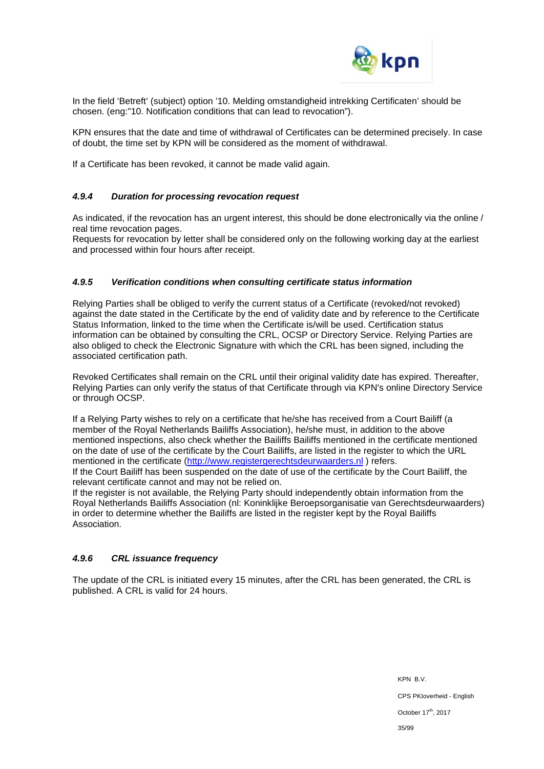

In the field 'Betreft' (subject) option '10. Melding omstandigheid intrekking Certificaten' should be chosen. (eng:"10. Notification conditions that can lead to revocation").

KPN ensures that the date and time of withdrawal of Certificates can be determined precisely. In case of doubt, the time set by KPN will be considered as the moment of withdrawal.

If a Certificate has been revoked, it cannot be made valid again.

### *4.9.4 Duration for processing revocation request*

As indicated, if the revocation has an urgent interest, this should be done electronically via the online / real time revocation pages.

Requests for revocation by letter shall be considered only on the following working day at the earliest and processed within four hours after receipt.

#### *4.9.5 Verification conditions when consulting certificate status information*

Relying Parties shall be obliged to verify the current status of a Certificate (revoked/not revoked) against the date stated in the Certificate by the end of validity date and by reference to the Certificate Status Information, linked to the time when the Certificate is/will be used. Certification status information can be obtained by consulting the CRL, OCSP or Directory Service. Relying Parties are also obliged to check the Electronic Signature with which the CRL has been signed, including the associated certification path.

Revoked Certificates shall remain on the CRL until their original validity date has expired. Thereafter, Relying Parties can only verify the status of that Certificate through via KPN's online Directory Service or through OCSP.

If a Relying Party wishes to rely on a certificate that he/she has received from a Court Bailiff (a member of the Royal Netherlands Bailiffs Association), he/she must, in addition to the above mentioned inspections, also check whether the Bailiffs Bailiffs mentioned in the certificate mentioned on the date of use of the certificate by the Court Bailiffs, are listed in the register to which the URL mentioned in the certificate [\(http://www.registergerechtsdeurwaarders.nl](http://www.registergerechtsdeurwaarders.nl/)) refers.

If the Court Bailiff has been suspended on the date of use of the certificate by the Court Bailiff, the relevant certificate cannot and may not be relied on.

If the register is not available, the Relying Party should independently obtain information from the Royal Netherlands Bailiffs Association (nl: Koninklijke Beroepsorganisatie van Gerechtsdeurwaarders) in order to determine whether the Bailiffs are listed in the register kept by the Royal Bailiffs Association.

### *4.9.6 CRL issuance frequency*

The update of the CRL is initiated every 15 minutes, after the CRL has been generated, the CRL is published. A CRL is valid for 24 hours.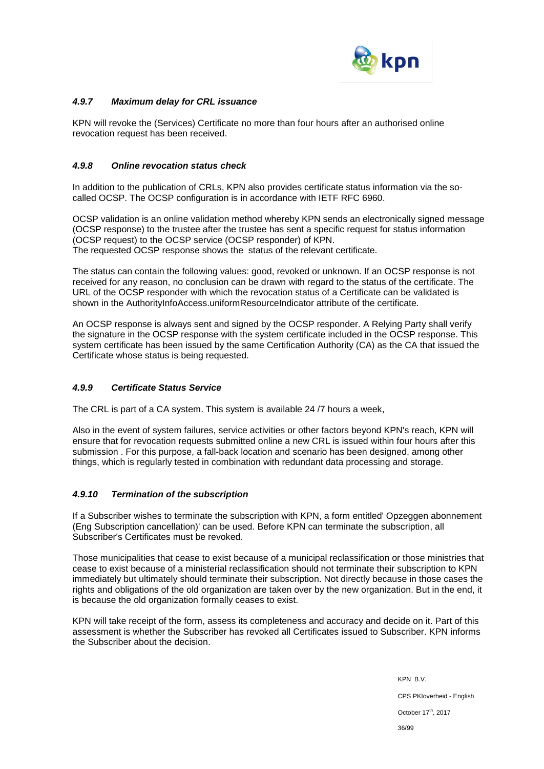

### *4.9.7 Maximum delay for CRL issuance*

KPN will revoke the (Services) Certificate no more than four hours after an authorised online revocation request has been received.

### *4.9.8 Online revocation status check*

In addition to the publication of CRLs, KPN also provides certificate status information via the socalled OCSP. The OCSP configuration is in accordance with IETF RFC 6960.

OCSP validation is an online validation method whereby KPN sends an electronically signed message (OCSP response) to the trustee after the trustee has sent a specific request for status information (OCSP request) to the OCSP service (OCSP responder) of KPN. The requested OCSP response shows the status of the relevant certificate.

The status can contain the following values: good, revoked or unknown. If an OCSP response is not received for any reason, no conclusion can be drawn with regard to the status of the certificate. The URL of the OCSP responder with which the revocation status of a Certificate can be validated is shown in the AuthorityInfoAccess.uniformResourceIndicator attribute of the certificate.

An OCSP response is always sent and signed by the OCSP responder. A Relying Party shall verify the signature in the OCSP response with the system certificate included in the OCSP response. This system certificate has been issued by the same Certification Authority (CA) as the CA that issued the Certificate whose status is being requested.

### *4.9.9 Certificate Status Service*

The CRL is part of a CA system. This system is available 24 /7 hours a week,

Also in the event of system failures, service activities or other factors beyond KPN's reach, KPN will ensure that for revocation requests submitted online a new CRL is issued within four hours after this submission . For this purpose, a fall-back location and scenario has been designed, among other things, which is regularly tested in combination with redundant data processing and storage.

### *4.9.10 Termination of the subscription*

If a Subscriber wishes to terminate the subscription with KPN, a form entitled' Opzeggen abonnement (Eng Subscription cancellation)' can be used. Before KPN can terminate the subscription, all Subscriber's Certificates must be revoked.

Those municipalities that cease to exist because of a municipal reclassification or those ministries that cease to exist because of a ministerial reclassification should not terminate their subscription to KPN immediately but ultimately should terminate their subscription. Not directly because in those cases the rights and obligations of the old organization are taken over by the new organization. But in the end, it is because the old organization formally ceases to exist.

KPN will take receipt of the form, assess its completeness and accuracy and decide on it. Part of this assessment is whether the Subscriber has revoked all Certificates issued to Subscriber. KPN informs the Subscriber about the decision.

> KPN B.V. CPS PKIoverheid - English October 17<sup>th</sup>, 2017 36/99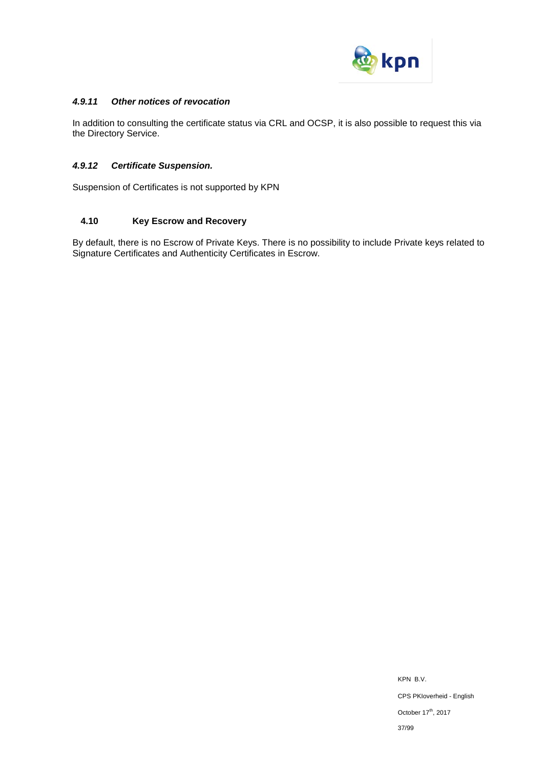

### *4.9.11 Other notices of revocation*

In addition to consulting the certificate status via CRL and OCSP, it is also possible to request this via the Directory Service.

# *4.9.12 Certificate Suspension.*

Suspension of Certificates is not supported by KPN

# **4.10 Key Escrow and Recovery**

By default, there is no Escrow of Private Keys. There is no possibility to include Private keys related to Signature Certificates and Authenticity Certificates in Escrow.

> KPN B.V. CPS PKIoverheid - English October 17<sup>th</sup>, 2017 37/99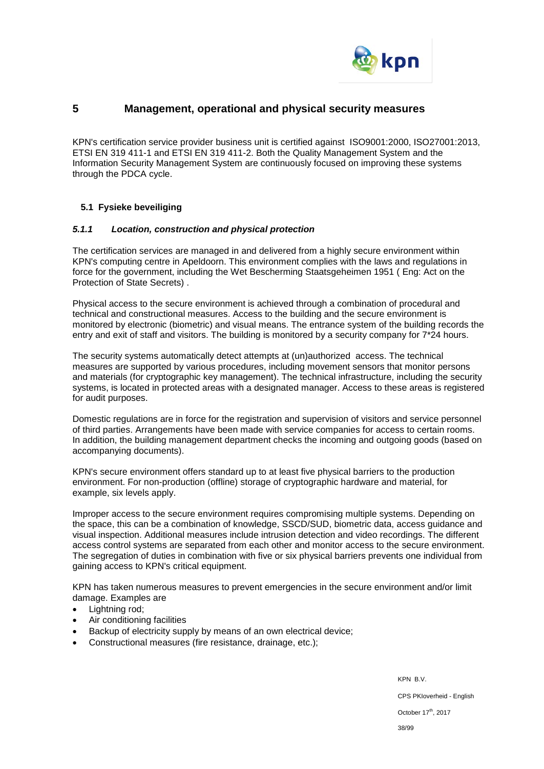

# **5 Management, operational and physical security measures**

KPN's certification service provider business unit is certified against ISO9001:2000, ISO27001:2013, ETSI EN 319 411-1 and ETSI EN 319 411-2. Both the Quality Management System and the Information Security Management System are continuously focused on improving these systems through the PDCA cycle.

# **5.1 Fysieke beveiliging**

#### *5.1.1 Location, construction and physical protection*

The certification services are managed in and delivered from a highly secure environment within KPN's computing centre in Apeldoorn. This environment complies with the laws and regulations in force for the government, including the Wet Bescherming Staatsgeheimen 1951 ( Eng: Act on the Protection of State Secrets) .

Physical access to the secure environment is achieved through a combination of procedural and technical and constructional measures. Access to the building and the secure environment is monitored by electronic (biometric) and visual means. The entrance system of the building records the entry and exit of staff and visitors. The building is monitored by a security company for 7\*24 hours.

The security systems automatically detect attempts at (un)authorized access. The technical measures are supported by various procedures, including movement sensors that monitor persons and materials (for cryptographic key management). The technical infrastructure, including the security systems, is located in protected areas with a designated manager. Access to these areas is registered for audit purposes.

Domestic regulations are in force for the registration and supervision of visitors and service personnel of third parties. Arrangements have been made with service companies for access to certain rooms. In addition, the building management department checks the incoming and outgoing goods (based on accompanying documents).

KPN's secure environment offers standard up to at least five physical barriers to the production environment. For non-production (offline) storage of cryptographic hardware and material, for example, six levels apply.

Improper access to the secure environment requires compromising multiple systems. Depending on the space, this can be a combination of knowledge, SSCD/SUD, biometric data, access guidance and visual inspection. Additional measures include intrusion detection and video recordings. The different access control systems are separated from each other and monitor access to the secure environment. The segregation of duties in combination with five or six physical barriers prevents one individual from gaining access to KPN's critical equipment.

KPN has taken numerous measures to prevent emergencies in the secure environment and/or limit damage. Examples are

- Lightning rod;
- Air conditioning facilities
- Backup of electricity supply by means of an own electrical device;
- Constructional measures (fire resistance, drainage, etc.);

KPN B.V. CPS PKIoverheid - English October 17<sup>th</sup>, 2017 38/99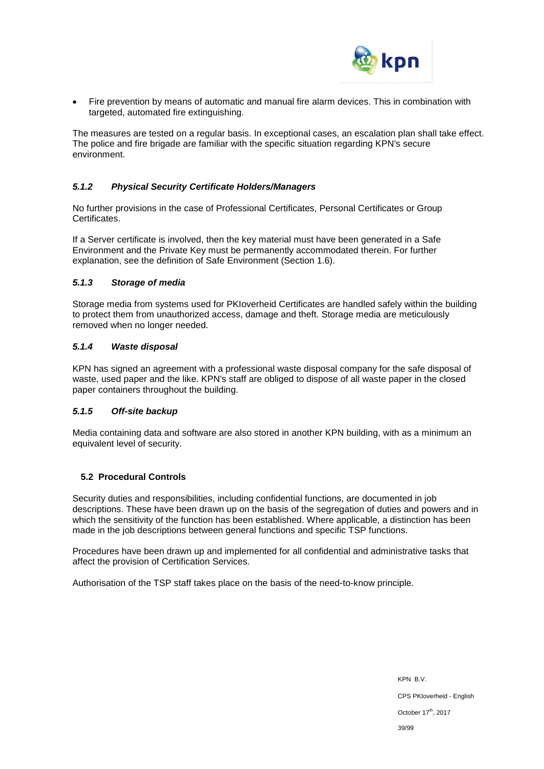

• Fire prevention by means of automatic and manual fire alarm devices. This in combination with targeted, automated fire extinguishing.

The measures are tested on a regular basis. In exceptional cases, an escalation plan shall take effect. The police and fire brigade are familiar with the specific situation regarding KPN's secure environment.

# *5.1.2 Physical Security Certificate Holders/Managers*

No further provisions in the case of Professional Certificates, Personal Certificates or Group **Certificates** 

If a Server certificate is involved, then the key material must have been generated in a Safe Environment and the Private Key must be permanently accommodated therein. For further explanation, see the definition of Safe Environment (Section 1.6).

### *5.1.3 Storage of media*

Storage media from systems used for PKIoverheid Certificates are handled safely within the building to protect them from unauthorized access, damage and theft. Storage media are meticulously removed when no longer needed.

#### *5.1.4 Waste disposal*

KPN has signed an agreement with a professional waste disposal company for the safe disposal of waste, used paper and the like. KPN's staff are obliged to dispose of all waste paper in the closed paper containers throughout the building.

### *5.1.5 Off-site backup*

Media containing data and software are also stored in another KPN building, with as a minimum an equivalent level of security.

### **5.2 Procedural Controls**

Security duties and responsibilities, including confidential functions, are documented in job descriptions. These have been drawn up on the basis of the segregation of duties and powers and in which the sensitivity of the function has been established. Where applicable, a distinction has been made in the job descriptions between general functions and specific TSP functions.

Procedures have been drawn up and implemented for all confidential and administrative tasks that affect the provision of Certification Services.

Authorisation of the TSP staff takes place on the basis of the need-to-know principle.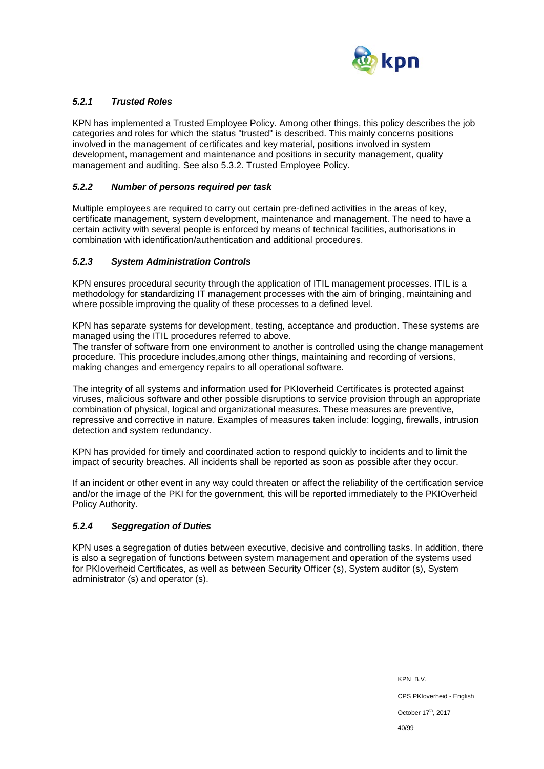

# *5.2.1 Trusted Roles*

KPN has implemented a Trusted Employee Policy. Among other things, this policy describes the job categories and roles for which the status "trusted" is described. This mainly concerns positions involved in the management of certificates and key material, positions involved in system development, management and maintenance and positions in security management, quality management and auditing. See also 5.3.2. Trusted Employee Policy.

#### *5.2.2 Number of persons required per task*

Multiple employees are required to carry out certain pre-defined activities in the areas of key, certificate management, system development, maintenance and management. The need to have a certain activity with several people is enforced by means of technical facilities, authorisations in combination with identification/authentication and additional procedures.

### *5.2.3 System Administration Controls*

KPN ensures procedural security through the application of ITIL management processes. ITIL is a methodology for standardizing IT management processes with the aim of bringing, maintaining and where possible improving the quality of these processes to a defined level.

KPN has separate systems for development, testing, acceptance and production. These systems are managed using the ITIL procedures referred to above.

The transfer of software from one environment to another is controlled using the change management procedure. This procedure includes,among other things, maintaining and recording of versions, making changes and emergency repairs to all operational software.

The integrity of all systems and information used for PKIoverheid Certificates is protected against viruses, malicious software and other possible disruptions to service provision through an appropriate combination of physical, logical and organizational measures. These measures are preventive, repressive and corrective in nature. Examples of measures taken include: logging, firewalls, intrusion detection and system redundancy.

KPN has provided for timely and coordinated action to respond quickly to incidents and to limit the impact of security breaches. All incidents shall be reported as soon as possible after they occur.

If an incident or other event in any way could threaten or affect the reliability of the certification service and/or the image of the PKI for the government, this will be reported immediately to the PKIOverheid Policy Authority.

### *5.2.4 Seggregation of Duties*

KPN uses a segregation of duties between executive, decisive and controlling tasks. In addition, there is also a segregation of functions between system management and operation of the systems used for PKIoverheid Certificates, as well as between Security Officer (s), System auditor (s), System administrator (s) and operator (s).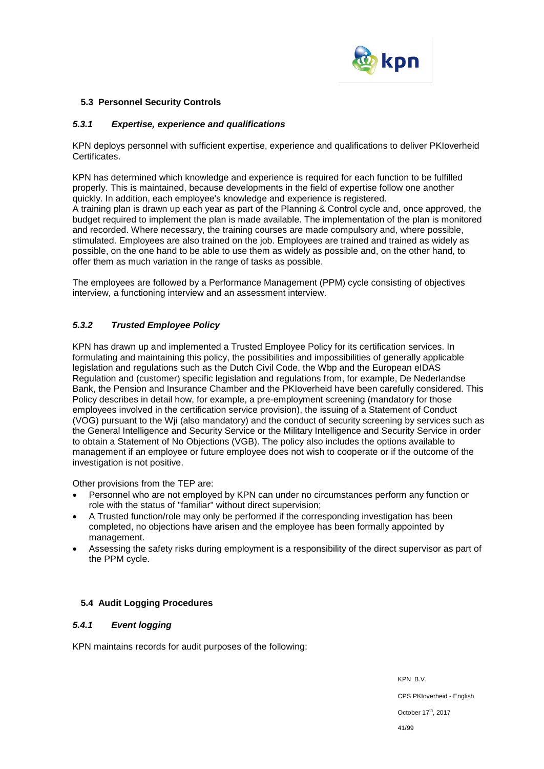

### **5.3 Personnel Security Controls**

### *5.3.1 Expertise, experience and qualifications*

KPN deploys personnel with sufficient expertise, experience and qualifications to deliver PKIoverheid Certificates.

KPN has determined which knowledge and experience is required for each function to be fulfilled properly. This is maintained, because developments in the field of expertise follow one another quickly. In addition, each employee's knowledge and experience is registered. A training plan is drawn up each year as part of the Planning & Control cycle and, once approved, the budget required to implement the plan is made available. The implementation of the plan is monitored and recorded. Where necessary, the training courses are made compulsory and, where possible, stimulated. Employees are also trained on the job. Employees are trained and trained as widely as possible, on the one hand to be able to use them as widely as possible and, on the other hand, to offer them as much variation in the range of tasks as possible.

The employees are followed by a Performance Management (PPM) cycle consisting of objectives interview, a functioning interview and an assessment interview.

# *5.3.2 Trusted Employee Policy*

KPN has drawn up and implemented a Trusted Employee Policy for its certification services. In formulating and maintaining this policy, the possibilities and impossibilities of generally applicable legislation and regulations such as the Dutch Civil Code, the Wbp and the European eIDAS Regulation and (customer) specific legislation and regulations from, for example, De Nederlandse Bank, the Pension and Insurance Chamber and the PKIoverheid have been carefully considered. This Policy describes in detail how, for example, a pre-employment screening (mandatory for those employees involved in the certification service provision), the issuing of a Statement of Conduct (VOG) pursuant to the Wji (also mandatory) and the conduct of security screening by services such as the General Intelligence and Security Service or the Military Intelligence and Security Service in order to obtain a Statement of No Objections (VGB). The policy also includes the options available to management if an employee or future employee does not wish to cooperate or if the outcome of the investigation is not positive.

Other provisions from the TEP are:

- Personnel who are not employed by KPN can under no circumstances perform any function or role with the status of "familiar" without direct supervision;
- A Trusted function/role may only be performed if the corresponding investigation has been completed, no objections have arisen and the employee has been formally appointed by management.
- Assessing the safety risks during employment is a responsibility of the direct supervisor as part of the PPM cycle.

### **5.4 Audit Logging Procedures**

# *5.4.1 Event logging*

KPN maintains records for audit purposes of the following: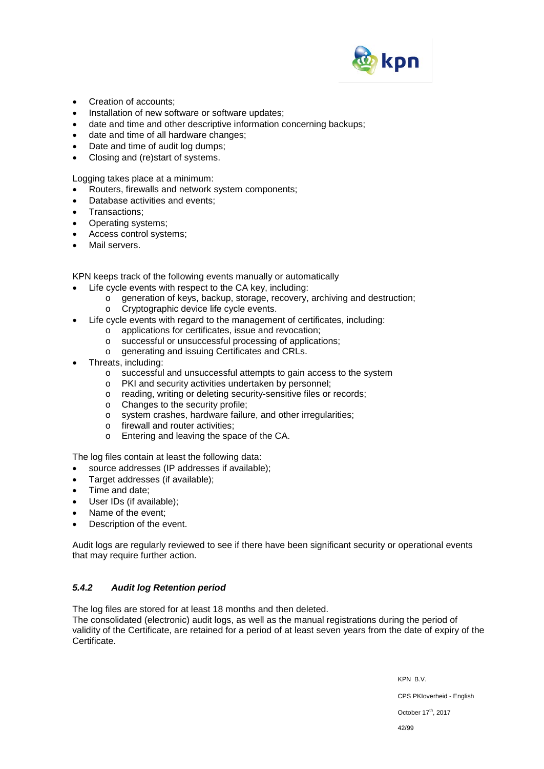

- Creation of accounts;
- Installation of new software or software updates;
- date and time and other descriptive information concerning backups;
- date and time of all hardware changes;
- Date and time of audit log dumps:
- Closing and (re)start of systems.

Logging takes place at a minimum:

- Routers, firewalls and network system components;
- Database activities and events;
- Transactions;
- Operating systems;
- Access control systems;
- Mail servers.

KPN keeps track of the following events manually or automatically

- Life cycle events with respect to the CA key, including:
	- o generation of keys, backup, storage, recovery, archiving and destruction;
	- o Cryptographic device life cycle events.
- Life cycle events with regard to the management of certificates, including:
	- o applications for certificates, issue and revocation;
	- o successful or unsuccessful processing of applications;
	- o generating and issuing Certificates and CRLs.
- Threats, including:
	- o successful and unsuccessful attempts to gain access to the system
	- o PKI and security activities undertaken by personnel;
	- o reading, writing or deleting security-sensitive files or records;
	- o Changes to the security profile;
	- o system crashes, hardware failure, and other irregularities;
	- o firewall and router activities;
	- o Entering and leaving the space of the CA.

The log files contain at least the following data:

- source addresses (IP addresses if available);
- Target addresses (if available);
- Time and date;
- User IDs (if available);
- Name of the event;
- Description of the event.

Audit logs are regularly reviewed to see if there have been significant security or operational events that may require further action.

### *5.4.2 Audit log Retention period*

The log files are stored for at least 18 months and then deleted.

The consolidated (electronic) audit logs, as well as the manual registrations during the period of validity of the Certificate, are retained for a period of at least seven years from the date of expiry of the Certificate.

> KPN B.V. CPS PKIoverheid - English October 17<sup>th</sup>, 2017 42/99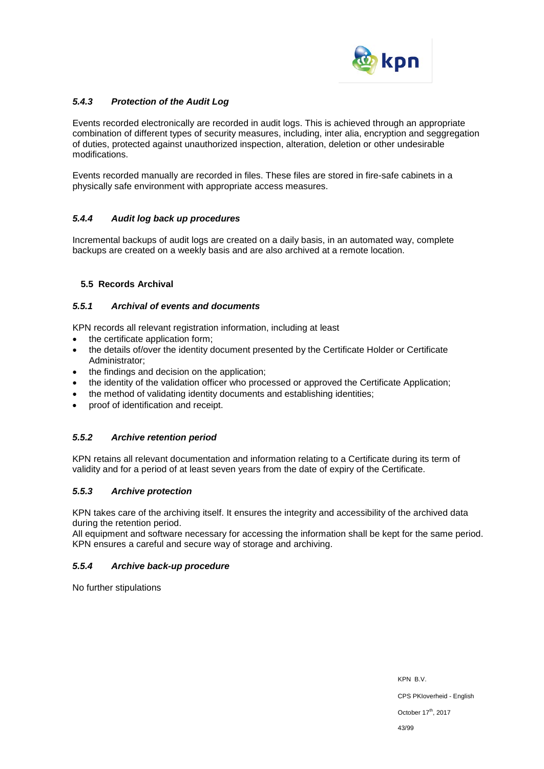

# *5.4.3 Protection of the Audit Log*

Events recorded electronically are recorded in audit logs. This is achieved through an appropriate combination of different types of security measures, including, inter alia, encryption and seggregation of duties, protected against unauthorized inspection, alteration, deletion or other undesirable modifications.

Events recorded manually are recorded in files. These files are stored in fire-safe cabinets in a physically safe environment with appropriate access measures.

# *5.4.4 Audit log back up procedures*

Incremental backups of audit logs are created on a daily basis, in an automated way, complete backups are created on a weekly basis and are also archived at a remote location.

# **5.5 Records Archival**

### *5.5.1 Archival of events and documents*

KPN records all relevant registration information, including at least

- the certificate application form;
- the details of/over the identity document presented by the Certificate Holder or Certificate Administrator;
- the findings and decision on the application;
- the identity of the validation officer who processed or approved the Certificate Application;
- the method of validating identity documents and establishing identities;
- proof of identification and receipt.

### *5.5.2 Archive retention period*

KPN retains all relevant documentation and information relating to a Certificate during its term of validity and for a period of at least seven years from the date of expiry of the Certificate.

### *5.5.3 Archive protection*

KPN takes care of the archiving itself. It ensures the integrity and accessibility of the archived data during the retention period.

All equipment and software necessary for accessing the information shall be kept for the same period. KPN ensures a careful and secure way of storage and archiving.

### *5.5.4 Archive back-up procedure*

No further stipulations

KPN B.V. CPS PKIoverheid - English October 17<sup>th</sup>, 2017 43/99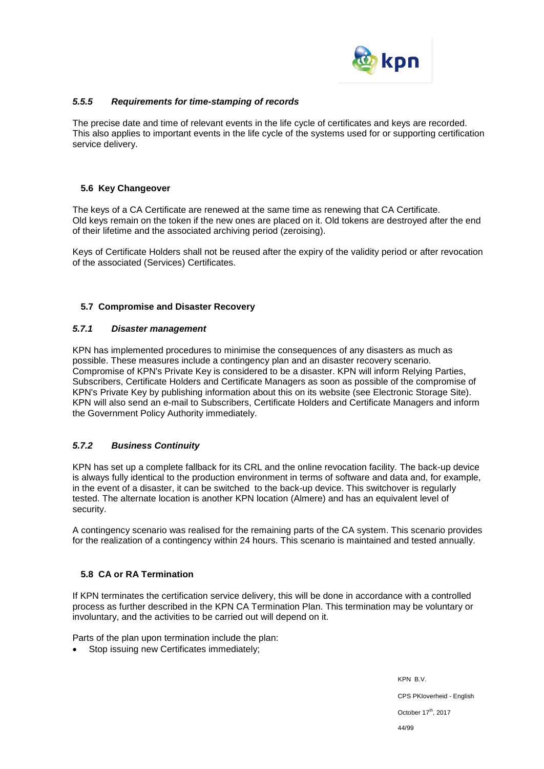

# *5.5.5 Requirements for time-stamping of records*

The precise date and time of relevant events in the life cycle of certificates and keys are recorded. This also applies to important events in the life cycle of the systems used for or supporting certification service delivery.

### **5.6 Key Changeover**

The keys of a CA Certificate are renewed at the same time as renewing that CA Certificate. Old keys remain on the token if the new ones are placed on it. Old tokens are destroyed after the end of their lifetime and the associated archiving period (zeroising).

Keys of Certificate Holders shall not be reused after the expiry of the validity period or after revocation of the associated (Services) Certificates.

# **5.7 Compromise and Disaster Recovery**

### *5.7.1 Disaster management*

KPN has implemented procedures to minimise the consequences of any disasters as much as possible. These measures include a contingency plan and an disaster recovery scenario. Compromise of KPN's Private Key is considered to be a disaster. KPN will inform Relying Parties, Subscribers, Certificate Holders and Certificate Managers as soon as possible of the compromise of KPN's Private Key by publishing information about this on its website (see Electronic Storage Site). KPN will also send an e-mail to Subscribers, Certificate Holders and Certificate Managers and inform the Government Policy Authority immediately.

# *5.7.2 Business Continuity*

KPN has set up a complete fallback for its CRL and the online revocation facility. The back-up device is always fully identical to the production environment in terms of software and data and, for example, in the event of a disaster, it can be switched to the back-up device. This switchover is regularly tested. The alternate location is another KPN location (Almere) and has an equivalent level of security.

A contingency scenario was realised for the remaining parts of the CA system. This scenario provides for the realization of a contingency within 24 hours. This scenario is maintained and tested annually.

### **5.8 CA or RA Termination**

If KPN terminates the certification service delivery, this will be done in accordance with a controlled process as further described in the KPN CA Termination Plan. This termination may be voluntary or involuntary, and the activities to be carried out will depend on it.

Parts of the plan upon termination include the plan:

Stop issuing new Certificates immediately;

KPN B.V. CPS PKIoverheid - English October 17<sup>th</sup>, 2017 44/99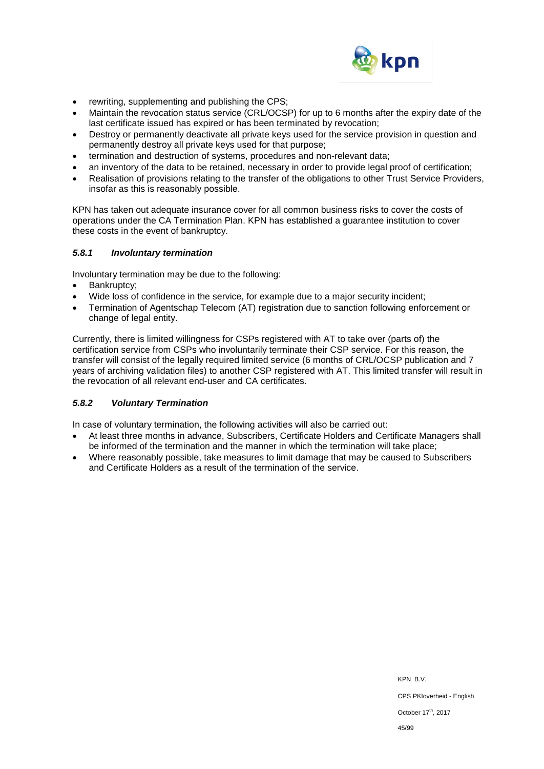

- rewriting, supplementing and publishing the CPS;
- Maintain the revocation status service (CRL/OCSP) for up to 6 months after the expiry date of the last certificate issued has expired or has been terminated by revocation;
- Destroy or permanently deactivate all private keys used for the service provision in question and permanently destroy all private keys used for that purpose;
- termination and destruction of systems, procedures and non-relevant data;
- an inventory of the data to be retained, necessary in order to provide legal proof of certification;
- Realisation of provisions relating to the transfer of the obligations to other Trust Service Providers, insofar as this is reasonably possible.

KPN has taken out adequate insurance cover for all common business risks to cover the costs of operations under the CA Termination Plan. KPN has established a guarantee institution to cover these costs in the event of bankruptcy.

#### *5.8.1 Involuntary termination*

Involuntary termination may be due to the following:

- Bankruptcy:
- Wide loss of confidence in the service, for example due to a major security incident;
- Termination of Agentschap Telecom (AT) registration due to sanction following enforcement or change of legal entity.

Currently, there is limited willingness for CSPs registered with AT to take over (parts of) the certification service from CSPs who involuntarily terminate their CSP service. For this reason, the transfer will consist of the legally required limited service (6 months of CRL/OCSP publication and 7 years of archiving validation files) to another CSP registered with AT. This limited transfer will result in the revocation of all relevant end-user and CA certificates.

### *5.8.2 Voluntary Termination*

In case of voluntary termination, the following activities will also be carried out:

- At least three months in advance, Subscribers, Certificate Holders and Certificate Managers shall be informed of the termination and the manner in which the termination will take place;
- Where reasonably possible, take measures to limit damage that may be caused to Subscribers and Certificate Holders as a result of the termination of the service.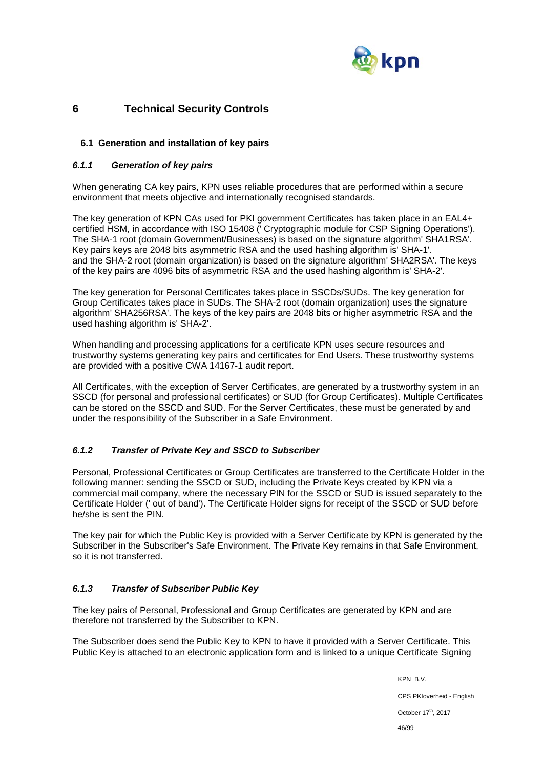

# **6 Technical Security Controls**

### **6.1 Generation and installation of key pairs**

### *6.1.1 Generation of key pairs*

When generating CA key pairs, KPN uses reliable procedures that are performed within a secure environment that meets objective and internationally recognised standards.

The key generation of KPN CAs used for PKI government Certificates has taken place in an EAL4+ certified HSM, in accordance with ISO 15408 (' Cryptographic module for CSP Signing Operations'). The SHA-1 root (domain Government/Businesses) is based on the signature algorithm' SHA1RSA'. Key pairs keys are 2048 bits asymmetric RSA and the used hashing algorithm is' SHA-1'. and the SHA-2 root (domain organization) is based on the signature algorithm' SHA2RSA'. The keys of the key pairs are 4096 bits of asymmetric RSA and the used hashing algorithm is' SHA-2'.

The key generation for Personal Certificates takes place in SSCDs/SUDs. The key generation for Group Certificates takes place in SUDs. The SHA-2 root (domain organization) uses the signature algorithm' SHA256RSA'. The keys of the key pairs are 2048 bits or higher asymmetric RSA and the used hashing algorithm is' SHA-2'.

When handling and processing applications for a certificate KPN uses secure resources and trustworthy systems generating key pairs and certificates for End Users. These trustworthy systems are provided with a positive CWA 14167-1 audit report.

All Certificates, with the exception of Server Certificates, are generated by a trustworthy system in an SSCD (for personal and professional certificates) or SUD (for Group Certificates). Multiple Certificates can be stored on the SSCD and SUD. For the Server Certificates, these must be generated by and under the responsibility of the Subscriber in a Safe Environment.

### *6.1.2 Transfer of Private Key and SSCD to Subscriber*

Personal, Professional Certificates or Group Certificates are transferred to the Certificate Holder in the following manner: sending the SSCD or SUD, including the Private Keys created by KPN via a commercial mail company, where the necessary PIN for the SSCD or SUD is issued separately to the Certificate Holder (' out of band'). The Certificate Holder signs for receipt of the SSCD or SUD before he/she is sent the PIN.

The key pair for which the Public Key is provided with a Server Certificate by KPN is generated by the Subscriber in the Subscriber's Safe Environment. The Private Key remains in that Safe Environment, so it is not transferred.

### *6.1.3 Transfer of Subscriber Public Key*

The key pairs of Personal, Professional and Group Certificates are generated by KPN and are therefore not transferred by the Subscriber to KPN.

The Subscriber does send the Public Key to KPN to have it provided with a Server Certificate. This Public Key is attached to an electronic application form and is linked to a unique Certificate Signing

> KPN B.V. CPS PKIoverheid - English October 17<sup>th</sup>, 2017 46/99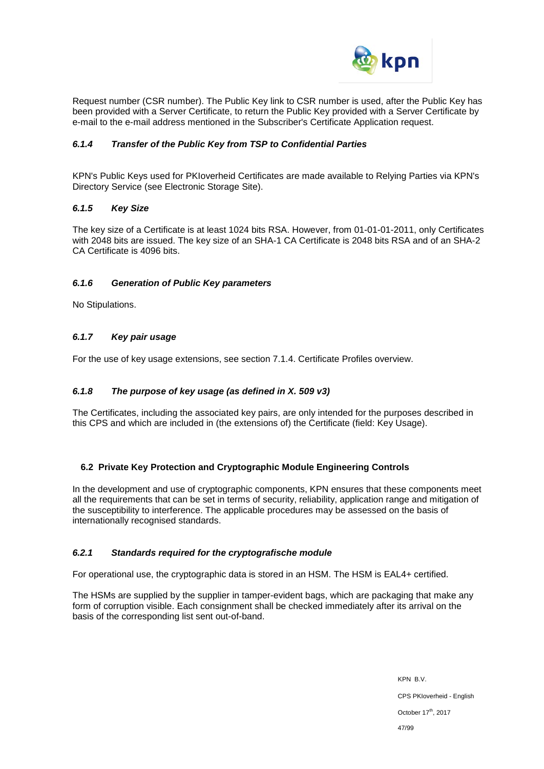

Request number (CSR number). The Public Key link to CSR number is used, after the Public Key has been provided with a Server Certificate, to return the Public Key provided with a Server Certificate by e-mail to the e-mail address mentioned in the Subscriber's Certificate Application request.

### *6.1.4 Transfer of the Public Key from TSP to Confidential Parties*

KPN's Public Keys used for PKIoverheid Certificates are made available to Relying Parties via KPN's Directory Service (see Electronic Storage Site).

### *6.1.5 Key Size*

The key size of a Certificate is at least 1024 bits RSA. However, from 01-01-01-2011, only Certificates with 2048 bits are issued. The key size of an SHA-1 CA Certificate is 2048 bits RSA and of an SHA-2 CA Certificate is 4096 bits.

### *6.1.6 Generation of Public Key parameters*

No Stipulations.

### *6.1.7 Key pair usage*

For the use of key usage extensions, see section 7.1.4. Certificate Profiles overview.

### *6.1.8 The purpose of key usage (as defined in X. 509 v3)*

The Certificates, including the associated key pairs, are only intended for the purposes described in this CPS and which are included in (the extensions of) the Certificate (field: Key Usage).

### **6.2 Private Key Protection and Cryptographic Module Engineering Controls**

In the development and use of cryptographic components, KPN ensures that these components meet all the requirements that can be set in terms of security, reliability, application range and mitigation of the susceptibility to interference. The applicable procedures may be assessed on the basis of internationally recognised standards.

### *6.2.1 Standards required for the cryptografische module*

For operational use, the cryptographic data is stored in an HSM. The HSM is EAL4+ certified.

The HSMs are supplied by the supplier in tamper-evident bags, which are packaging that make any form of corruption visible. Each consignment shall be checked immediately after its arrival on the basis of the corresponding list sent out-of-band.

> KPN B.V. CPS PKIoverheid - English October 17<sup>th</sup>, 2017 47/99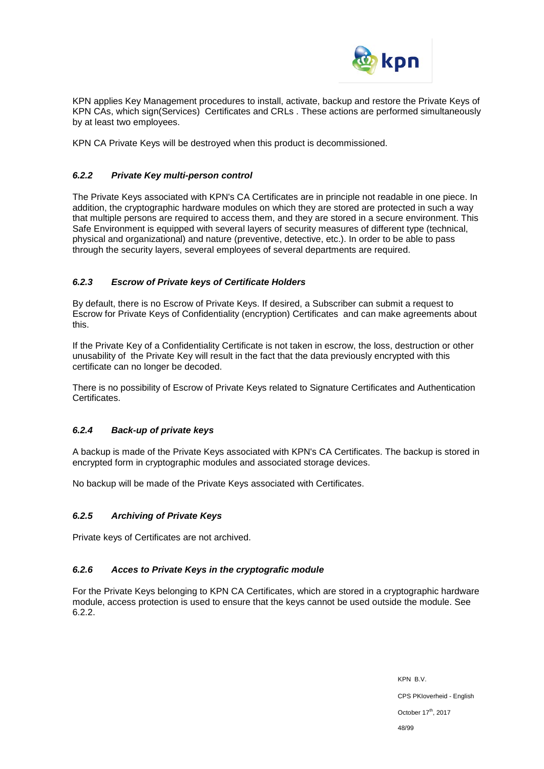

KPN applies Key Management procedures to install, activate, backup and restore the Private Keys of KPN CAs, which sign(Services) Certificates and CRLs . These actions are performed simultaneously by at least two employees.

KPN CA Private Keys will be destroyed when this product is decommissioned.

### *6.2.2 Private Key multi-person control*

The Private Keys associated with KPN's CA Certificates are in principle not readable in one piece. In addition, the cryptographic hardware modules on which they are stored are protected in such a way that multiple persons are required to access them, and they are stored in a secure environment. This Safe Environment is equipped with several layers of security measures of different type (technical, physical and organizational) and nature (preventive, detective, etc.). In order to be able to pass through the security layers, several employees of several departments are required.

# *6.2.3 Escrow of Private keys of Certificate Holders*

By default, there is no Escrow of Private Keys. If desired, a Subscriber can submit a request to Escrow for Private Keys of Confidentiality (encryption) Certificates and can make agreements about this.

If the Private Key of a Confidentiality Certificate is not taken in escrow, the loss, destruction or other unusability of the Private Key will result in the fact that the data previously encrypted with this certificate can no longer be decoded.

There is no possibility of Escrow of Private Keys related to Signature Certificates and Authentication Certificates.

### *6.2.4 Back-up of private keys*

A backup is made of the Private Keys associated with KPN's CA Certificates. The backup is stored in encrypted form in cryptographic modules and associated storage devices.

No backup will be made of the Private Keys associated with Certificates.

### *6.2.5 Archiving of Private Keys*

Private keys of Certificates are not archived.

### *6.2.6 Acces to Private Keys in the cryptografic module*

For the Private Keys belonging to KPN CA Certificates, which are stored in a cryptographic hardware module, access protection is used to ensure that the keys cannot be used outside the module. See 6.2.2.

> KPN B.V. CPS PKIoverheid - English October 17<sup>th</sup>, 2017 48/99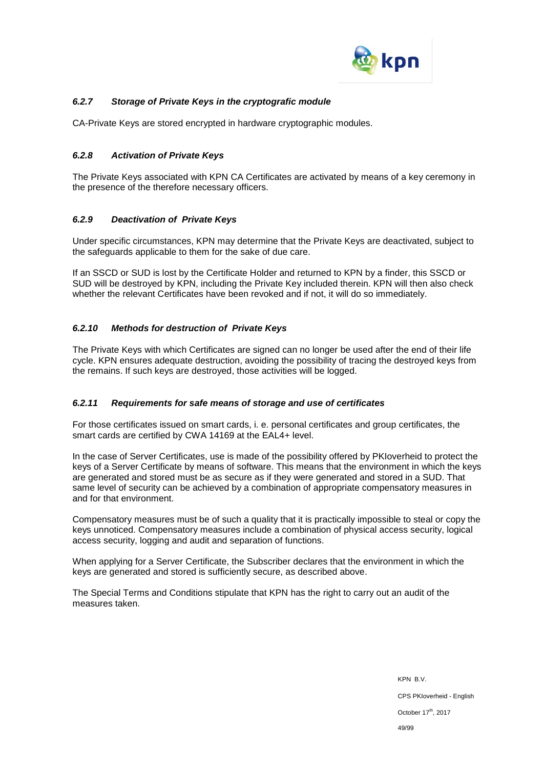

# *6.2.7 Storage of Private Keys in the cryptografic module*

CA-Private Keys are stored encrypted in hardware cryptographic modules.

### *6.2.8 Activation of Private Keys*

The Private Keys associated with KPN CA Certificates are activated by means of a key ceremony in the presence of the therefore necessary officers.

# *6.2.9 Deactivation of Private Keys*

Under specific circumstances, KPN may determine that the Private Keys are deactivated, subject to the safeguards applicable to them for the sake of due care.

If an SSCD or SUD is lost by the Certificate Holder and returned to KPN by a finder, this SSCD or SUD will be destroyed by KPN, including the Private Key included therein. KPN will then also check whether the relevant Certificates have been revoked and if not, it will do so immediately.

### *6.2.10 Methods for destruction of Private Keys*

The Private Keys with which Certificates are signed can no longer be used after the end of their life cycle. KPN ensures adequate destruction, avoiding the possibility of tracing the destroyed keys from the remains. If such keys are destroyed, those activities will be logged.

### *6.2.11 Requirements for safe means of storage and use of certificates*

For those certificates issued on smart cards, i. e. personal certificates and group certificates, the smart cards are certified by CWA 14169 at the EAL4+ level.

In the case of Server Certificates, use is made of the possibility offered by PKIoverheid to protect the keys of a Server Certificate by means of software. This means that the environment in which the keys are generated and stored must be as secure as if they were generated and stored in a SUD. That same level of security can be achieved by a combination of appropriate compensatory measures in and for that environment.

Compensatory measures must be of such a quality that it is practically impossible to steal or copy the keys unnoticed. Compensatory measures include a combination of physical access security, logical access security, logging and audit and separation of functions.

When applying for a Server Certificate, the Subscriber declares that the environment in which the keys are generated and stored is sufficiently secure, as described above.

The Special Terms and Conditions stipulate that KPN has the right to carry out an audit of the measures taken.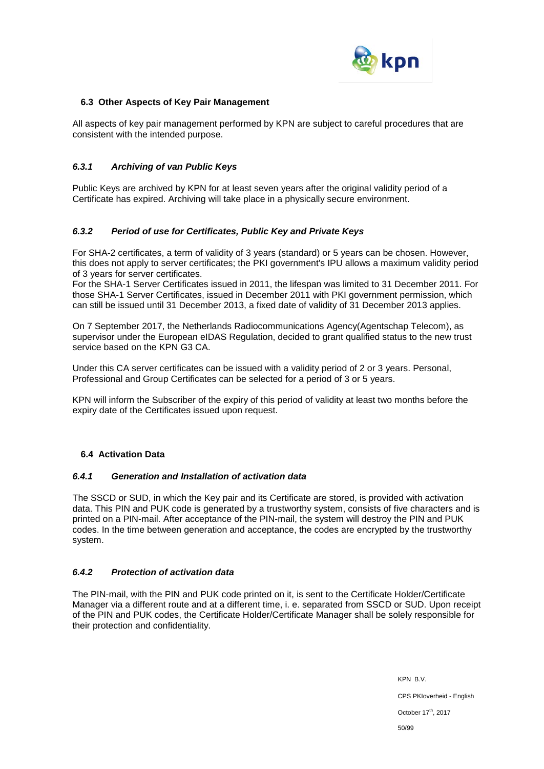

#### **6.3 Other Aspects of Key Pair Management**

All aspects of key pair management performed by KPN are subject to careful procedures that are consistent with the intended purpose.

### *6.3.1 Archiving of van Public Keys*

Public Keys are archived by KPN for at least seven years after the original validity period of a Certificate has expired. Archiving will take place in a physically secure environment.

### *6.3.2 Period of use for Certificates, Public Key and Private Keys*

For SHA-2 certificates, a term of validity of 3 years (standard) or 5 years can be chosen. However, this does not apply to server certificates; the PKI government's IPU allows a maximum validity period of 3 years for server certificates.

For the SHA-1 Server Certificates issued in 2011, the lifespan was limited to 31 December 2011. For those SHA-1 Server Certificates, issued in December 2011 with PKI government permission, which can still be issued until 31 December 2013, a fixed date of validity of 31 December 2013 applies.

On 7 September 2017, the Netherlands Radiocommunications Agency(Agentschap Telecom), as supervisor under the European eIDAS Regulation, decided to grant qualified status to the new trust service based on the KPN G3 CA.

Under this CA server certificates can be issued with a validity period of 2 or 3 years. Personal, Professional and Group Certificates can be selected for a period of 3 or 5 years.

KPN will inform the Subscriber of the expiry of this period of validity at least two months before the expiry date of the Certificates issued upon request.

### **6.4 Activation Data**

### *6.4.1 Generation and Installation of activation data*

The SSCD or SUD, in which the Key pair and its Certificate are stored, is provided with activation data. This PIN and PUK code is generated by a trustworthy system, consists of five characters and is printed on a PIN-mail. After acceptance of the PIN-mail, the system will destroy the PIN and PUK codes. In the time between generation and acceptance, the codes are encrypted by the trustworthy system.

### *6.4.2 Protection of activation data*

The PIN-mail, with the PIN and PUK code printed on it, is sent to the Certificate Holder/Certificate Manager via a different route and at a different time, i. e. separated from SSCD or SUD. Upon receipt of the PIN and PUK codes, the Certificate Holder/Certificate Manager shall be solely responsible for their protection and confidentiality.

> KPN B.V. CPS PKIoverheid - English October 17<sup>th</sup>, 2017 50/99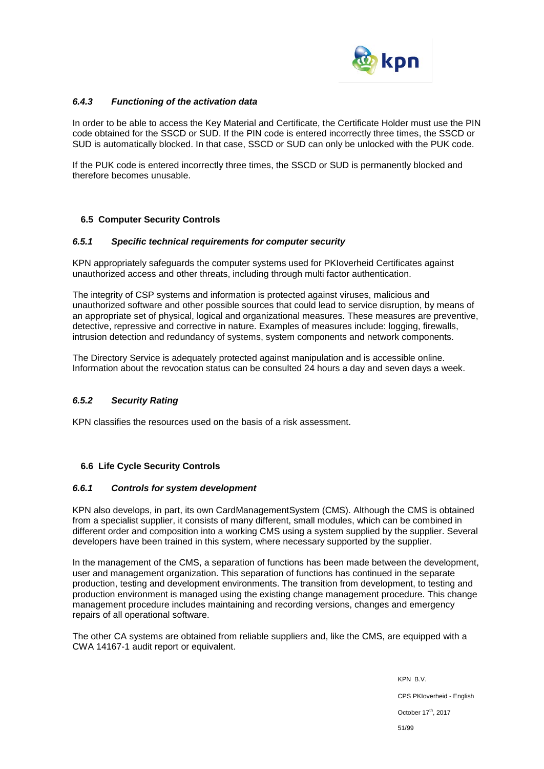

### *6.4.3 Functioning of the activation data*

In order to be able to access the Key Material and Certificate, the Certificate Holder must use the PIN code obtained for the SSCD or SUD. If the PIN code is entered incorrectly three times, the SSCD or SUD is automatically blocked. In that case, SSCD or SUD can only be unlocked with the PUK code.

If the PUK code is entered incorrectly three times, the SSCD or SUD is permanently blocked and therefore becomes unusable.

# **6.5 Computer Security Controls**

### *6.5.1 Specific technical requirements for computer security*

KPN appropriately safeguards the computer systems used for PKIoverheid Certificates against unauthorized access and other threats, including through multi factor authentication.

The integrity of CSP systems and information is protected against viruses, malicious and unauthorized software and other possible sources that could lead to service disruption, by means of an appropriate set of physical, logical and organizational measures. These measures are preventive, detective, repressive and corrective in nature. Examples of measures include: logging, firewalls, intrusion detection and redundancy of systems, system components and network components.

The Directory Service is adequately protected against manipulation and is accessible online. Information about the revocation status can be consulted 24 hours a day and seven days a week.

### *6.5.2 Security Rating*

KPN classifies the resources used on the basis of a risk assessment.

### **6.6 Life Cycle Security Controls**

#### *6.6.1 Controls for system development*

KPN also develops, in part, its own CardManagementSystem (CMS). Although the CMS is obtained from a specialist supplier, it consists of many different, small modules, which can be combined in different order and composition into a working CMS using a system supplied by the supplier. Several developers have been trained in this system, where necessary supported by the supplier.

In the management of the CMS, a separation of functions has been made between the development, user and management organization. This separation of functions has continued in the separate production, testing and development environments. The transition from development, to testing and production environment is managed using the existing change management procedure. This change management procedure includes maintaining and recording versions, changes and emergency repairs of all operational software.

The other CA systems are obtained from reliable suppliers and, like the CMS, are equipped with a CWA 14167-1 audit report or equivalent.

> KPN B.V. CPS PKIoverheid - English October 17<sup>th</sup>, 2017 51/99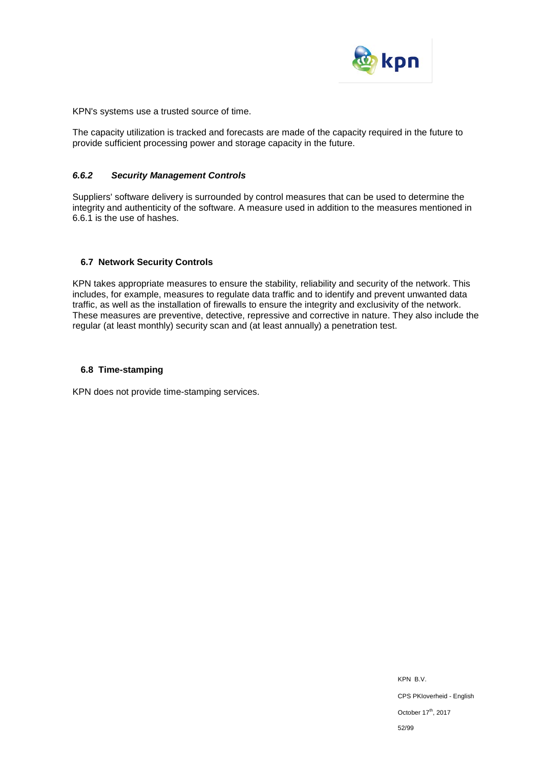

KPN's systems use a trusted source of time.

The capacity utilization is tracked and forecasts are made of the capacity required in the future to provide sufficient processing power and storage capacity in the future.

### *6.6.2 Security Management Controls*

Suppliers' software delivery is surrounded by control measures that can be used to determine the integrity and authenticity of the software. A measure used in addition to the measures mentioned in 6.6.1 is the use of hashes.

# **6.7 Network Security Controls**

KPN takes appropriate measures to ensure the stability, reliability and security of the network. This includes, for example, measures to regulate data traffic and to identify and prevent unwanted data traffic, as well as the installation of firewalls to ensure the integrity and exclusivity of the network. These measures are preventive, detective, repressive and corrective in nature. They also include the regular (at least monthly) security scan and (at least annually) a penetration test.

### **6.8 Time-stamping**

KPN does not provide time-stamping services.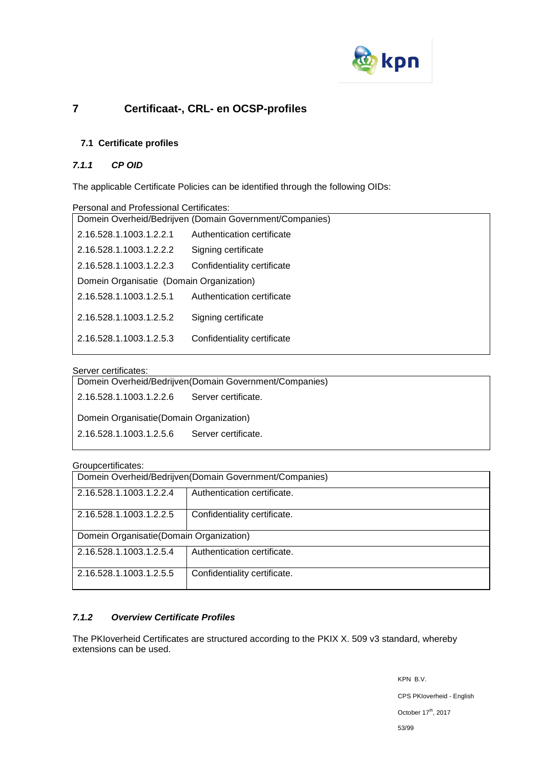

# **7 Certificaat-, CRL- en OCSP-profiles**

# **7.1 Certificate profiles**

# *7.1.1 CP OID*

The applicable Certificate Policies can be identified through the following OIDs:

| Personal and Professional Certificates:                 |                             |  |
|---------------------------------------------------------|-----------------------------|--|
| Domein Overheid/Bedrijven (Domain Government/Companies) |                             |  |
| 2.16.528.1.1003.1.2.2.1                                 | Authentication certificate  |  |
| 2.16.528.1.1003.1.2.2.2                                 | Signing certificate         |  |
| 2.16.528.1.1003.1.2.2.3                                 | Confidentiality certificate |  |
| Domein Organisatie (Domain Organization)                |                             |  |
| 2.16.528.1.1003.1.2.5.1                                 | Authentication certificate  |  |
| 2.16.528.1.1003.1.2.5.2                                 | Signing certificate         |  |
| 2.16.528.1.1003.1.2.5.3                                 | Confidentiality certificate |  |
|                                                         |                             |  |

### Server certificates:

Domein Overheid/Bedrijven(Domain Government/Companies) 2.16.528.1.1003.1.2.2.6 Server certificate.

Domein Organisatie(Domain Organization)

2.16.528.1.1003.1.2.5.6 Server certificate.

### Groupcertificates:

| Domein Overheid/Bedrijven (Domain Government/Companies) |                              |  |
|---------------------------------------------------------|------------------------------|--|
| 2.16.528.1.1003.1.2.2.4                                 | Authentication certificate.  |  |
| 2.16.528.1.1003.1.2.2.5                                 | Confidentiality certificate. |  |
| Domein Organisatie (Domain Organization)                |                              |  |
| 2.16.528.1.1003.1.2.5.4                                 | Authentication certificate.  |  |
| 2.16.528.1.1003.1.2.5.5                                 | Confidentiality certificate. |  |

### *7.1.2 Overview Certificate Profiles*

The PKIoverheid Certificates are structured according to the PKIX X. 509 v3 standard, whereby extensions can be used.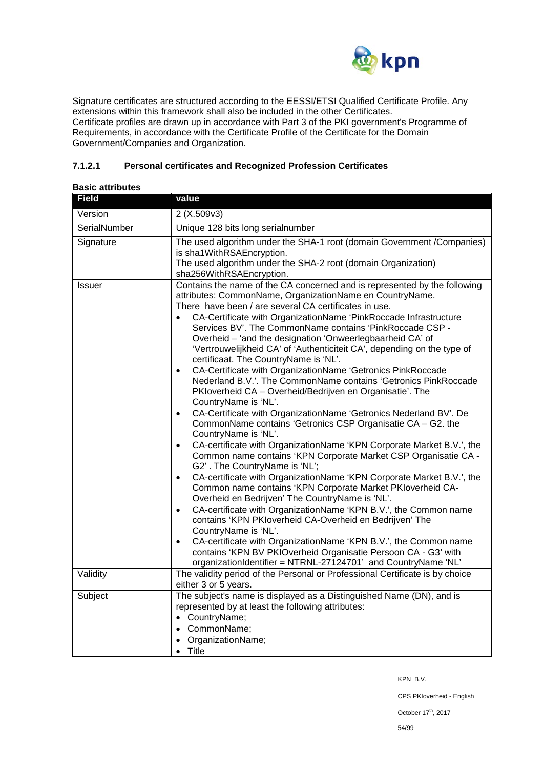

Signature certificates are structured according to the EESSI/ETSI Qualified Certificate Profile. Any extensions within this framework shall also be included in the other Certificates. Certificate profiles are drawn up in accordance with Part 3 of the PKI government's Programme of Requirements, in accordance with the Certificate Profile of the Certificate for the Domain Government/Companies and Organization.

# **7.1.2.1 Personal certificates and Recognized Profession Certificates**

| Dasit alli ibulus<br><b>Field</b> | value                                                                                                                                                                                                                                                                                                                                                                                                                                                                                                                                                                                                                                                                                                                                                                                                                                                                                                                                                                                                                                                                                                                                                                                                                                                                                                                                                                                                                                                                                                                                                                                                                                                                                                   |  |
|-----------------------------------|---------------------------------------------------------------------------------------------------------------------------------------------------------------------------------------------------------------------------------------------------------------------------------------------------------------------------------------------------------------------------------------------------------------------------------------------------------------------------------------------------------------------------------------------------------------------------------------------------------------------------------------------------------------------------------------------------------------------------------------------------------------------------------------------------------------------------------------------------------------------------------------------------------------------------------------------------------------------------------------------------------------------------------------------------------------------------------------------------------------------------------------------------------------------------------------------------------------------------------------------------------------------------------------------------------------------------------------------------------------------------------------------------------------------------------------------------------------------------------------------------------------------------------------------------------------------------------------------------------------------------------------------------------------------------------------------------------|--|
|                                   |                                                                                                                                                                                                                                                                                                                                                                                                                                                                                                                                                                                                                                                                                                                                                                                                                                                                                                                                                                                                                                                                                                                                                                                                                                                                                                                                                                                                                                                                                                                                                                                                                                                                                                         |  |
| Version                           | 2 (X.509v3)                                                                                                                                                                                                                                                                                                                                                                                                                                                                                                                                                                                                                                                                                                                                                                                                                                                                                                                                                                                                                                                                                                                                                                                                                                                                                                                                                                                                                                                                                                                                                                                                                                                                                             |  |
| SerialNumber                      | Unique 128 bits long serialnumber                                                                                                                                                                                                                                                                                                                                                                                                                                                                                                                                                                                                                                                                                                                                                                                                                                                                                                                                                                                                                                                                                                                                                                                                                                                                                                                                                                                                                                                                                                                                                                                                                                                                       |  |
| Signature                         | The used algorithm under the SHA-1 root (domain Government / Companies)<br>is sha1WithRSAEncryption.<br>The used algorithm under the SHA-2 root (domain Organization)<br>sha256WithRSAEncryption.                                                                                                                                                                                                                                                                                                                                                                                                                                                                                                                                                                                                                                                                                                                                                                                                                                                                                                                                                                                                                                                                                                                                                                                                                                                                                                                                                                                                                                                                                                       |  |
| <b>Issuer</b>                     | Contains the name of the CA concerned and is represented by the following<br>attributes: CommonName, OrganizationName en CountryName.<br>There have been / are several CA certificates in use.<br>CA-Certificate with OrganizationName 'PinkRoccade Infrastructure<br>$\bullet$<br>Services BV'. The CommonName contains 'PinkRoccade CSP -<br>Overheid - 'and the designation 'Onweerlegbaarheid CA' of<br>'Vertrouwelijkheid CA' of 'Authenticiteit CA', depending on the type of<br>certificaat. The CountryName is 'NL'.<br>CA-Certificate with OrganizationName 'Getronics PinkRoccade<br>Nederland B.V.'. The CommonName contains 'Getronics PinkRoccade<br>PKIoverheid CA - Overheid/Bedrijven en Organisatie'. The<br>CountryName is 'NL'.<br>CA-Certificate with OrganizationName 'Getronics Nederland BV'. De<br>$\bullet$<br>CommonName contains 'Getronics CSP Organisatie CA - G2. the<br>CountryName is 'NL'.<br>CA-certificate with OrganizationName 'KPN Corporate Market B.V.', the<br>Common name contains 'KPN Corporate Market CSP Organisatie CA -<br>G2'. The CountryName is 'NL';<br>CA-certificate with OrganizationName 'KPN Corporate Market B.V.', the<br>$\bullet$<br>Common name contains 'KPN Corporate Market PKIoverheid CA-<br>Overheid en Bedrijven' The CountryName is 'NL'.<br>CA-certificate with OrganizationName 'KPN B.V.', the Common name<br>$\bullet$<br>contains 'KPN PKIoverheid CA-Overheid en Bedrijven' The<br>CountryName is 'NL'.<br>CA-certificate with OrganizationName 'KPN B.V.', the Common name<br>$\bullet$<br>contains 'KPN BV PKIOverheid Organisatie Persoon CA - G3' with<br>organizationIdentifier = NTRNL-27124701' and CountryName 'NL' |  |
| Validity                          | The validity period of the Personal or Professional Certificate is by choice<br>either 3 or 5 years.                                                                                                                                                                                                                                                                                                                                                                                                                                                                                                                                                                                                                                                                                                                                                                                                                                                                                                                                                                                                                                                                                                                                                                                                                                                                                                                                                                                                                                                                                                                                                                                                    |  |
| Subject                           | The subject's name is displayed as a Distinguished Name (DN), and is<br>represented by at least the following attributes:<br>• CountryName;<br>• CommonName;<br>OrganizationName;<br>Title<br>$\bullet$                                                                                                                                                                                                                                                                                                                                                                                                                                                                                                                                                                                                                                                                                                                                                                                                                                                                                                                                                                                                                                                                                                                                                                                                                                                                                                                                                                                                                                                                                                 |  |

### **Basic attributes**

KPN B.V.

CPS PKIoverheid - English

October 17<sup>th</sup>, 2017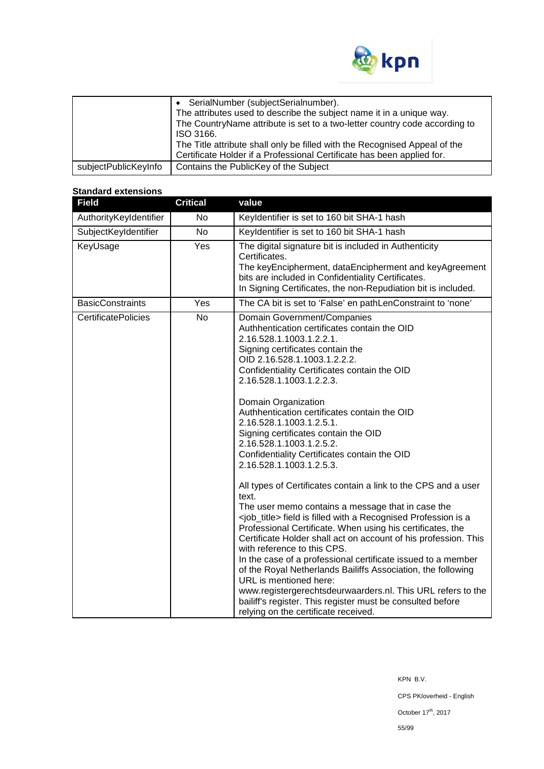

|                      | SerialNumber (subjectSerialnumber).                                        |
|----------------------|----------------------------------------------------------------------------|
|                      | The attributes used to describe the subject name it in a unique way.       |
|                      | The CountryName attribute is set to a two-letter country code according to |
|                      | ISO 3166.                                                                  |
|                      | The Title attribute shall only be filled with the Recognised Appeal of the |
|                      | Certificate Holder if a Professional Certificate has been applied for.     |
| subjectPublicKeyInfo | Contains the PublicKey of the Subject                                      |

#### **Standard extensions**

| <b>Field</b>               | <b>Critical</b> | value                                                                                                                                                                                                                                                                                                                                                                                                                                                                                                                                                                                                                                                                                                                                                                                                                                                                                                                                                                                                                                                                                                                                                                                                                           |
|----------------------------|-----------------|---------------------------------------------------------------------------------------------------------------------------------------------------------------------------------------------------------------------------------------------------------------------------------------------------------------------------------------------------------------------------------------------------------------------------------------------------------------------------------------------------------------------------------------------------------------------------------------------------------------------------------------------------------------------------------------------------------------------------------------------------------------------------------------------------------------------------------------------------------------------------------------------------------------------------------------------------------------------------------------------------------------------------------------------------------------------------------------------------------------------------------------------------------------------------------------------------------------------------------|
| AuthorityKeyIdentifier     | No              | Keyldentifier is set to 160 bit SHA-1 hash                                                                                                                                                                                                                                                                                                                                                                                                                                                                                                                                                                                                                                                                                                                                                                                                                                                                                                                                                                                                                                                                                                                                                                                      |
| SubjectKeyIdentifier       | No              | Keyldentifier is set to 160 bit SHA-1 hash                                                                                                                                                                                                                                                                                                                                                                                                                                                                                                                                                                                                                                                                                                                                                                                                                                                                                                                                                                                                                                                                                                                                                                                      |
| KeyUsage                   | Yes             | The digital signature bit is included in Authenticity<br>Certificates.<br>The keyEncipherment, dataEncipherment and keyAgreement<br>bits are included in Confidentiality Certificates.<br>In Signing Certificates, the non-Repudiation bit is included.                                                                                                                                                                                                                                                                                                                                                                                                                                                                                                                                                                                                                                                                                                                                                                                                                                                                                                                                                                         |
| <b>BasicConstraints</b>    | Yes             | The CA bit is set to 'False' en pathLenConstraint to 'none'                                                                                                                                                                                                                                                                                                                                                                                                                                                                                                                                                                                                                                                                                                                                                                                                                                                                                                                                                                                                                                                                                                                                                                     |
| <b>CertificatePolicies</b> | <b>No</b>       | Domain Government/Companies<br>Authhentication certificates contain the OID<br>2.16.528.1.1003.1.2.2.1.<br>Signing certificates contain the<br>OID 2.16.528.1.1003.1.2.2.2.<br>Confidentiality Certificates contain the OID<br>2.16.528.1.1003.1.2.2.3.<br>Domain Organization<br>Authhentication certificates contain the OID<br>2.16.528.1.1003.1.2.5.1.<br>Signing certificates contain the OID<br>2.16.528.1.1003.1.2.5.2.<br>Confidentiality Certificates contain the OID<br>2.16.528.1.1003.1.2.5.3.<br>All types of Certificates contain a link to the CPS and a user<br>text.<br>The user memo contains a message that in case the<br><job_title> field is filled with a Recognised Profession is a<br/>Professional Certificate. When using his certificates, the<br/>Certificate Holder shall act on account of his profession. This<br/>with reference to this CPS.<br/>In the case of a professional certificate issued to a member<br/>of the Royal Netherlands Bailiffs Association, the following<br/>URL is mentioned here:<br/>www.registergerechtsdeurwaarders.nl. This URL refers to the<br/>bailiff's register. This register must be consulted before<br/>relying on the certificate received.</job_title> |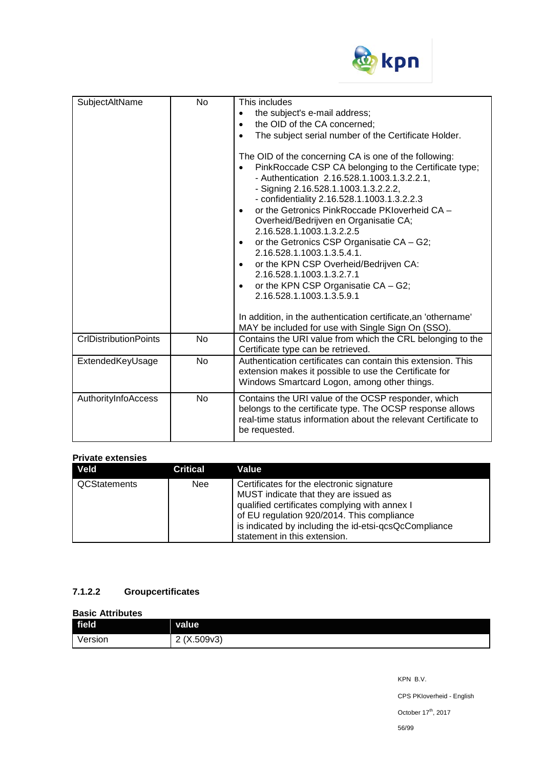

| SubjectAltName               | <b>No</b> | This includes<br>the subject's e-mail address;<br>$\bullet$<br>the OID of the CA concerned;<br>$\bullet$<br>The subject serial number of the Certificate Holder.<br>The OID of the concerning CA is one of the following:<br>PinkRoccade CSP CA belonging to the Certificate type;<br>$\bullet$<br>- Authentication 2.16.528.1.1003.1.3.2.2.1,<br>- Signing 2.16.528.1.1003.1.3.2.2.2,<br>- confidentiality 2.16.528.1.1003.1.3.2.2.3<br>or the Getronics PinkRoccade PKIoverheid CA -<br>Overheid/Bedrijven en Organisatie CA;<br>2.16.528.1.1003.1.3.2.2.5<br>or the Getronics CSP Organisatie CA - G2;<br>2.16.528.1.1003.1.3.5.4.1.<br>or the KPN CSP Overheid/Bedrijven CA:<br>$\bullet$<br>2.16.528.1.1003.1.3.2.7.1<br>or the KPN CSP Organisatie CA - G2;<br>$\bullet$<br>2.16.528.1.1003.1.3.5.9.1 |
|------------------------------|-----------|-------------------------------------------------------------------------------------------------------------------------------------------------------------------------------------------------------------------------------------------------------------------------------------------------------------------------------------------------------------------------------------------------------------------------------------------------------------------------------------------------------------------------------------------------------------------------------------------------------------------------------------------------------------------------------------------------------------------------------------------------------------------------------------------------------------|
|                              |           | In addition, in the authentication certificate, an 'othername'<br>MAY be included for use with Single Sign On (SSO).                                                                                                                                                                                                                                                                                                                                                                                                                                                                                                                                                                                                                                                                                        |
| <b>CrIDistributionPoints</b> | <b>No</b> | Contains the URI value from which the CRL belonging to the<br>Certificate type can be retrieved.                                                                                                                                                                                                                                                                                                                                                                                                                                                                                                                                                                                                                                                                                                            |
| ExtendedKeyUsage             | <b>No</b> | Authentication certificates can contain this extension. This<br>extension makes it possible to use the Certificate for<br>Windows Smartcard Logon, among other things.                                                                                                                                                                                                                                                                                                                                                                                                                                                                                                                                                                                                                                      |
| AuthorityInfoAccess          | No        | Contains the URI value of the OCSP responder, which<br>belongs to the certificate type. The OCSP response allows<br>real-time status information about the relevant Certificate to<br>be requested.                                                                                                                                                                                                                                                                                                                                                                                                                                                                                                                                                                                                         |

### **Private extensies**

| Veld                | <b>Critical</b> | Value                                                                                                                                                                                                                                                                      |
|---------------------|-----------------|----------------------------------------------------------------------------------------------------------------------------------------------------------------------------------------------------------------------------------------------------------------------------|
| <b>QCStatements</b> | <b>Nee</b>      | Certificates for the electronic signature<br>MUST indicate that they are issued as<br>qualified certificates complying with annex I<br>of EU regulation 920/2014. This compliance<br>is indicated by including the id-etsi-qcsQcCompliance<br>statement in this extension. |

# **7.1.2.2 Groupcertificates**

#### **Basic Attributes**

| field   | <b>value</b>        |
|---------|---------------------|
| Version | ,X.509v3)<br>C<br>∼ |

KPN B.V. CPS PKIoverheid - English October  $17^{\text{th}}$ , 2017 56/99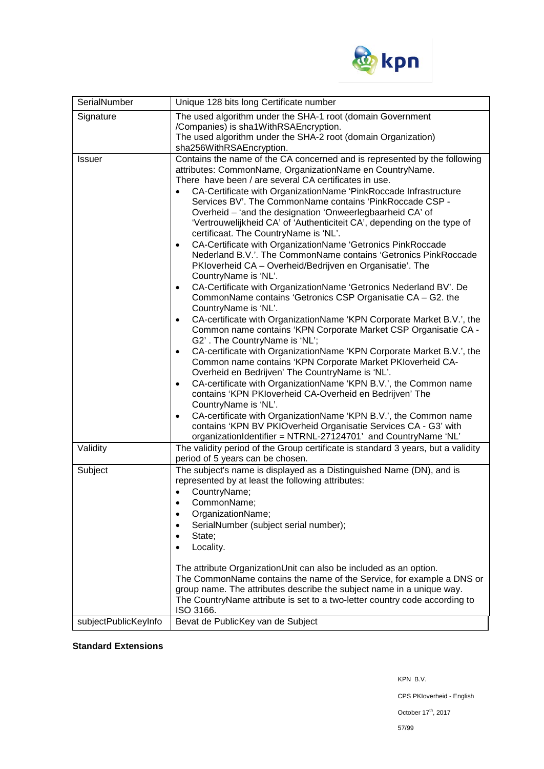

| SerialNumber         | Unique 128 bits long Certificate number                                                                                                                                                                                                                                                                                                                                                                                                                                                                                                                                                                                                                                                                                                                                                                                                                                                                                                                                                                                                                                                                                                                                                                                                                                                                                                                                                                                                                                                                                                                                                                                                                           |  |  |
|----------------------|-------------------------------------------------------------------------------------------------------------------------------------------------------------------------------------------------------------------------------------------------------------------------------------------------------------------------------------------------------------------------------------------------------------------------------------------------------------------------------------------------------------------------------------------------------------------------------------------------------------------------------------------------------------------------------------------------------------------------------------------------------------------------------------------------------------------------------------------------------------------------------------------------------------------------------------------------------------------------------------------------------------------------------------------------------------------------------------------------------------------------------------------------------------------------------------------------------------------------------------------------------------------------------------------------------------------------------------------------------------------------------------------------------------------------------------------------------------------------------------------------------------------------------------------------------------------------------------------------------------------------------------------------------------------|--|--|
| Signature            | The used algorithm under the SHA-1 root (domain Government<br>/Companies) is sha1WithRSAEncryption.<br>The used algorithm under the SHA-2 root (domain Organization)<br>sha256WithRSAEncryption.                                                                                                                                                                                                                                                                                                                                                                                                                                                                                                                                                                                                                                                                                                                                                                                                                                                                                                                                                                                                                                                                                                                                                                                                                                                                                                                                                                                                                                                                  |  |  |
| <b>Issuer</b>        | Contains the name of the CA concerned and is represented by the following<br>attributes: CommonName, OrganizationName en CountryName.<br>There have been / are several CA certificates in use.<br>CA-Certificate with OrganizationName 'PinkRoccade Infrastructure<br>Services BV'. The CommonName contains 'PinkRoccade CSP -<br>Overheid - 'and the designation 'Onweerlegbaarheid CA' of<br>'Vertrouwelijkheid CA' of 'Authenticiteit CA', depending on the type of<br>certificaat. The CountryName is 'NL'.<br>CA-Certificate with OrganizationName 'Getronics PinkRoccade<br>Nederland B.V.'. The CommonName contains 'Getronics PinkRoccade<br>PKloverheid CA - Overheid/Bedrijven en Organisatie'. The<br>CountryName is 'NL'.<br>CA-Certificate with OrganizationName 'Getronics Nederland BV'. De<br>$\bullet$<br>CommonName contains 'Getronics CSP Organisatie CA - G2. the<br>CountryName is 'NL'.<br>CA-certificate with OrganizationName 'KPN Corporate Market B.V.', the<br>Common name contains 'KPN Corporate Market CSP Organisatie CA -<br>G2'. The CountryName is 'NL';<br>CA-certificate with OrganizationName 'KPN Corporate Market B.V.', the<br>Common name contains 'KPN Corporate Market PKIoverheid CA-<br>Overheid en Bedrijven' The CountryName is 'NL'.<br>CA-certificate with OrganizationName 'KPN B.V.', the Common name<br>contains 'KPN PKloverheid CA-Overheid en Bedrijven' The<br>CountryName is 'NL'.<br>CA-certificate with OrganizationName 'KPN B.V.', the Common name<br>$\bullet$<br>contains 'KPN BV PKIOverheid Organisatie Services CA - G3' with<br>organizationIdentifier = NTRNL-27124701' and CountryName 'NL' |  |  |
| Validity<br>Subject  | The validity period of the Group certificate is standard 3 years, but a validity<br>period of 5 years can be chosen.<br>The subject's name is displayed as a Distinguished Name (DN), and is                                                                                                                                                                                                                                                                                                                                                                                                                                                                                                                                                                                                                                                                                                                                                                                                                                                                                                                                                                                                                                                                                                                                                                                                                                                                                                                                                                                                                                                                      |  |  |
|                      | represented by at least the following attributes:<br>CountryName;<br>CommonName;<br>OrganizationName;<br>SerialNumber (subject serial number);<br>State;<br>Locality.<br>The attribute OrganizationUnit can also be included as an option.<br>The CommonName contains the name of the Service, for example a DNS or<br>group name. The attributes describe the subject name in a unique way.<br>The CountryName attribute is set to a two-letter country code according to<br>ISO 3166.                                                                                                                                                                                                                                                                                                                                                                                                                                                                                                                                                                                                                                                                                                                                                                                                                                                                                                                                                                                                                                                                                                                                                                           |  |  |
| subjectPublicKeyInfo | Bevat de PublicKey van de Subject                                                                                                                                                                                                                                                                                                                                                                                                                                                                                                                                                                                                                                                                                                                                                                                                                                                                                                                                                                                                                                                                                                                                                                                                                                                                                                                                                                                                                                                                                                                                                                                                                                 |  |  |

# **Standard Extensions**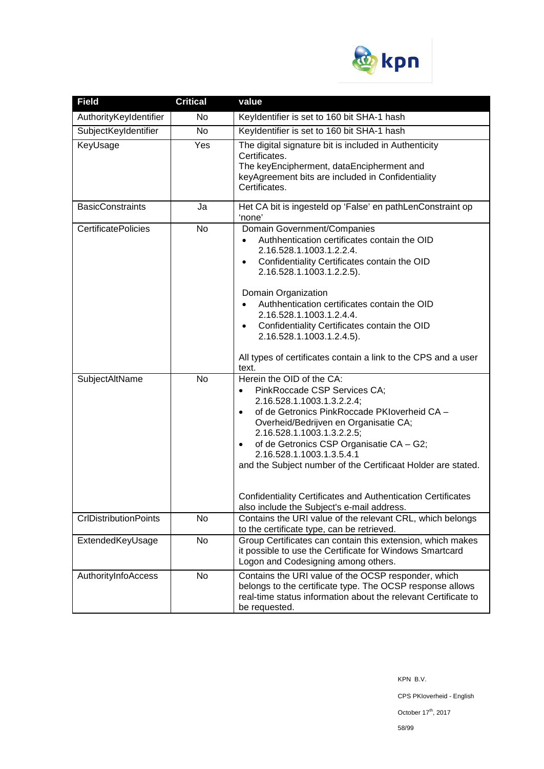

| <b>Field</b>                 | <b>Critical</b> | value                                                                                                                                                                                                                                                                                                                                                                                                                                                                                                |
|------------------------------|-----------------|------------------------------------------------------------------------------------------------------------------------------------------------------------------------------------------------------------------------------------------------------------------------------------------------------------------------------------------------------------------------------------------------------------------------------------------------------------------------------------------------------|
| AuthorityKeyIdentifier       | No              | Keyldentifier is set to 160 bit SHA-1 hash                                                                                                                                                                                                                                                                                                                                                                                                                                                           |
| SubjectKeyIdentifier         | No              | Keyldentifier is set to 160 bit SHA-1 hash                                                                                                                                                                                                                                                                                                                                                                                                                                                           |
| KeyUsage                     | Yes             | The digital signature bit is included in Authenticity<br>Certificates.<br>The keyEncipherment, dataEncipherment and<br>keyAgreement bits are included in Confidentiality<br>Certificates.                                                                                                                                                                                                                                                                                                            |
| <b>BasicConstraints</b>      | Ja              | Het CA bit is ingesteld op 'False' en pathLenConstraint op<br>'none'                                                                                                                                                                                                                                                                                                                                                                                                                                 |
| <b>CertificatePolicies</b>   | No              | Domain Government/Companies<br>Authhentication certificates contain the OID<br>$\bullet$<br>2.16.528.1.1003.1.2.2.4.<br>Confidentiality Certificates contain the OID<br>$\bullet$<br>2.16.528.1.1003.1.2.2.5).<br>Domain Organization<br>Authhentication certificates contain the OID<br>2.16.528.1.1003.1.2.4.4.<br>Confidentiality Certificates contain the OID<br>$\bullet$<br>2.16.528.1.1003.1.2.4.5).<br>All types of certificates contain a link to the CPS and a user<br>text.               |
| SubjectAltName               | <b>No</b>       | Herein the OID of the CA:<br>PinkRoccade CSP Services CA;<br>٠<br>2.16.528.1.1003.1.3.2.2.4;<br>of de Getronics PinkRoccade PKIoverheid CA -<br>$\bullet$<br>Overheid/Bedrijven en Organisatie CA;<br>2.16.528.1.1003.1.3.2.2.5;<br>of de Getronics CSP Organisatie CA - G2;<br>$\bullet$<br>2.16.528.1.1003.1.3.5.4.1<br>and the Subject number of the Certificaat Holder are stated.<br>Confidentiality Certificates and Authentication Certificates<br>also include the Subject's e-mail address. |
| <b>CrlDistributionPoints</b> | No              | Contains the URI value of the relevant CRL, which belongs<br>to the certificate type, can be retrieved.                                                                                                                                                                                                                                                                                                                                                                                              |
| ExtendedKeyUsage             | No              | Group Certificates can contain this extension, which makes<br>it possible to use the Certificate for Windows Smartcard<br>Logon and Codesigning among others.                                                                                                                                                                                                                                                                                                                                        |
| AuthorityInfoAccess          | No              | Contains the URI value of the OCSP responder, which<br>belongs to the certificate type. The OCSP response allows<br>real-time status information about the relevant Certificate to<br>be requested.                                                                                                                                                                                                                                                                                                  |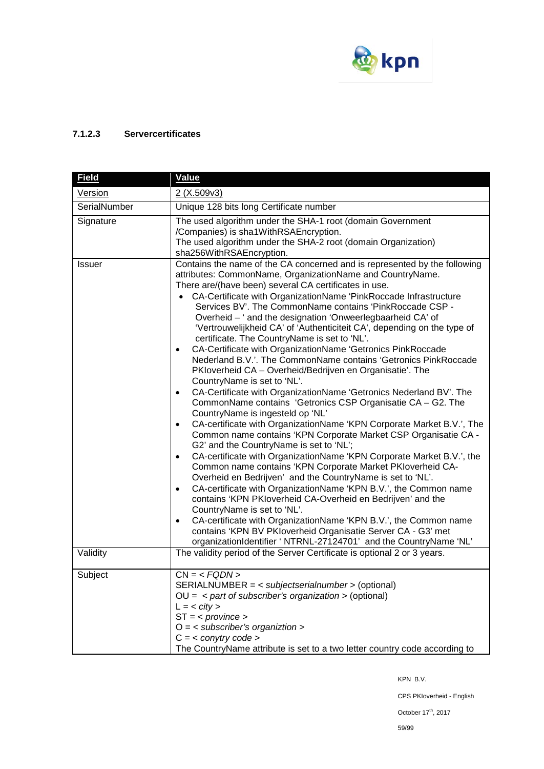

# **7.1.2.3 Servercertificates**

| <b>Field</b>               | <b>Value</b>                                                                                                                                                                                                                                                                                                                                                                                                                                                                                                                                                                                                                                                                                                                                                                                                                                                                                                                                                                                                                                                                                                                                                                                                                                                                                                                                                                                                                                                                                                                                                                                                                                                                      |
|----------------------------|-----------------------------------------------------------------------------------------------------------------------------------------------------------------------------------------------------------------------------------------------------------------------------------------------------------------------------------------------------------------------------------------------------------------------------------------------------------------------------------------------------------------------------------------------------------------------------------------------------------------------------------------------------------------------------------------------------------------------------------------------------------------------------------------------------------------------------------------------------------------------------------------------------------------------------------------------------------------------------------------------------------------------------------------------------------------------------------------------------------------------------------------------------------------------------------------------------------------------------------------------------------------------------------------------------------------------------------------------------------------------------------------------------------------------------------------------------------------------------------------------------------------------------------------------------------------------------------------------------------------------------------------------------------------------------------|
| <b>Version</b>             | 2(X.509v3)                                                                                                                                                                                                                                                                                                                                                                                                                                                                                                                                                                                                                                                                                                                                                                                                                                                                                                                                                                                                                                                                                                                                                                                                                                                                                                                                                                                                                                                                                                                                                                                                                                                                        |
| SerialNumber               | Unique 128 bits long Certificate number                                                                                                                                                                                                                                                                                                                                                                                                                                                                                                                                                                                                                                                                                                                                                                                                                                                                                                                                                                                                                                                                                                                                                                                                                                                                                                                                                                                                                                                                                                                                                                                                                                           |
| Signature<br><b>Issuer</b> | The used algorithm under the SHA-1 root (domain Government<br>/Companies) is sha1WithRSAEncryption.<br>The used algorithm under the SHA-2 root (domain Organization)<br>sha256WithRSAEncryption.<br>Contains the name of the CA concerned and is represented by the following                                                                                                                                                                                                                                                                                                                                                                                                                                                                                                                                                                                                                                                                                                                                                                                                                                                                                                                                                                                                                                                                                                                                                                                                                                                                                                                                                                                                     |
|                            | attributes: CommonName, OrganizationName and CountryName.<br>There are/(have been) several CA certificates in use.<br>CA-Certificate with OrganizationName 'PinkRoccade Infrastructure<br>Services BV'. The CommonName contains 'PinkRoccade CSP -<br>Overheid - ' and the designation 'Onweerlegbaarheid CA' of<br>'Vertrouwelijkheid CA' of 'Authenticiteit CA', depending on the type of<br>certificate. The CountryName is set to 'NL'.<br>CA-Certificate with OrganizationName 'Getronics PinkRoccade<br>Nederland B.V.'. The CommonName contains 'Getronics PinkRoccade<br>PKloverheid CA - Overheid/Bedrijven en Organisatie'. The<br>CountryName is set to 'NL'.<br>CA-Certificate with OrganizationName 'Getronics Nederland BV'. The<br>$\bullet$<br>CommonName contains 'Getronics CSP Organisatie CA - G2. The<br>CountryName is ingesteld op 'NL'<br>CA-certificate with OrganizationName 'KPN Corporate Market B.V.', The<br>$\bullet$<br>Common name contains 'KPN Corporate Market CSP Organisatie CA -<br>G2' and the CountryName is set to 'NL';<br>CA-certificate with OrganizationName 'KPN Corporate Market B.V.', the<br>$\bullet$<br>Common name contains 'KPN Corporate Market PKIoverheid CA-<br>Overheid en Bedrijven' and the CountryName is set to 'NL'.<br>CA-certificate with OrganizationName 'KPN B.V.', the Common name<br>$\bullet$<br>contains 'KPN PKIoverheid CA-Overheid en Bedrijven' and the<br>CountryName is set to 'NL'.<br>CA-certificate with OrganizationName 'KPN B.V.', the Common name<br>٠<br>contains 'KPN BV PKIoverheid Organisatie Server CA - G3' met<br>organizationIdentifier ' NTRNL-27124701' and the CountryName 'NL' |
| Validity                   | The validity period of the Server Certificate is optional 2 or 3 years.                                                                                                                                                                                                                                                                                                                                                                                                                                                                                                                                                                                                                                                                                                                                                                                                                                                                                                                                                                                                                                                                                                                                                                                                                                                                                                                                                                                                                                                                                                                                                                                                           |
| Subject                    | $CN = SERIALNUMBER = < subjectserialnumber > (optional)OU = < part of subscriber's organization > (optional)L = < city >ST = < province >O = \langle subscriber's organiztion >C = < conytry code >The CountryName attribute is set to a two letter country code according to$                                                                                                                                                                                                                                                                                                                                                                                                                                                                                                                                                                                                                                                                                                                                                                                                                                                                                                                                                                                                                                                                                                                                                                                                                                                                                                                                                                                                    |

KPN B.V.

CPS PKIoverheid - English

October  $17^{\text{th}}$ , 2017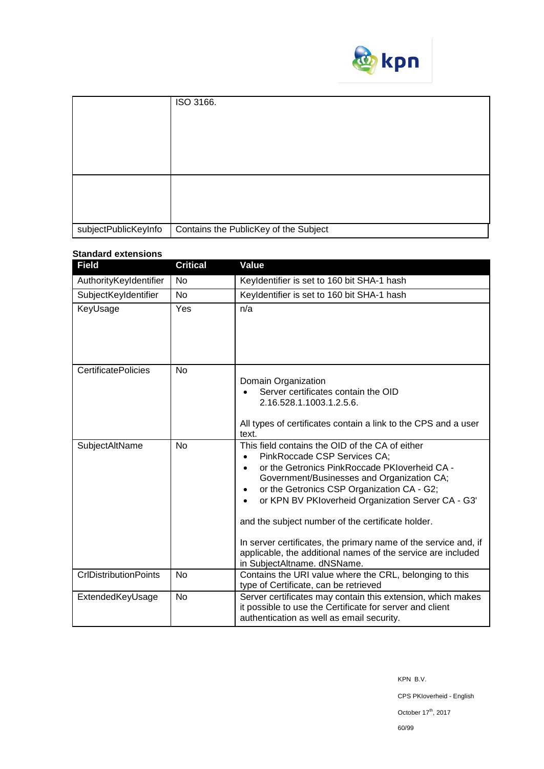

|                      | ISO 3166.                             |
|----------------------|---------------------------------------|
|                      |                                       |
|                      |                                       |
|                      |                                       |
|                      |                                       |
|                      |                                       |
|                      |                                       |
|                      |                                       |
| subjectPublicKeyInfo | Contains the PublicKey of the Subject |

# **Standard extensions**

| <b>Field</b>                 | <b>Critical</b> | Value                                                                                                                                                                                                                                                                                                                                                                                                                                                                                                                                                         |
|------------------------------|-----------------|---------------------------------------------------------------------------------------------------------------------------------------------------------------------------------------------------------------------------------------------------------------------------------------------------------------------------------------------------------------------------------------------------------------------------------------------------------------------------------------------------------------------------------------------------------------|
| AuthorityKeyIdentifier       | N <sub>o</sub>  | Keyldentifier is set to 160 bit SHA-1 hash                                                                                                                                                                                                                                                                                                                                                                                                                                                                                                                    |
| SubjectKeyIdentifier         | <b>No</b>       | Keyldentifier is set to 160 bit SHA-1 hash                                                                                                                                                                                                                                                                                                                                                                                                                                                                                                                    |
| KeyUsage                     | Yes             | n/a                                                                                                                                                                                                                                                                                                                                                                                                                                                                                                                                                           |
| <b>CertificatePolicies</b>   | <b>No</b>       | Domain Organization<br>Server certificates contain the OID<br>2.16.528.1.1003.1.2.5.6.<br>All types of certificates contain a link to the CPS and a user<br>text.                                                                                                                                                                                                                                                                                                                                                                                             |
| SubjectAltName               | <b>No</b>       | This field contains the OID of the CA of either<br>PinkRoccade CSP Services CA;<br>$\bullet$<br>or the Getronics PinkRoccade PKIoverheid CA -<br>$\bullet$<br>Government/Businesses and Organization CA;<br>or the Getronics CSP Organization CA - G2;<br>$\bullet$<br>or KPN BV PKloverheid Organization Server CA - G3'<br>$\bullet$<br>and the subject number of the certificate holder.<br>In server certificates, the primary name of the service and, if<br>applicable, the additional names of the service are included<br>in SubjectAltname. dNSName. |
| <b>CrlDistributionPoints</b> | No              | Contains the URI value where the CRL, belonging to this<br>type of Certificate, can be retrieved                                                                                                                                                                                                                                                                                                                                                                                                                                                              |
| ExtendedKeyUsage             | <b>No</b>       | Server certificates may contain this extension, which makes<br>it possible to use the Certificate for server and client<br>authentication as well as email security.                                                                                                                                                                                                                                                                                                                                                                                          |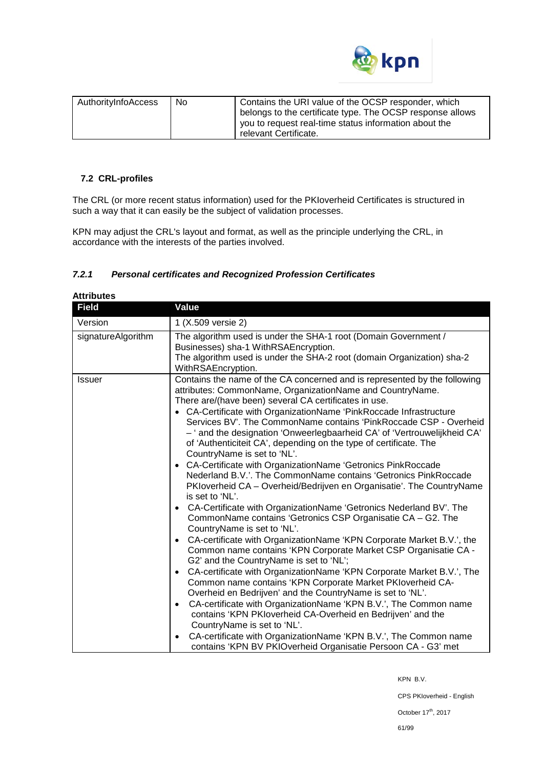

| AuthorityInfoAccess | No. | Contains the URI value of the OCSP responder, which<br>belongs to the certificate type. The OCSP response allows |
|---------------------|-----|------------------------------------------------------------------------------------------------------------------|
|                     |     | you to request real-time status information about the<br>relevant Certificate.                                   |

#### **7.2 CRL-profiles**

The CRL (or more recent status information) used for the PKIoverheid Certificates is structured in such a way that it can easily be the subject of validation processes.

KPN may adjust the CRL's layout and format, as well as the principle underlying the CRL, in accordance with the interests of the parties involved.

## *7.2.1 Personal certificates and Recognized Profession Certificates*

| <b>Field</b>       | Value                                                                                                                                                                                                                                                                                                                                                                                                                                                                                                                                                                                                                                                                                                                                                                                                                                                                                                                                                                                                                                                                                                                                                                                                                                                                                                                                                                                                                                                                                                                                                                                                                                                                   |
|--------------------|-------------------------------------------------------------------------------------------------------------------------------------------------------------------------------------------------------------------------------------------------------------------------------------------------------------------------------------------------------------------------------------------------------------------------------------------------------------------------------------------------------------------------------------------------------------------------------------------------------------------------------------------------------------------------------------------------------------------------------------------------------------------------------------------------------------------------------------------------------------------------------------------------------------------------------------------------------------------------------------------------------------------------------------------------------------------------------------------------------------------------------------------------------------------------------------------------------------------------------------------------------------------------------------------------------------------------------------------------------------------------------------------------------------------------------------------------------------------------------------------------------------------------------------------------------------------------------------------------------------------------------------------------------------------------|
| Version            | 1 (X.509 versie 2)                                                                                                                                                                                                                                                                                                                                                                                                                                                                                                                                                                                                                                                                                                                                                                                                                                                                                                                                                                                                                                                                                                                                                                                                                                                                                                                                                                                                                                                                                                                                                                                                                                                      |
| signatureAlgorithm | The algorithm used is under the SHA-1 root (Domain Government /<br>Businesses) sha-1 WithRSAEncryption.<br>The algorithm used is under the SHA-2 root (domain Organization) sha-2<br>WithRSAEncryption.                                                                                                                                                                                                                                                                                                                                                                                                                                                                                                                                                                                                                                                                                                                                                                                                                                                                                                                                                                                                                                                                                                                                                                                                                                                                                                                                                                                                                                                                 |
| <b>Issuer</b>      | Contains the name of the CA concerned and is represented by the following<br>attributes: CommonName, OrganizationName and CountryName.<br>There are/(have been) several CA certificates in use.<br>• CA-Certificate with OrganizationName 'PinkRoccade Infrastructure<br>Services BV'. The CommonName contains 'PinkRoccade CSP - Overheid<br>- ' and the designation 'Onweerlegbaarheid CA' of 'Vertrouwelijkheid CA'<br>of 'Authenticiteit CA', depending on the type of certificate. The<br>CountryName is set to 'NL'.<br>CA-Certificate with OrganizationName 'Getronics PinkRoccade<br>Nederland B.V.'. The CommonName contains 'Getronics PinkRoccade<br>PKIoverheid CA - Overheid/Bedrijven en Organisatie'. The CountryName<br>is set to 'NL'.<br>• CA-Certificate with OrganizationName 'Getronics Nederland BV'. The<br>CommonName contains 'Getronics CSP Organisatie CA - G2. The<br>CountryName is set to 'NL'.<br>CA-certificate with OrganizationName 'KPN Corporate Market B.V.', the<br>$\bullet$<br>Common name contains 'KPN Corporate Market CSP Organisatie CA -<br>G2' and the CountryName is set to 'NL';<br>CA-certificate with OrganizationName 'KPN Corporate Market B.V.', The<br>$\bullet$<br>Common name contains 'KPN Corporate Market PKloverheid CA-<br>Overheid en Bedrijven' and the CountryName is set to 'NL'.<br>CA-certificate with OrganizationName 'KPN B.V.', The Common name<br>$\bullet$<br>contains 'KPN PKIoverheid CA-Overheid en Bedrijven' and the<br>CountryName is set to 'NL'.<br>CA-certificate with OrganizationName 'KPN B.V.', The Common name<br>contains 'KPN BV PKIOverheid Organisatie Persoon CA - G3' met |

**Attributes**

KPN B.V.

CPS PKIoverheid - English

October 17<sup>th</sup>, 2017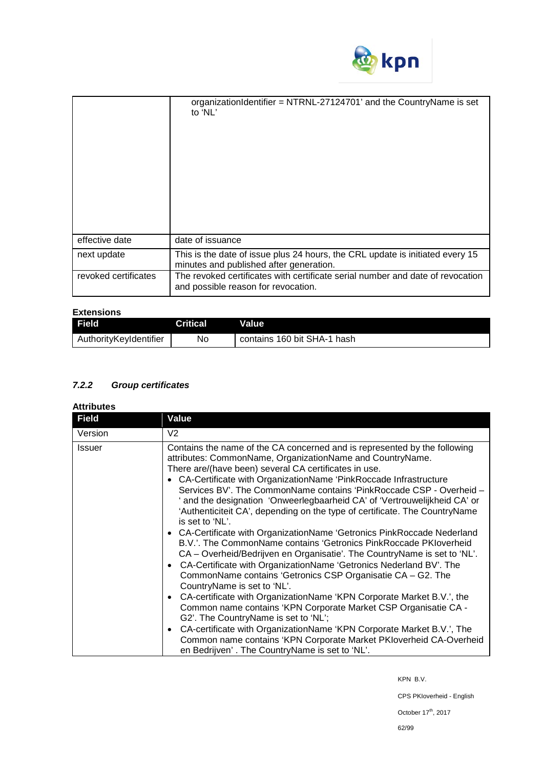

|                      | organizationIdentifier = NTRNL-27124701' and the CountryName is set<br>to 'NL'                                           |
|----------------------|--------------------------------------------------------------------------------------------------------------------------|
| effective date       | date of issuance                                                                                                         |
| next update          | This is the date of issue plus 24 hours, the CRL update is initiated every 15<br>minutes and published after generation. |
| revoked certificates | The revoked certificates with certificate serial number and date of revocation<br>and possible reason for revocation.    |

# **Extensions**

| <b>Field</b>           | Critical. | <b>Value</b>                |
|------------------------|-----------|-----------------------------|
| AuthorityKeyIdentifier | No        | contains 160 bit SHA-1 hash |

# *7.2.2 Group certificates*

| <b>Attributes</b> |  |
|-------------------|--|
|-------------------|--|

| <b>Field</b> | Value                                                                                                                                                                                                                                                                                                                                                                                                                                                                                                                                                                                                                                                                                                                                                                                                                                                                                                                                                                                                                                                                                                                                                                                                                                                                                                                                                |
|--------------|------------------------------------------------------------------------------------------------------------------------------------------------------------------------------------------------------------------------------------------------------------------------------------------------------------------------------------------------------------------------------------------------------------------------------------------------------------------------------------------------------------------------------------------------------------------------------------------------------------------------------------------------------------------------------------------------------------------------------------------------------------------------------------------------------------------------------------------------------------------------------------------------------------------------------------------------------------------------------------------------------------------------------------------------------------------------------------------------------------------------------------------------------------------------------------------------------------------------------------------------------------------------------------------------------------------------------------------------------|
| Version      | V2.                                                                                                                                                                                                                                                                                                                                                                                                                                                                                                                                                                                                                                                                                                                                                                                                                                                                                                                                                                                                                                                                                                                                                                                                                                                                                                                                                  |
| Issuer       | Contains the name of the CA concerned and is represented by the following<br>attributes: CommonName, OrganizationName and CountryName.<br>There are/(have been) several CA certificates in use.<br>CA-Certificate with OrganizationName 'PinkRoccade Infrastructure<br>$\bullet$<br>Services BV'. The CommonName contains 'PinkRoccade CSP - Overheid -<br>' and the designation 'Onweerlegbaarheid CA' of 'Vertrouwelijkheid CA' or<br>'Authenticiteit CA', depending on the type of certificate. The CountryName<br>is set to 'NL'.<br>• CA-Certificate with OrganizationName 'Getronics PinkRoccade Nederland<br>B.V.'. The CommonName contains 'Getronics PinkRoccade PKIoverheid<br>CA - Overheid/Bedrijven en Organisatie'. The CountryName is set to 'NL'.<br>CA-Certificate with OrganizationName 'Getronics Nederland BV'. The<br>CommonName contains 'Getronics CSP Organisatie CA - G2. The<br>CountryName is set to 'NL'.<br>CA-certificate with OrganizationName 'KPN Corporate Market B.V.', the<br>$\bullet$<br>Common name contains 'KPN Corporate Market CSP Organisatie CA -<br>G2'. The CountryName is set to 'NL';<br>CA-certificate with OrganizationName 'KPN Corporate Market B.V.', The<br>$\bullet$<br>Common name contains 'KPN Corporate Market PKIoverheid CA-Overheid<br>en Bedrijven'. The CountryName is set to 'NL'. |

KPN B.V.

CPS PKIoverheid - English

October  $17^{\text{th}}$ , 2017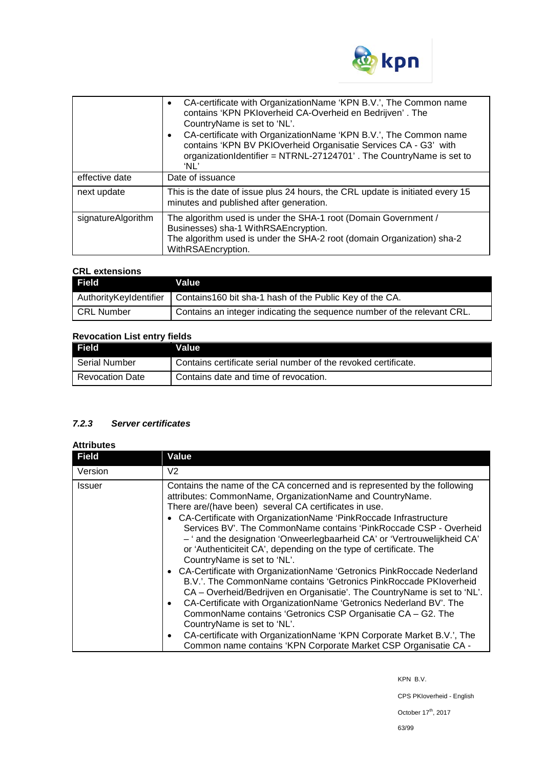

|                    | CA-certificate with OrganizationName 'KPN B.V.', The Common name<br>$\bullet$<br>contains 'KPN PKloverheid CA-Overheid en Bedrijven'. The<br>CountryName is set to 'NL'.<br>CA-certificate with OrganizationName 'KPN B.V.', The Common name<br>$\bullet$<br>contains 'KPN BV PKIOverheid Organisatie Services CA - G3' with<br>organizationIdentifier = NTRNL-27124701'. The CountryName is set to<br>'NL' |
|--------------------|-------------------------------------------------------------------------------------------------------------------------------------------------------------------------------------------------------------------------------------------------------------------------------------------------------------------------------------------------------------------------------------------------------------|
| effective date     | Date of issuance                                                                                                                                                                                                                                                                                                                                                                                            |
| next update        | This is the date of issue plus 24 hours, the CRL update is initiated every 15<br>minutes and published after generation.                                                                                                                                                                                                                                                                                    |
| signatureAlgorithm | The algorithm used is under the SHA-1 root (Domain Government /<br>Businesses) sha-1 WithRSAEncryption.<br>The algorithm used is under the SHA-2 root (domain Organization) sha-2<br>WithRSAEncryption.                                                                                                                                                                                                     |

# **CRL extensions**

| Field             | Value                                                                            |
|-------------------|----------------------------------------------------------------------------------|
|                   | AuthorityKeyIdentifier   Contains160 bit sha-1 hash of the Public Key of the CA. |
| <b>CRL Number</b> | Contains an integer indicating the sequence number of the relevant CRL.          |

# **Revocation List entry fields**

| Field                  | Value                                                          |
|------------------------|----------------------------------------------------------------|
| Serial Number          | Contains certificate serial number of the revoked certificate. |
| <b>Revocation Date</b> | Contains date and time of revocation.                          |

# *7.2.3 Server certificates*

# **Attributes**

| <b>Field</b>  | Value                                                                                                                                                                                                                                                                                                                                                                                                                                                                                                                                                                                                                                                                                                                                                                                                                                                                                                                                                                                                                                                                                            |
|---------------|--------------------------------------------------------------------------------------------------------------------------------------------------------------------------------------------------------------------------------------------------------------------------------------------------------------------------------------------------------------------------------------------------------------------------------------------------------------------------------------------------------------------------------------------------------------------------------------------------------------------------------------------------------------------------------------------------------------------------------------------------------------------------------------------------------------------------------------------------------------------------------------------------------------------------------------------------------------------------------------------------------------------------------------------------------------------------------------------------|
| Version       | V <sub>2</sub>                                                                                                                                                                                                                                                                                                                                                                                                                                                                                                                                                                                                                                                                                                                                                                                                                                                                                                                                                                                                                                                                                   |
| <b>Issuer</b> | Contains the name of the CA concerned and is represented by the following<br>attributes: CommonName, OrganizationName and CountryName.<br>There are/(have been) several CA certificates in use.<br>• CA-Certificate with OrganizationName 'PinkRoccade Infrastructure<br>Services BV'. The CommonName contains 'PinkRoccade CSP - Overheid<br>- ' and the designation 'Onweerlegbaarheid CA' or 'Vertrouwelijkheid CA'<br>or 'Authenticiteit CA', depending on the type of certificate. The<br>CountryName is set to 'NL'.<br>• CA-Certificate with OrganizationName 'Getronics PinkRoccade Nederland<br>B.V.'. The CommonName contains 'Getronics PinkRoccade PKIoverheid<br>CA – Overheid/Bedrijven en Organisatie'. The CountryName is set to 'NL'.<br>CA-Certificate with OrganizationName 'Getronics Nederland BV'. The<br>$\bullet$<br>CommonName contains 'Getronics CSP Organisatie CA - G2. The<br>CountryName is set to 'NL'.<br>CA-certificate with OrganizationName 'KPN Corporate Market B.V.', The<br>$\bullet$<br>Common name contains 'KPN Corporate Market CSP Organisatie CA - |

KPN B.V.

CPS PKIoverheid - English

October 17<sup>th</sup>, 2017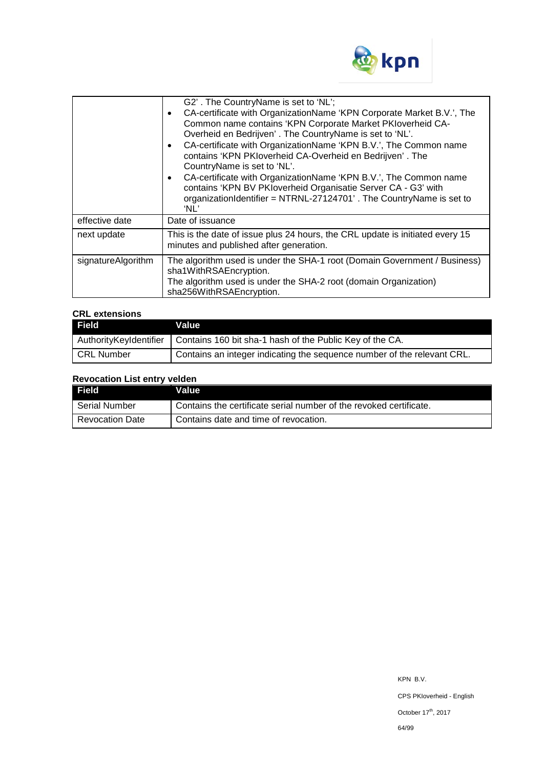

|                    | G2'. The CountryName is set to 'NL';<br>CA-certificate with OrganizationName 'KPN Corporate Market B.V.', The<br>$\bullet$<br>Common name contains 'KPN Corporate Market PKIoverheid CA-<br>Overheid en Bedrijven'. The CountryName is set to 'NL'.<br>CA-certificate with OrganizationName 'KPN B.V.', The Common name<br>$\bullet$<br>contains 'KPN PKloverheid CA-Overheid en Bedrijven'. The<br>CountryName is set to 'NL'.<br>CA-certificate with OrganizationName 'KPN B.V.', The Common name<br>$\bullet$<br>contains 'KPN BV PKIoverheid Organisatie Server CA - G3' with<br>organizationIdentifier = NTRNL-27124701'. The CountryName is set to<br>'NL' |
|--------------------|------------------------------------------------------------------------------------------------------------------------------------------------------------------------------------------------------------------------------------------------------------------------------------------------------------------------------------------------------------------------------------------------------------------------------------------------------------------------------------------------------------------------------------------------------------------------------------------------------------------------------------------------------------------|
| effective date     | Date of issuance                                                                                                                                                                                                                                                                                                                                                                                                                                                                                                                                                                                                                                                 |
| next update        | This is the date of issue plus 24 hours, the CRL update is initiated every 15<br>minutes and published after generation.                                                                                                                                                                                                                                                                                                                                                                                                                                                                                                                                         |
| signatureAlgorithm | The algorithm used is under the SHA-1 root (Domain Government / Business)<br>sha1WithRSAEncryption.<br>The algorithm used is under the SHA-2 root (domain Organization)<br>sha256WithRSAEncryption.                                                                                                                                                                                                                                                                                                                                                                                                                                                              |

# **CRL extensions**

| Field             | <b>Value</b>                                                                      |
|-------------------|-----------------------------------------------------------------------------------|
|                   | AuthorityKeyIdentifier   Contains 160 bit sha-1 hash of the Public Key of the CA. |
| <b>CRL Number</b> | Contains an integer indicating the sequence number of the relevant CRL.           |

# **Revocation List entry velden**

| <b>Field</b>           | Value                                                              |
|------------------------|--------------------------------------------------------------------|
| Serial Number          | Contains the certificate serial number of the revoked certificate. |
| <b>Revocation Date</b> | Contains date and time of revocation.                              |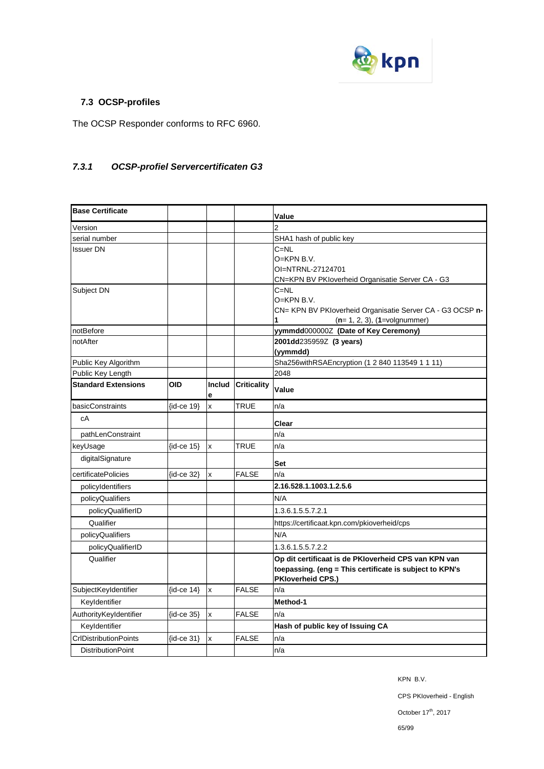

# **7.3 OCSP-profiles**

The OCSP Responder conforms to RFC 6960.

# *7.3.1 OCSP-profiel Servercertificaten G3*

| <b>Base Certificate</b>      |                    |              |                    | Value                                                                                                                                       |
|------------------------------|--------------------|--------------|--------------------|---------------------------------------------------------------------------------------------------------------------------------------------|
| Version                      |                    |              |                    | $\overline{2}$                                                                                                                              |
| serial number                |                    |              |                    | SHA1 hash of public key                                                                                                                     |
| Issuer DN                    |                    |              |                    | $C = NL$<br>$O=KPN$ B.V.<br>OI=NTRNL-27124701<br>CN=KPN BV PKIoverheid Organisatie Server CA - G3                                           |
| Subject DN                   |                    |              |                    | $C = NL$<br>O=KPN B.V.<br>CN= KPN BV PKloverheid Organisatie Server CA - G3 OCSP n-<br>$(n=1, 2, 3), (1=$ volgnummer)<br>1                  |
| notBefore                    |                    |              |                    | yymmdd000000Z (Date of Key Ceremony)                                                                                                        |
| notAfter                     |                    |              |                    | 2001dd235959Z (3 years)<br>(yymmdd)                                                                                                         |
| Public Key Algorithm         |                    |              |                    | Sha256withRSAEncryption (1 2 840 113549 1 1 11)                                                                                             |
| Public Key Length            |                    |              |                    | 2048                                                                                                                                        |
| <b>Standard Extensions</b>   | OID                | Includ<br>e  | <b>Criticality</b> | Value                                                                                                                                       |
| basicConstraints             | {id-ce 19}         | $\mathbf{x}$ | <b>TRUE</b>        | n/a                                                                                                                                         |
| сA                           |                    |              |                    | Clear                                                                                                                                       |
| pathLenConstraint            |                    |              |                    | n/a                                                                                                                                         |
| keyUsage                     | $\{id$ -ce 15 $\}$ | $\mathsf{x}$ | TRUE               | n/a                                                                                                                                         |
| digitalSignature             |                    |              |                    | Set                                                                                                                                         |
| certificatePolicies          | (id-ce 32)         | x            | <b>FALSE</b>       | n/a                                                                                                                                         |
| policyIdentifiers            |                    |              |                    | 2.16.528.1.1003.1.2.5.6                                                                                                                     |
| policyQualifiers             |                    |              |                    | N/A                                                                                                                                         |
| policyQualifierID            |                    |              |                    | 1.3.6.1.5.5.7.2.1                                                                                                                           |
| Qualifier                    |                    |              |                    | https://certificaat.kpn.com/pkioverheid/cps                                                                                                 |
| policyQualifiers             |                    |              |                    | N/A                                                                                                                                         |
| policyQualifierID            |                    |              |                    | 1.3.6.1.5.5.7.2.2                                                                                                                           |
| Qualifier                    |                    |              |                    | Op dit certificaat is de PKIoverheid CPS van KPN van<br>toepassing. (eng = This certificate is subject to KPN's<br><b>PKloverheid CPS.)</b> |
| SubjectKeyIdentifier         | $\{id$ -ce 14 $\}$ | x            | <b>FALSE</b>       | n/a                                                                                                                                         |
| Keyldentifier                |                    |              |                    | Method-1                                                                                                                                    |
| AuthorityKeyIdentifier       | {id-ce 35}         | X            | <b>FALSE</b>       | n/a                                                                                                                                         |
| Keyldentifier                |                    |              |                    | Hash of public key of Issuing CA                                                                                                            |
| <b>CrIDistributionPoints</b> | {id-ce 31}         | X            | <b>FALSE</b>       | n/a                                                                                                                                         |
| <b>DistributionPoint</b>     |                    |              |                    | n/a                                                                                                                                         |

KPN B.V.

CPS PKIoverheid - English

October 17<sup>th</sup>, 2017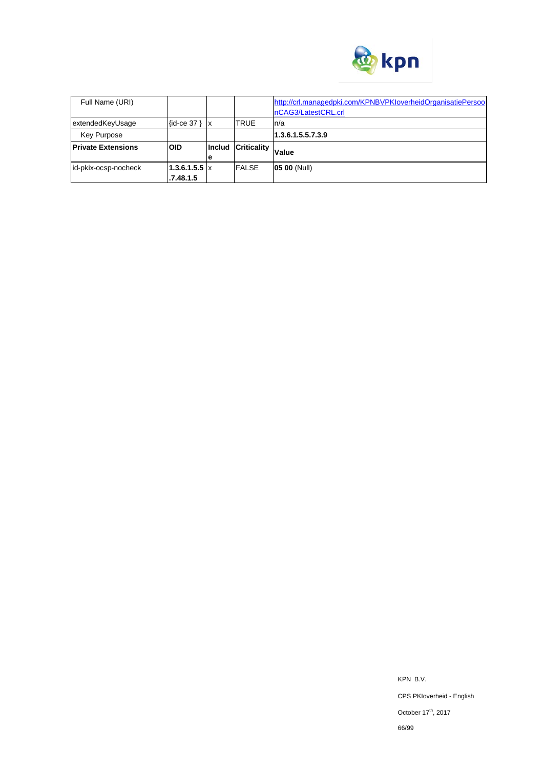

| Full Name (URI)           |                      |               |                    | http://crl.managedpki.com/KPNBVPKloverheidOrganisatiePersoo |  |
|---------------------------|----------------------|---------------|--------------------|-------------------------------------------------------------|--|
|                           |                      |               |                    | nCAG3/LatestCRL.crl                                         |  |
| extendedKeyUsage          | $\{id$ -ce 37 }   x  |               | <b>TRUE</b>        | In/a                                                        |  |
| <b>Key Purpose</b>        |                      |               |                    | 1.3.6.1.5.5.7.3.9                                           |  |
| <b>Private Extensions</b> | <b>OID</b>           | <b>Includ</b> | <b>Criticality</b> |                                                             |  |
|                           |                      | ıe            |                    | Value                                                       |  |
| id-pkix-ocsp-nocheck      | $1.3.6.1.5.5 \times$ |               | <b>FALSE</b>       | <b>05 00 (Null)</b>                                         |  |
|                           | .7.48.1.5            |               |                    |                                                             |  |

KPN B.V. CPS PKIoverheid - English October  $17^{\text{th}}$ , 2017 66/99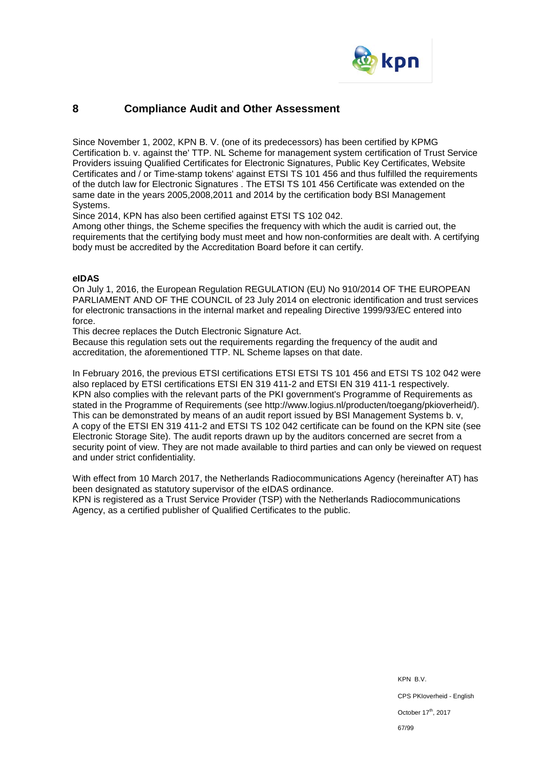

# **8 Compliance Audit and Other Assessment**

Since November 1, 2002, KPN B. V. (one of its predecessors) has been certified by KPMG Certification b. v. against the' TTP. NL Scheme for management system certification of Trust Service Providers issuing Qualified Certificates for Electronic Signatures, Public Key Certificates, Website Certificates and / or Time-stamp tokens' against ETSI TS 101 456 and thus fulfilled the requirements of the dutch law for Electronic Signatures . The ETSI TS 101 456 Certificate was extended on the same date in the years 2005,2008,2011 and 2014 by the certification body BSI Management Systems.

Since 2014, KPN has also been certified against ETSI TS 102 042.

Among other things, the Scheme specifies the frequency with which the audit is carried out, the requirements that the certifying body must meet and how non-conformities are dealt with. A certifying body must be accredited by the Accreditation Board before it can certify.

#### **eIDAS**

On July 1, 2016, the European Regulation REGULATION (EU) No 910/2014 OF THE EUROPEAN PARLIAMENT AND OF THE COUNCIL of 23 July 2014 on electronic identification and trust services for electronic transactions in the internal market and repealing Directive 1999/93/EC entered into force.

This decree replaces the Dutch Electronic Signature Act.

Because this regulation sets out the requirements regarding the frequency of the audit and accreditation, the aforementioned TTP. NL Scheme lapses on that date.

In February 2016, the previous ETSI certifications ETSI ETSI TS 101 456 and ETSI TS 102 042 were also replaced by ETSI certifications ETSI EN 319 411-2 and ETSI EN 319 411-1 respectively. KPN also complies with the relevant parts of the PKI government's Programme of Requirements as stated in the Programme of Requirements (see http://www.logius.nl/producten/toegang/pkioverheid/). This can be demonstrated by means of an audit report issued by BSI Management Systems b. v, A copy of the ETSI EN 319 411-2 and ETSI TS 102 042 certificate can be found on the KPN site (see Electronic Storage Site). The audit reports drawn up by the auditors concerned are secret from a security point of view. They are not made available to third parties and can only be viewed on request and under strict confidentiality.

With effect from 10 March 2017, the Netherlands Radiocommunications Agency (hereinafter AT) has been designated as statutory supervisor of the eIDAS ordinance. KPN is registered as a Trust Service Provider (TSP) with the Netherlands Radiocommunications Agency, as a certified publisher of Qualified Certificates to the public.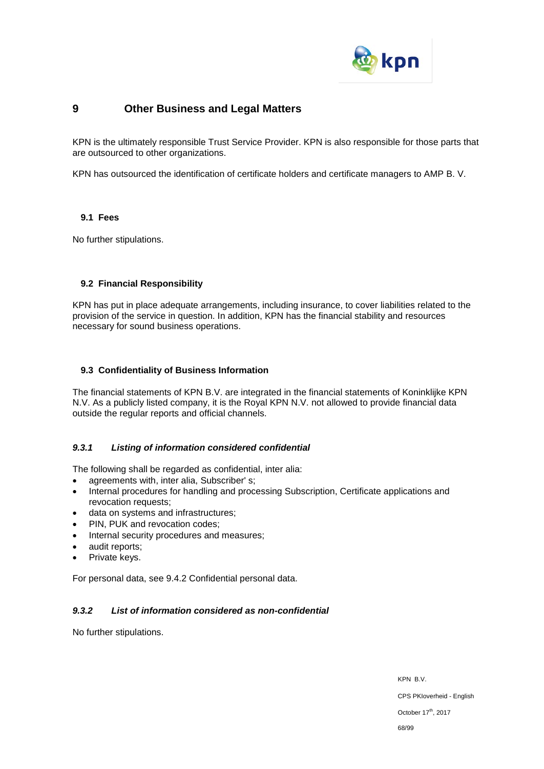

# **9 Other Business and Legal Matters**

KPN is the ultimately responsible Trust Service Provider. KPN is also responsible for those parts that are outsourced to other organizations.

KPN has outsourced the identification of certificate holders and certificate managers to AMP B. V.

#### **9.1 Fees**

No further stipulations.

### **9.2 Financial Responsibility**

KPN has put in place adequate arrangements, including insurance, to cover liabilities related to the provision of the service in question. In addition, KPN has the financial stability and resources necessary for sound business operations.

#### **9.3 Confidentiality of Business Information**

The financial statements of KPN B.V. are integrated in the financial statements of Koninklijke KPN N.V. As a publicly listed company, it is the Royal KPN N.V. not allowed to provide financial data outside the regular reports and official channels.

### *9.3.1 Listing of information considered confidential*

The following shall be regarded as confidential, inter alia:

- agreements with, inter alia, Subscriber' s;
- Internal procedures for handling and processing Subscription, Certificate applications and revocation requests;
- data on systems and infrastructures;
- PIN, PUK and revocation codes;
- Internal security procedures and measures;
- audit reports;
- Private keys.

For personal data, see 9.4.2 Confidential personal data.

### *9.3.2 List of information considered as non-confidential*

No further stipulations.

KPN B.V. CPS PKIoverheid - English October 17<sup>th</sup>, 2017 68/99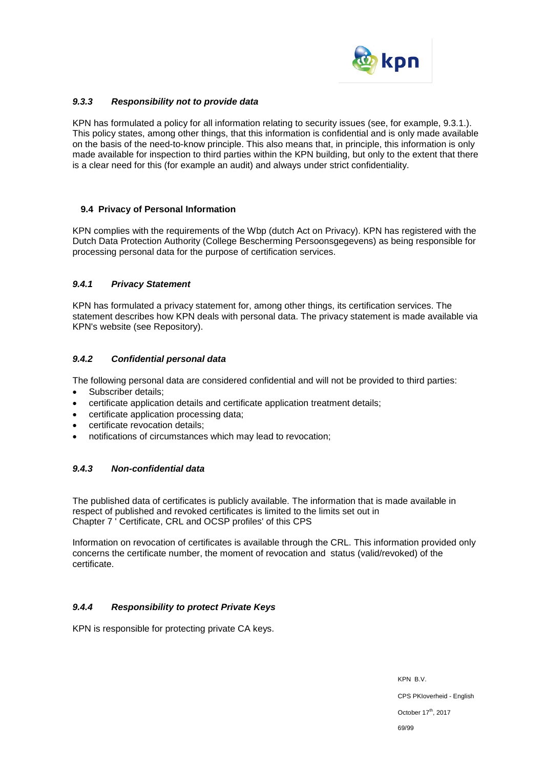

### *9.3.3 Responsibility not to provide data*

KPN has formulated a policy for all information relating to security issues (see, for example, 9.3.1.). This policy states, among other things, that this information is confidential and is only made available on the basis of the need-to-know principle. This also means that, in principle, this information is only made available for inspection to third parties within the KPN building, but only to the extent that there is a clear need for this (for example an audit) and always under strict confidentiality.

### **9.4 Privacy of Personal Information**

KPN complies with the requirements of the Wbp (dutch Act on Privacy). KPN has registered with the Dutch Data Protection Authority (College Bescherming Persoonsgegevens) as being responsible for processing personal data for the purpose of certification services.

### *9.4.1 Privacy Statement*

KPN has formulated a privacy statement for, among other things, its certification services. The statement describes how KPN deals with personal data. The privacy statement is made available via KPN's website (see Repository).

### *9.4.2 Confidential personal data*

The following personal data are considered confidential and will not be provided to third parties:

- Subscriber details;
- certificate application details and certificate application treatment details;
- certificate application processing data;
- certificate revocation details;
- notifications of circumstances which may lead to revocation;

### *9.4.3 Non-confidential data*

The published data of certificates is publicly available. The information that is made available in respect of published and revoked certificates is limited to the limits set out in Chapter 7 ' Certificate, CRL and OCSP profiles' of this CPS

Information on revocation of certificates is available through the CRL. This information provided only concerns the certificate number, the moment of revocation and status (valid/revoked) of the certificate.

### *9.4.4 Responsibility to protect Private Keys*

KPN is responsible for protecting private CA keys.

KPN B.V. CPS PKIoverheid - English October 17<sup>th</sup>, 2017 69/99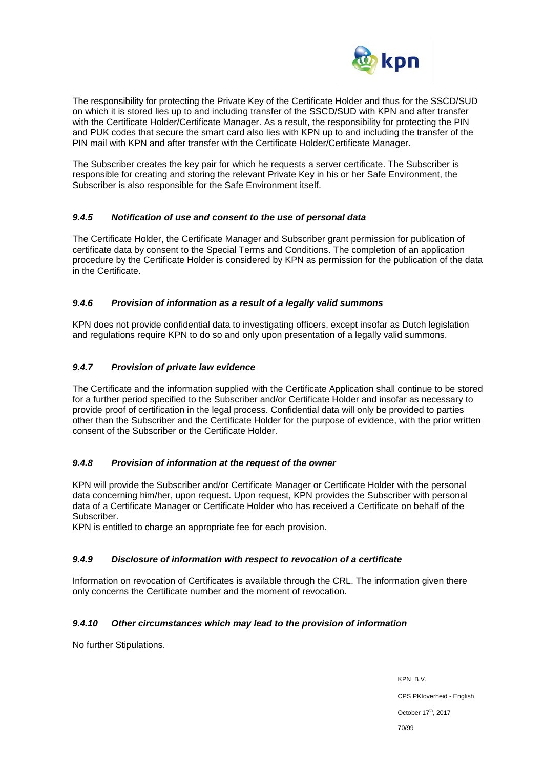

The responsibility for protecting the Private Key of the Certificate Holder and thus for the SSCD/SUD on which it is stored lies up to and including transfer of the SSCD/SUD with KPN and after transfer with the Certificate Holder/Certificate Manager. As a result, the responsibility for protecting the PIN and PUK codes that secure the smart card also lies with KPN up to and including the transfer of the PIN mail with KPN and after transfer with the Certificate Holder/Certificate Manager.

The Subscriber creates the key pair for which he requests a server certificate. The Subscriber is responsible for creating and storing the relevant Private Key in his or her Safe Environment, the Subscriber is also responsible for the Safe Environment itself.

# *9.4.5 Notification of use and consent to the use of personal data*

The Certificate Holder, the Certificate Manager and Subscriber grant permission for publication of certificate data by consent to the Special Terms and Conditions. The completion of an application procedure by the Certificate Holder is considered by KPN as permission for the publication of the data in the Certificate.

# *9.4.6 Provision of information as a result of a legally valid summons*

KPN does not provide confidential data to investigating officers, except insofar as Dutch legislation and regulations require KPN to do so and only upon presentation of a legally valid summons.

# *9.4.7 Provision of private law evidence*

The Certificate and the information supplied with the Certificate Application shall continue to be stored for a further period specified to the Subscriber and/or Certificate Holder and insofar as necessary to provide proof of certification in the legal process. Confidential data will only be provided to parties other than the Subscriber and the Certificate Holder for the purpose of evidence, with the prior written consent of the Subscriber or the Certificate Holder.

### *9.4.8 Provision of information at the request of the owner*

KPN will provide the Subscriber and/or Certificate Manager or Certificate Holder with the personal data concerning him/her, upon request. Upon request, KPN provides the Subscriber with personal data of a Certificate Manager or Certificate Holder who has received a Certificate on behalf of the Subscriber.

KPN is entitled to charge an appropriate fee for each provision.

### *9.4.9 Disclosure of information with respect to revocation of a certificate*

Information on revocation of Certificates is available through the CRL. The information given there only concerns the Certificate number and the moment of revocation.

### *9.4.10 Other circumstances which may lead to the provision of information*

No further Stipulations.

KPN B.V. CPS PKIoverheid - English October 17<sup>th</sup>, 2017 70/99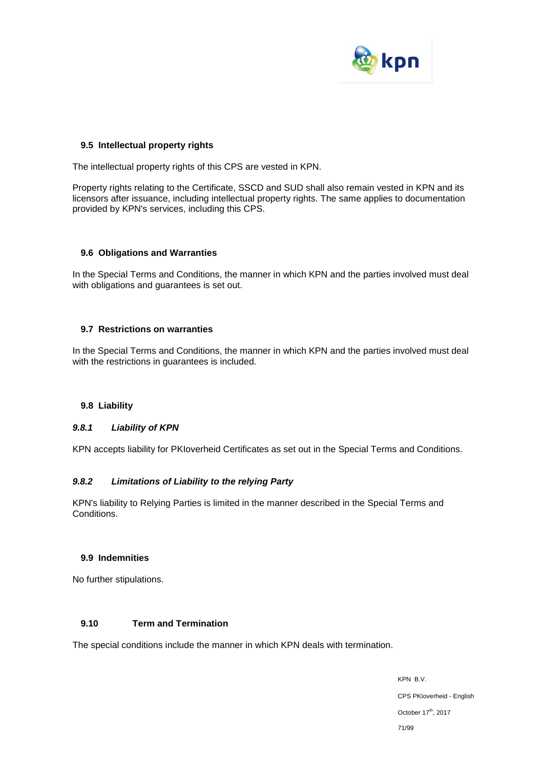

#### **9.5 Intellectual property rights**

The intellectual property rights of this CPS are vested in KPN.

Property rights relating to the Certificate, SSCD and SUD shall also remain vested in KPN and its licensors after issuance, including intellectual property rights. The same applies to documentation provided by KPN's services, including this CPS.

#### **9.6 Obligations and Warranties**

In the Special Terms and Conditions, the manner in which KPN and the parties involved must deal with obligations and guarantees is set out.

#### **9.7 Restrictions on warranties**

In the Special Terms and Conditions, the manner in which KPN and the parties involved must deal with the restrictions in guarantees is included.

### **9.8 Liability**

### *9.8.1 Liability of KPN*

KPN accepts liability for PKIoverheid Certificates as set out in the Special Terms and Conditions.

### *9.8.2 Limitations of Liability to the relying Party*

KPN's liability to Relying Parties is limited in the manner described in the Special Terms and Conditions.

#### **9.9 Indemnities**

No further stipulations.

#### **9.10 Term and Termination**

The special conditions include the manner in which KPN deals with termination.

KPN B.V. CPS PKIoverheid - English October 17<sup>th</sup>, 2017 71/99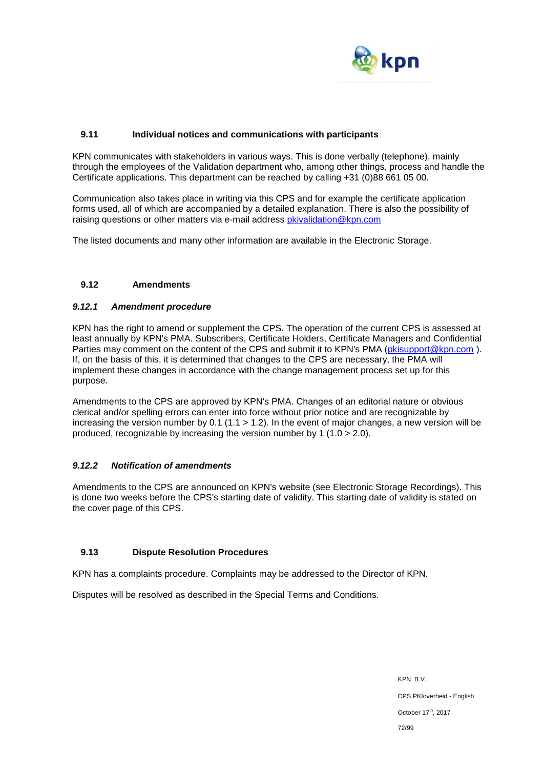

### **9.11 Individual notices and communications with participants**

KPN communicates with stakeholders in various ways. This is done verbally (telephone), mainly through the employees of the Validation department who, among other things, process and handle the Certificate applications. This department can be reached by calling +31 (0)88 661 05 00.

Communication also takes place in writing via this CPS and for example the certificate application forms used, all of which are accompanied by a detailed explanation. There is also the possibility of raising questions or other matters via e-mail address [pkivalidation@kpn.com](mailto:pkivalidation@kpn.com)

The listed documents and many other information are available in the Electronic Storage.

### **9.12 Amendments**

### *9.12.1 Amendment procedure*

KPN has the right to amend or supplement the CPS. The operation of the current CPS is assessed at least annually by KPN's PMA. Subscribers, Certificate Holders, Certificate Managers and Confidential Parties may comment on the content of the CPS and submit it to KPN's PMA [\(pkisupport@kpn.com](mailto:pkisupport@kpn.com)). If, on the basis of this, it is determined that changes to the CPS are necessary, the PMA will implement these changes in accordance with the change management process set up for this purpose.

Amendments to the CPS are approved by KPN's PMA. Changes of an editorial nature or obvious clerical and/or spelling errors can enter into force without prior notice and are recognizable by increasing the version number by 0.1 (1.1  $>$  1.2). In the event of major changes, a new version will be produced, recognizable by increasing the version number by 1 (1.0 > 2.0).

### *9.12.2 Notification of amendments*

Amendments to the CPS are announced on KPN's website (see Electronic Storage Recordings). This is done two weeks before the CPS's starting date of validity. This starting date of validity is stated on the cover page of this CPS.

### **9.13 Dispute Resolution Procedures**

KPN has a complaints procedure. Complaints may be addressed to the Director of KPN.

Disputes will be resolved as described in the Special Terms and Conditions.

KPN B.V. CPS PKIoverheid - English October 17<sup>th</sup>, 2017 72/99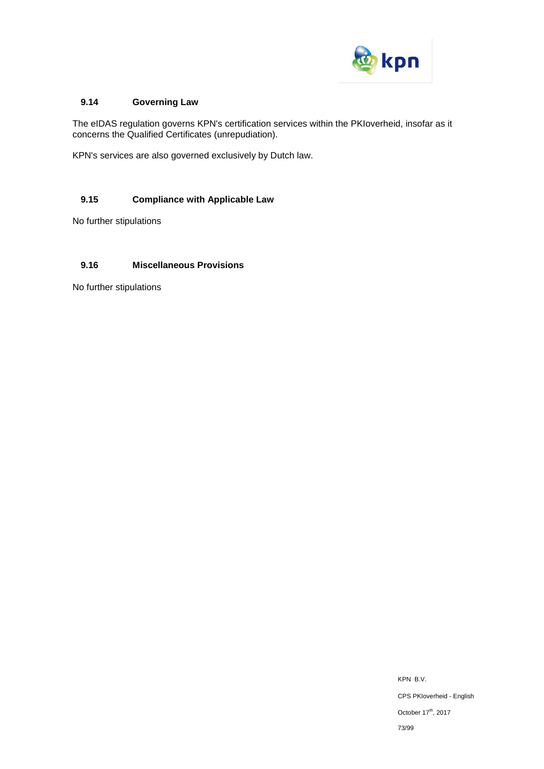

# **9.14 Governing Law**

The eIDAS regulation governs KPN's certification services within the PKIoverheid, insofar as it concerns the Qualified Certificates (unrepudiation).

KPN's services are also governed exclusively by Dutch law.

# **9.15 Compliance with Applicable Law**

No further stipulations

# **9.16 Miscellaneous Provisions**

No further stipulations

KPN B.V. CPS PKIoverheid - English October 17<sup>th</sup>, 2017 73/99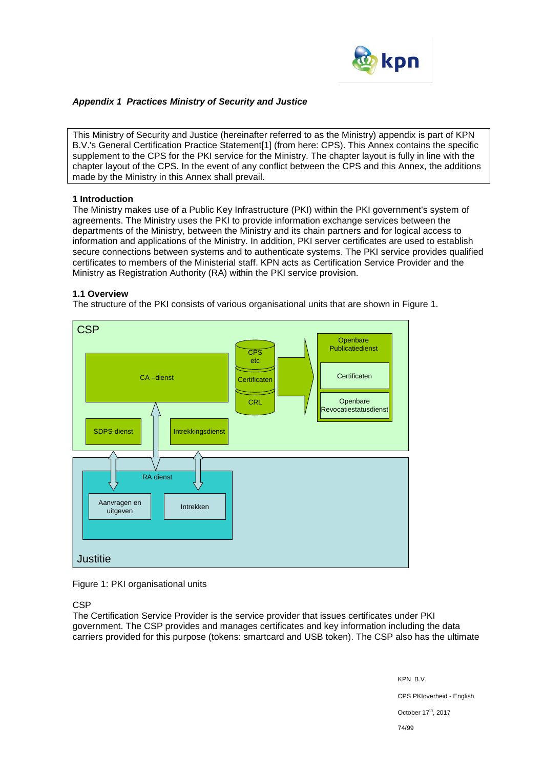

# *Appendix 1 Practices Ministry of Security and Justice*

This Ministry of Security and Justice (hereinafter referred to as the Ministry) appendix is part of KPN B.V.'s General Certification Practice Statement[1] (from here: CPS). This Annex contains the specific supplement to the CPS for the PKI service for the Ministry. The chapter layout is fully in line with the chapter layout of the CPS. In the event of any conflict between the CPS and this Annex, the additions made by the Ministry in this Annex shall prevail.

## **1 Introduction**

The Ministry makes use of a Public Key Infrastructure (PKI) within the PKI government's system of agreements. The Ministry uses the PKI to provide information exchange services between the departments of the Ministry, between the Ministry and its chain partners and for logical access to information and applications of the Ministry. In addition, PKI server certificates are used to establish secure connections between systems and to authenticate systems. The PKI service provides qualified certificates to members of the Ministerial staff. KPN acts as Certification Service Provider and the Ministry as Registration Authority (RA) within the PKI service provision.

## **1.1 Overview**

The structure of the PKI consists of various organisational units that are shown in Figure 1.



### Figure 1: PKI organisational units

**CSP** 

The Certification Service Provider is the service provider that issues certificates under PKI government. The CSP provides and manages certificates and key information including the data carriers provided for this purpose (tokens: smartcard and USB token). The CSP also has the ultimate

> KPN B.V. CPS PKIoverheid - English October 17<sup>th</sup>, 2017 74/99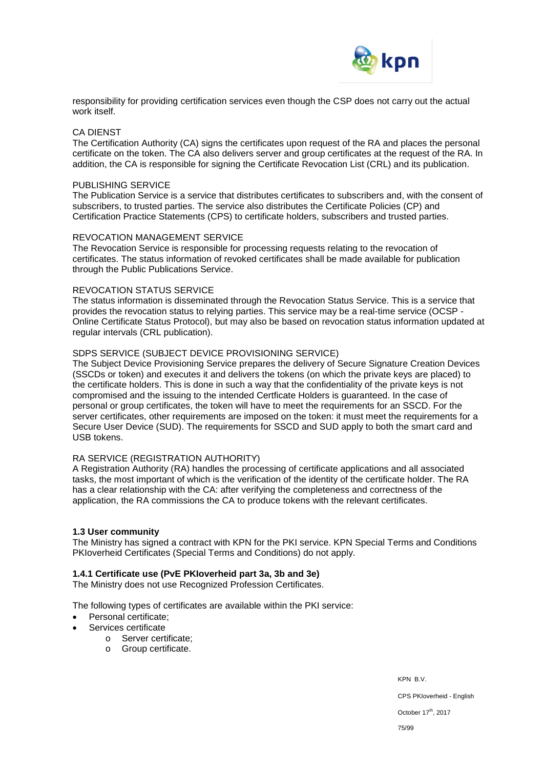

responsibility for providing certification services even though the CSP does not carry out the actual work itself.

### CA DIENST

The Certification Authority (CA) signs the certificates upon request of the RA and places the personal certificate on the token. The CA also delivers server and group certificates at the request of the RA. In addition, the CA is responsible for signing the Certificate Revocation List (CRL) and its publication.

### PUBLISHING SERVICE

The Publication Service is a service that distributes certificates to subscribers and, with the consent of subscribers, to trusted parties. The service also distributes the Certificate Policies (CP) and Certification Practice Statements (CPS) to certificate holders, subscribers and trusted parties.

### REVOCATION MANAGEMENT SERVICE

The Revocation Service is responsible for processing requests relating to the revocation of certificates. The status information of revoked certificates shall be made available for publication through the Public Publications Service.

### REVOCATION STATUS SERVICE

The status information is disseminated through the Revocation Status Service. This is a service that provides the revocation status to relying parties. This service may be a real-time service (OCSP - Online Certificate Status Protocol), but may also be based on revocation status information updated at regular intervals (CRL publication).

### SDPS SERVICE (SUBJECT DEVICE PROVISIONING SERVICE)

The Subject Device Provisioning Service prepares the delivery of Secure Signature Creation Devices (SSCDs or token) and executes it and delivers the tokens (on which the private keys are placed) to the certificate holders. This is done in such a way that the confidentiality of the private keys is not compromised and the issuing to the intended Certficate Holders is guaranteed. In the case of personal or group certificates, the token will have to meet the requirements for an SSCD. For the server certificates, other requirements are imposed on the token: it must meet the requirements for a Secure User Device (SUD). The requirements for SSCD and SUD apply to both the smart card and USB tokens.

### RA SERVICE (REGISTRATION AUTHORITY)

A Registration Authority (RA) handles the processing of certificate applications and all associated tasks, the most important of which is the verification of the identity of the certificate holder. The RA has a clear relationship with the CA: after verifying the completeness and correctness of the application, the RA commissions the CA to produce tokens with the relevant certificates.

### **1.3 User community**

The Ministry has signed a contract with KPN for the PKI service. KPN Special Terms and Conditions PKIoverheid Certificates (Special Terms and Conditions) do not apply.

### **1.4.1 Certificate use (PvE PKIoverheid part 3a, 3b and 3e)**

The Ministry does not use Recognized Profession Certificates.

The following types of certificates are available within the PKI service:

- Personal certificate;
- Services certificate
	- o Server certificate;
	- o Group certificate.

KPN B.V.

CPS PKIoverheid - English

October 17<sup>th</sup>, 2017

75/99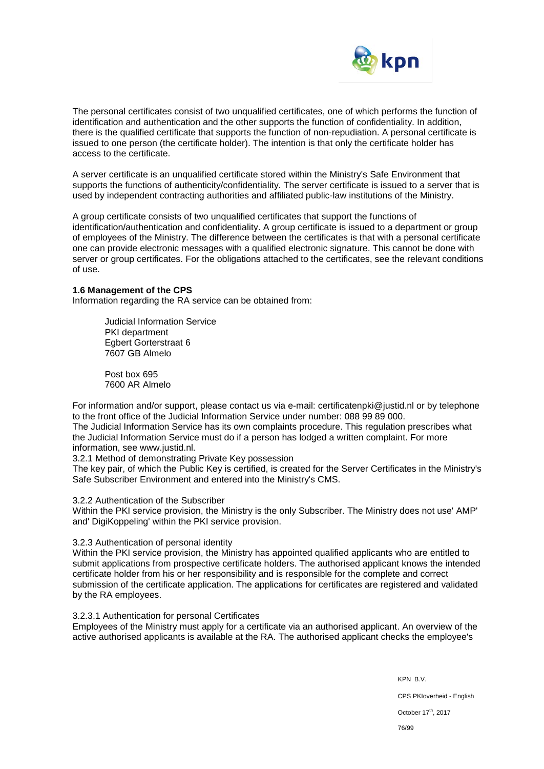

The personal certificates consist of two unqualified certificates, one of which performs the function of identification and authentication and the other supports the function of confidentiality. In addition, there is the qualified certificate that supports the function of non-repudiation. A personal certificate is issued to one person (the certificate holder). The intention is that only the certificate holder has access to the certificate.

A server certificate is an unqualified certificate stored within the Ministry's Safe Environment that supports the functions of authenticity/confidentiality. The server certificate is issued to a server that is used by independent contracting authorities and affiliated public-law institutions of the Ministry.

A group certificate consists of two unqualified certificates that support the functions of identification/authentication and confidentiality. A group certificate is issued to a department or group of employees of the Ministry. The difference between the certificates is that with a personal certificate one can provide electronic messages with a qualified electronic signature. This cannot be done with server or group certificates. For the obligations attached to the certificates, see the relevant conditions of use.

### **1.6 Management of the CPS**

Information regarding the RA service can be obtained from:

Judicial Information Service PKI department Egbert Gorterstraat 6 7607 GB Almelo

Post box 695 7600 AR Almelo

For information and/or support, please contact us via e-mail: certificatenpki@justid.nl or by telephone to the front office of the Judicial Information Service under number: 088 99 89 000. The Judicial Information Service has its own complaints procedure. This regulation prescribes what the Judicial Information Service must do if a person has lodged a written complaint. For more information, see www.justid.nl.

3.2.1 Method of demonstrating Private Key possession

The key pair, of which the Public Key is certified, is created for the Server Certificates in the Ministry's Safe Subscriber Environment and entered into the Ministry's CMS.

3.2.2 Authentication of the Subscriber

Within the PKI service provision, the Ministry is the only Subscriber. The Ministry does not use' AMP' and' DigiKoppeling' within the PKI service provision.

3.2.3 Authentication of personal identity

Within the PKI service provision, the Ministry has appointed qualified applicants who are entitled to submit applications from prospective certificate holders. The authorised applicant knows the intended certificate holder from his or her responsibility and is responsible for the complete and correct submission of the certificate application. The applications for certificates are registered and validated by the RA employees.

#### 3.2.3.1 Authentication for personal Certificates

Employees of the Ministry must apply for a certificate via an authorised applicant. An overview of the active authorised applicants is available at the RA. The authorised applicant checks the employee's

> KPN B.V. CPS PKIoverheid - English October 17<sup>th</sup>, 2017 76/99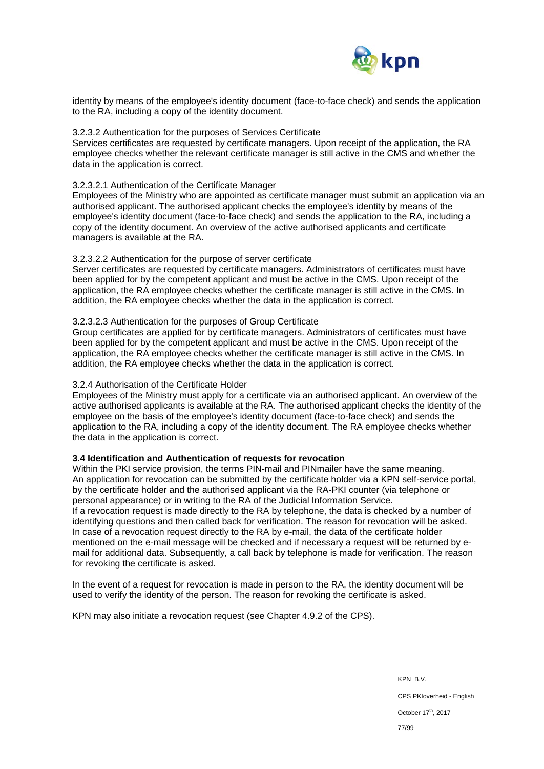

identity by means of the employee's identity document (face-to-face check) and sends the application to the RA, including a copy of the identity document.

### 3.2.3.2 Authentication for the purposes of Services Certificate

Services certificates are requested by certificate managers. Upon receipt of the application, the RA employee checks whether the relevant certificate manager is still active in the CMS and whether the data in the application is correct.

## 3.2.3.2.1 Authentication of the Certificate Manager

Employees of the Ministry who are appointed as certificate manager must submit an application via an authorised applicant. The authorised applicant checks the employee's identity by means of the employee's identity document (face-to-face check) and sends the application to the RA, including a copy of the identity document. An overview of the active authorised applicants and certificate managers is available at the RA.

## 3.2.3.2.2 Authentication for the purpose of server certificate

Server certificates are requested by certificate managers. Administrators of certificates must have been applied for by the competent applicant and must be active in the CMS. Upon receipt of the application, the RA employee checks whether the certificate manager is still active in the CMS. In addition, the RA employee checks whether the data in the application is correct.

## 3.2.3.2.3 Authentication for the purposes of Group Certificate

Group certificates are applied for by certificate managers. Administrators of certificates must have been applied for by the competent applicant and must be active in the CMS. Upon receipt of the application, the RA employee checks whether the certificate manager is still active in the CMS. In addition, the RA employee checks whether the data in the application is correct.

### 3.2.4 Authorisation of the Certificate Holder

Employees of the Ministry must apply for a certificate via an authorised applicant. An overview of the active authorised applicants is available at the RA. The authorised applicant checks the identity of the employee on the basis of the employee's identity document (face-to-face check) and sends the application to the RA, including a copy of the identity document. The RA employee checks whether the data in the application is correct.

### **3.4 Identification and Authentication of requests for revocation**

Within the PKI service provision, the terms PIN-mail and PINmailer have the same meaning. An application for revocation can be submitted by the certificate holder via a KPN self-service portal, by the certificate holder and the authorised applicant via the RA-PKI counter (via telephone or personal appearance) or in writing to the RA of the Judicial Information Service. If a revocation request is made directly to the RA by telephone, the data is checked by a number of identifying questions and then called back for verification. The reason for revocation will be asked. In case of a revocation request directly to the RA by e-mail, the data of the certificate holder mentioned on the e-mail message will be checked and if necessary a request will be returned by email for additional data. Subsequently, a call back by telephone is made for verification. The reason for revoking the certificate is asked.

In the event of a request for revocation is made in person to the RA, the identity document will be used to verify the identity of the person. The reason for revoking the certificate is asked.

KPN may also initiate a revocation request (see Chapter 4.9.2 of the CPS).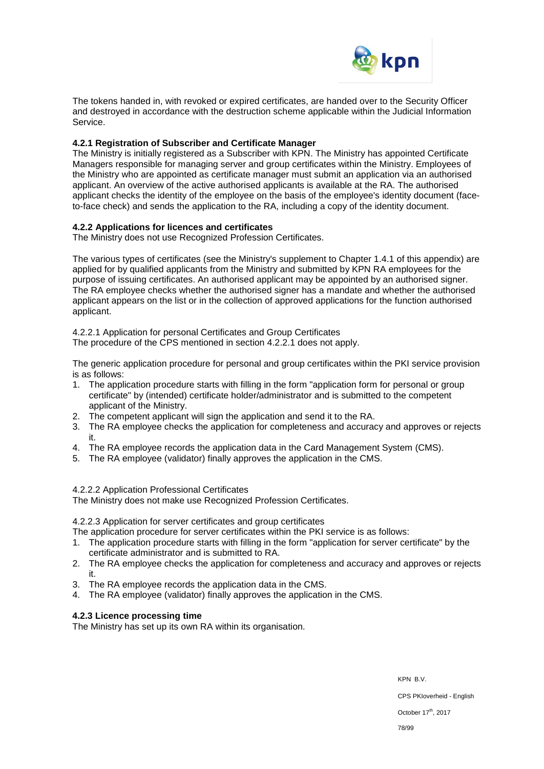

The tokens handed in, with revoked or expired certificates, are handed over to the Security Officer and destroyed in accordance with the destruction scheme applicable within the Judicial Information Service.

## **4.2.1 Registration of Subscriber and Certificate Manager**

The Ministry is initially registered as a Subscriber with KPN. The Ministry has appointed Certificate Managers responsible for managing server and group certificates within the Ministry. Employees of the Ministry who are appointed as certificate manager must submit an application via an authorised applicant. An overview of the active authorised applicants is available at the RA. The authorised applicant checks the identity of the employee on the basis of the employee's identity document (faceto-face check) and sends the application to the RA, including a copy of the identity document.

## **4.2.2 Applications for licences and certificates**

The Ministry does not use Recognized Profession Certificates.

The various types of certificates (see the Ministry's supplement to Chapter 1.4.1 of this appendix) are applied for by qualified applicants from the Ministry and submitted by KPN RA employees for the purpose of issuing certificates. An authorised applicant may be appointed by an authorised signer. The RA employee checks whether the authorised signer has a mandate and whether the authorised applicant appears on the list or in the collection of approved applications for the function authorised applicant.

4.2.2.1 Application for personal Certificates and Group Certificates

The procedure of the CPS mentioned in section 4.2.2.1 does not apply.

The generic application procedure for personal and group certificates within the PKI service provision is as follows:

- 1. The application procedure starts with filling in the form "application form for personal or group certificate" by (intended) certificate holder/administrator and is submitted to the competent applicant of the Ministry.
- 2. The competent applicant will sign the application and send it to the RA.
- 3. The RA employee checks the application for completeness and accuracy and approves or rejects it.
- 4. The RA employee records the application data in the Card Management System (CMS).
- 5. The RA employee (validator) finally approves the application in the CMS.

### 4.2.2.2 Application Professional Certificates

The Ministry does not make use Recognized Profession Certificates.

### 4.2.2.3 Application for server certificates and group certificates

The application procedure for server certificates within the PKI service is as follows:

- 1. The application procedure starts with filling in the form "application for server certificate" by the certificate administrator and is submitted to RA.
- 2. The RA employee checks the application for completeness and accuracy and approves or rejects it.
- 3. The RA employee records the application data in the CMS.
- 4. The RA employee (validator) finally approves the application in the CMS.

### **4.2.3 Licence processing time**

The Ministry has set up its own RA within its organisation.

KPN B.V. CPS PKIoverheid - English

October 17<sup>th</sup>, 2017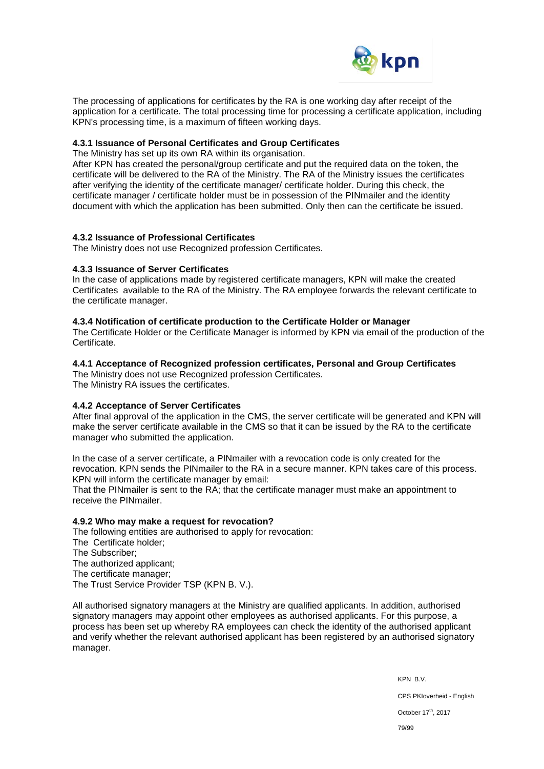

The processing of applications for certificates by the RA is one working day after receipt of the application for a certificate. The total processing time for processing a certificate application, including KPN's processing time, is a maximum of fifteen working days.

## **4.3.1 Issuance of Personal Certificates and Group Certificates**

The Ministry has set up its own RA within its organisation.

After KPN has created the personal/group certificate and put the required data on the token, the certificate will be delivered to the RA of the Ministry. The RA of the Ministry issues the certificates after verifying the identity of the certificate manager/ certificate holder. During this check, the certificate manager / certificate holder must be in possession of the PINmailer and the identity document with which the application has been submitted. Only then can the certificate be issued.

## **4.3.2 Issuance of Professional Certificates**

The Ministry does not use Recognized profession Certificates.

### **4.3.3 Issuance of Server Certificates**

In the case of applications made by registered certificate managers, KPN will make the created Certificates available to the RA of the Ministry. The RA employee forwards the relevant certificate to the certificate manager.

### **4.3.4 Notification of certificate production to the Certificate Holder or Manager**

The Certificate Holder or the Certificate Manager is informed by KPN via email of the production of the Certificate.

## **4.4.1 Acceptance of Recognized profession certificates, Personal and Group Certificates**

The Ministry does not use Recognized profession Certificates. The Ministry RA issues the certificates.

## **4.4.2 Acceptance of Server Certificates**

After final approval of the application in the CMS, the server certificate will be generated and KPN will make the server certificate available in the CMS so that it can be issued by the RA to the certificate manager who submitted the application.

In the case of a server certificate, a PINmailer with a revocation code is only created for the revocation. KPN sends the PINmailer to the RA in a secure manner. KPN takes care of this process. KPN will inform the certificate manager by email:

That the PINmailer is sent to the RA; that the certificate manager must make an appointment to receive the PINmailer.

### **4.9.2 Who may make a request for revocation?**

The following entities are authorised to apply for revocation: The Certificate holder; The Subscriber; The authorized applicant; The certificate manager; The Trust Service Provider TSP (KPN B. V.).

All authorised signatory managers at the Ministry are qualified applicants. In addition, authorised signatory managers may appoint other employees as authorised applicants. For this purpose, a process has been set up whereby RA employees can check the identity of the authorised applicant and verify whether the relevant authorised applicant has been registered by an authorised signatory manager.

> KPN B.V. CPS PKIoverheid - English October 17<sup>th</sup>, 2017 79/99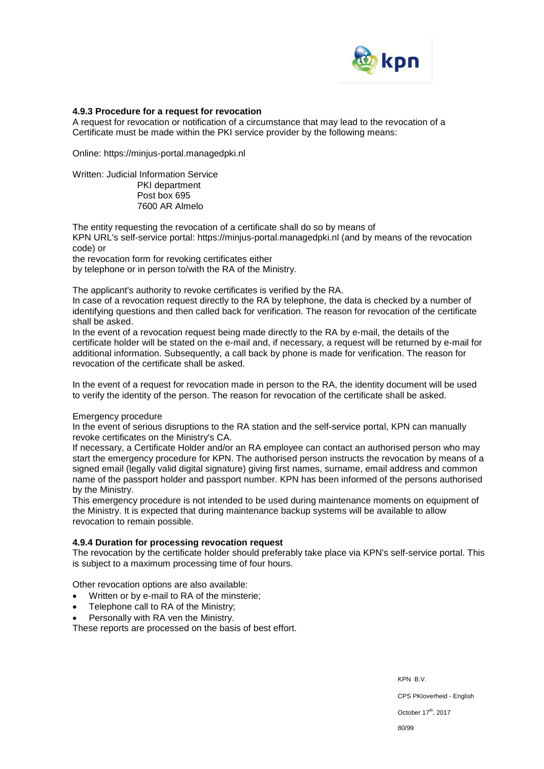

### **4.9.3 Procedure for a request for revocation**

A request for revocation or notification of a circumstance that may lead to the revocation of a Certificate must be made within the PKI service provider by the following means:

Online: https://minjus-portal.managedpki.nl

Written: Judicial Information Service PKI department Post box 695 7600 AR Almelo

The entity requesting the revocation of a certificate shall do so by means of KPN URL's self-service portal: https://minjus-portal.managedpki.nl (and by means of the revocation code) or

the revocation form for revoking certificates either by telephone or in person to/with the RA of the Ministry.

The applicant's authority to revoke certificates is verified by the RA.

In case of a revocation request directly to the RA by telephone, the data is checked by a number of identifying questions and then called back for verification. The reason for revocation of the certificate shall be asked.

In the event of a revocation request being made directly to the RA by e-mail, the details of the certificate holder will be stated on the e-mail and, if necessary, a request will be returned by e-mail for additional information. Subsequently, a call back by phone is made for verification. The reason for revocation of the certificate shall be asked.

In the event of a request for revocation made in person to the RA, the identity document will be used to verify the identity of the person. The reason for revocation of the certificate shall be asked.

### Emergency procedure

In the event of serious disruptions to the RA station and the self-service portal, KPN can manually revoke certificates on the Ministry's CA.

If necessary, a Certificate Holder and/or an RA employee can contact an authorised person who may start the emergency procedure for KPN. The authorised person instructs the revocation by means of a signed email (legally valid digital signature) giving first names, surname, email address and common name of the passport holder and passport number. KPN has been informed of the persons authorised by the Ministry.

This emergency procedure is not intended to be used during maintenance moments on equipment of the Ministry. It is expected that during maintenance backup systems will be available to allow revocation to remain possible.

## **4.9.4 Duration for processing revocation request**

The revocation by the certificate holder should preferably take place via KPN's self-service portal. This is subject to a maximum processing time of four hours.

Other revocation options are also available:

- Written or by e-mail to RA of the minsterie;
- Telephone call to RA of the Ministry;
- Personally with RA ven the Ministry.

These reports are processed on the basis of best effort.

KPN B.V.

CPS PKIoverheid - English

October 17<sup>th</sup>, 2017

80/99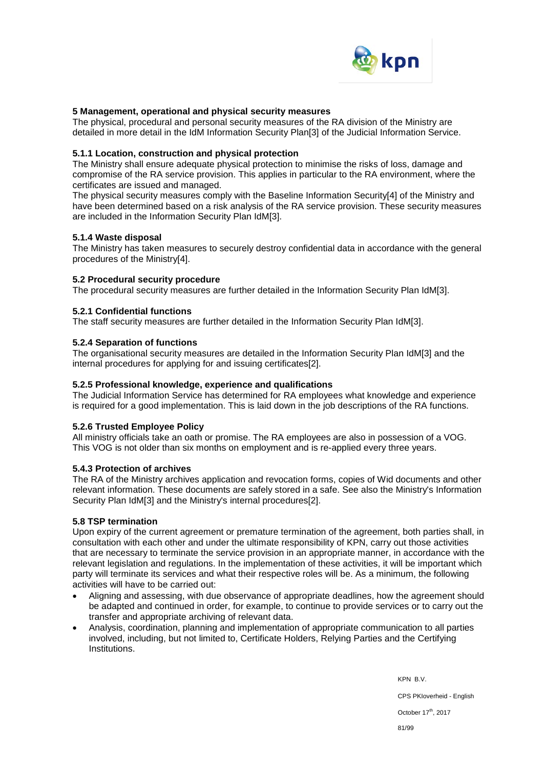

## **5 Management, operational and physical security measures**

The physical, procedural and personal security measures of the RA division of the Ministry are detailed in more detail in the IdM Information Security Plan[3] of the Judicial Information Service.

### **5.1.1 Location, construction and physical protection**

The Ministry shall ensure adequate physical protection to minimise the risks of loss, damage and compromise of the RA service provision. This applies in particular to the RA environment, where the certificates are issued and managed.

The physical security measures comply with the Baseline Information Security[4] of the Ministry and have been determined based on a risk analysis of the RA service provision. These security measures are included in the Information Security Plan IdM[3].

## **5.1.4 Waste disposal**

The Ministry has taken measures to securely destroy confidential data in accordance with the general procedures of the Ministry[4].

## **5.2 Procedural security procedure**

The procedural security measures are further detailed in the Information Security Plan IdM[3].

## **5.2.1 Confidential functions**

The staff security measures are further detailed in the Information Security Plan IdM[3].

## **5.2.4 Separation of functions**

The organisational security measures are detailed in the Information Security Plan IdM[3] and the internal procedures for applying for and issuing certificates[2].

## **5.2.5 Professional knowledge, experience and qualifications**

The Judicial Information Service has determined for RA employees what knowledge and experience is required for a good implementation. This is laid down in the job descriptions of the RA functions.

## **5.2.6 Trusted Employee Policy**

All ministry officials take an oath or promise. The RA employees are also in possession of a VOG. This VOG is not older than six months on employment and is re-applied every three years.

### **5.4.3 Protection of archives**

The RA of the Ministry archives application and revocation forms, copies of Wid documents and other relevant information. These documents are safely stored in a safe. See also the Ministry's Information Security Plan IdM[3] and the Ministry's internal procedures[2].

### **5.8 TSP termination**

Upon expiry of the current agreement or premature termination of the agreement, both parties shall, in consultation with each other and under the ultimate responsibility of KPN, carry out those activities that are necessary to terminate the service provision in an appropriate manner, in accordance with the relevant legislation and regulations. In the implementation of these activities, it will be important which party will terminate its services and what their respective roles will be. As a minimum, the following activities will have to be carried out:

- Aligning and assessing, with due observance of appropriate deadlines, how the agreement should be adapted and continued in order, for example, to continue to provide services or to carry out the transfer and appropriate archiving of relevant data.
- Analysis, coordination, planning and implementation of appropriate communication to all parties involved, including, but not limited to, Certificate Holders, Relying Parties and the Certifying Institutions.

KPN B.V. CPS PKIoverheid - English October 17<sup>th</sup>, 2017 81/99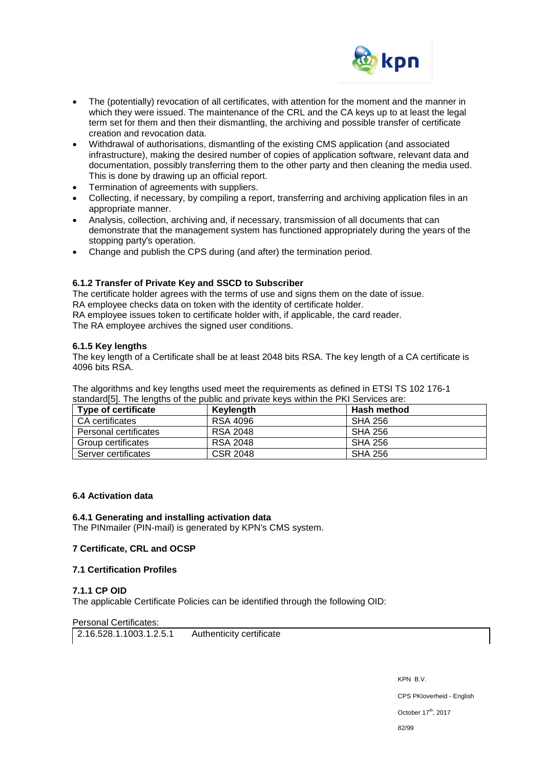

- The (potentially) revocation of all certificates, with attention for the moment and the manner in which they were issued. The maintenance of the CRL and the CA keys up to at least the legal term set for them and then their dismantling, the archiving and possible transfer of certificate creation and revocation data.
- Withdrawal of authorisations, dismantling of the existing CMS application (and associated infrastructure), making the desired number of copies of application software, relevant data and documentation, possibly transferring them to the other party and then cleaning the media used. This is done by drawing up an official report.
- Termination of agreements with suppliers.
- Collecting, if necessary, by compiling a report, transferring and archiving application files in an appropriate manner.
- Analysis, collection, archiving and, if necessary, transmission of all documents that can demonstrate that the management system has functioned appropriately during the years of the stopping party's operation.
- Change and publish the CPS during (and after) the termination period.

## **6.1.2 Transfer of Private Key and SSCD to Subscriber**

The certificate holder agrees with the terms of use and signs them on the date of issue. RA employee checks data on token with the identity of certificate holder.

RA employee issues token to certificate holder with, if applicable, the card reader.

The RA employee archives the signed user conditions.

## **6.1.5 Key lengths**

The key length of a Certificate shall be at least 2048 bits RSA. The key length of a CA certificate is 4096 bits RSA.

The algorithms and key lengths used meet the requirements as defined in ETSI TS 102 176-1 standard[5]. The lengths of the public and private keys within the PKI Services are:

| <b>Type of certificate</b> | Keylength       | <b>Hash method</b> |
|----------------------------|-----------------|--------------------|
| CA certificates            | RSA 4096        | <b>SHA 256</b>     |
| Personal certificates      | <b>RSA 2048</b> | SHA 256            |
| Group certificates         | <b>RSA 2048</b> | <b>SHA 256</b>     |
| Server certificates        | <b>CSR 2048</b> | <b>SHA 256</b>     |

## **6.4 Activation data**

### **6.4.1 Generating and installing activation data**

The PINmailer (PIN-mail) is generated by KPN's CMS system.

### **7 Certificate, CRL and OCSP**

### **7.1 Certification Profiles**

### **7.1.1 CP OID**

The applicable Certificate Policies can be identified through the following OID:

### Personal Certificates:

2.16.528.1.1003.1.2.5.1 Authenticity certificate

KPN B.V. CPS PKIoverheid - English October 17<sup>th</sup>, 2017

82/99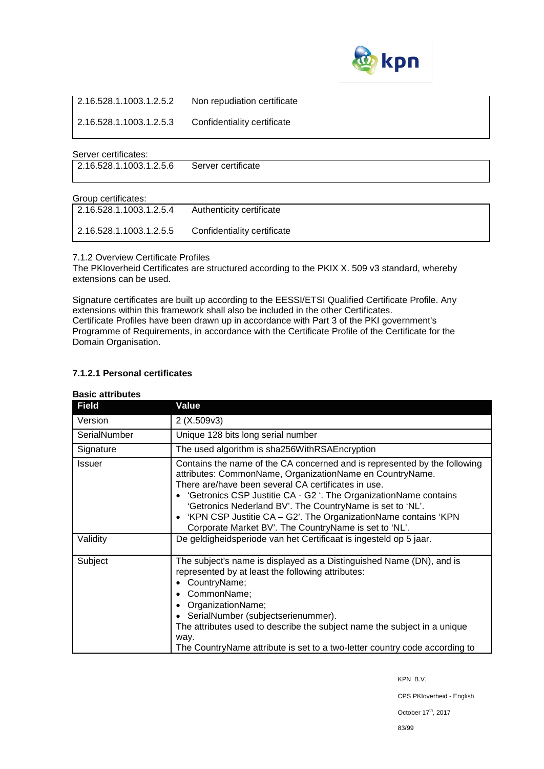

2.16.528.1.1003.1.2.5.2 Non repudiation certificate

2.16.528.1.1003.1.2.5.3 Confidentiality certificate

## Server certificates:

2.16.528.1.1003.1.2.5.6 Server certificate

### Group certificates:

| 2.16.528.1.1003.1.2.5.4 | Authenticity certificate    |
|-------------------------|-----------------------------|
| 2.16.528.1.1003.1.2.5.5 | Confidentiality certificate |

7.1.2 Overview Certificate Profiles

The PKIoverheid Certificates are structured according to the PKIX X. 509 v3 standard, whereby extensions can be used.

Signature certificates are built up according to the EESSI/ETSI Qualified Certificate Profile. Any extensions within this framework shall also be included in the other Certificates. Certificate Profiles have been drawn up in accordance with Part 3 of the PKI government's Programme of Requirements, in accordance with the Certificate Profile of the Certificate for the Domain Organisation.

## **7.1.2.1 Personal certificates**

| <b>Field</b> | Value                                                                                                                                                                                                                                                                                                                                                                                                                                                      |  |
|--------------|------------------------------------------------------------------------------------------------------------------------------------------------------------------------------------------------------------------------------------------------------------------------------------------------------------------------------------------------------------------------------------------------------------------------------------------------------------|--|
| Version      | 2(X.509v3)                                                                                                                                                                                                                                                                                                                                                                                                                                                 |  |
| SerialNumber | Unique 128 bits long serial number                                                                                                                                                                                                                                                                                                                                                                                                                         |  |
| Signature    | The used algorithm is sha256WithRSAEncryption                                                                                                                                                                                                                                                                                                                                                                                                              |  |
| Issuer       | Contains the name of the CA concerned and is represented by the following<br>attributes: CommonName, OrganizationName en CountryName.<br>There are/have been several CA certificates in use.<br>'Getronics CSP Justitie CA - G2 '. The OrganizationName contains<br>'Getronics Nederland BV'. The CountryName is set to 'NL'.<br>• 'KPN CSP Justitie CA - G2'. The OrganizationName contains 'KPN<br>Corporate Market BV'. The CountryName is set to 'NL'. |  |
| Validity     | De geldigheidsperiode van het Certificaat is ingesteld op 5 jaar.                                                                                                                                                                                                                                                                                                                                                                                          |  |
| Subject      | The subject's name is displayed as a Distinguished Name (DN), and is<br>represented by at least the following attributes:<br>CountryName;<br>CommonName;<br>OrganizationName;<br>SerialNumber (subjectserienummer).<br>The attributes used to describe the subject name the subject in a unique<br>way.<br>The CountryName attribute is set to a two-letter country code according to                                                                      |  |

## **Basic attributes**

KPN B.V.

CPS PKIoverheid - English

October 17<sup>th</sup>, 2017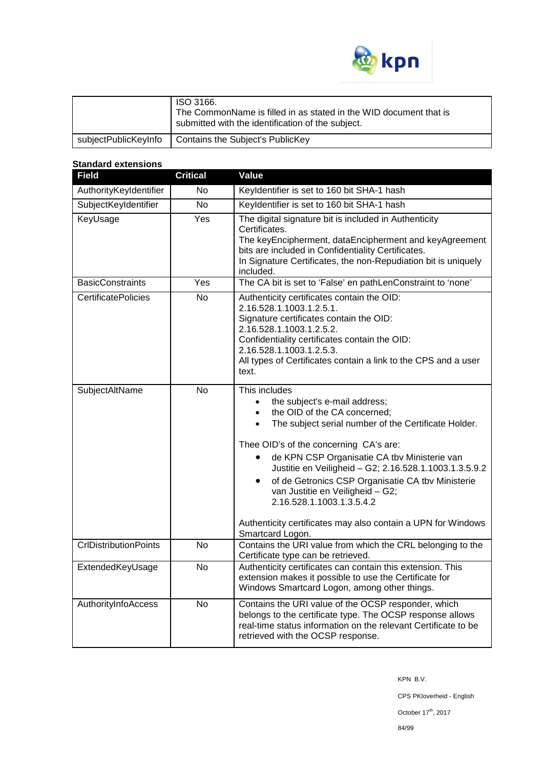

| ISO 3166.<br>The CommonName is filled in as stated in the WID document that is<br>submitted with the identification of the subject. |
|-------------------------------------------------------------------------------------------------------------------------------------|
| subjectPublicKeyInfo   Contains the Subject's PublicKey                                                                             |

## **Standard extensions**

| <b>Field</b>                 | <b>Critical</b> | Value                                                                                                                                                                                                                                                                                                                                                                                                                                                                                                                                                    |
|------------------------------|-----------------|----------------------------------------------------------------------------------------------------------------------------------------------------------------------------------------------------------------------------------------------------------------------------------------------------------------------------------------------------------------------------------------------------------------------------------------------------------------------------------------------------------------------------------------------------------|
| AuthorityKeyIdentifier       | N <sub>o</sub>  | Keyldentifier is set to 160 bit SHA-1 hash                                                                                                                                                                                                                                                                                                                                                                                                                                                                                                               |
| SubjectKeyIdentifier         | <b>No</b>       | Keyldentifier is set to 160 bit SHA-1 hash                                                                                                                                                                                                                                                                                                                                                                                                                                                                                                               |
| KeyUsage                     | Yes             | The digital signature bit is included in Authenticity<br>Certificates.<br>The keyEncipherment, dataEncipherment and keyAgreement<br>bits are included in Confidentiality Certificates.<br>In Signature Certificates, the non-Repudiation bit is uniquely<br>included.                                                                                                                                                                                                                                                                                    |
| <b>BasicConstraints</b>      | Yes             | The CA bit is set to 'False' en pathLenConstraint to 'none'                                                                                                                                                                                                                                                                                                                                                                                                                                                                                              |
| <b>CertificatePolicies</b>   | $\overline{N}$  | Authenticity certificates contain the OID:<br>2.16.528.1.1003.1.2.5.1.<br>Signature certificates contain the OID:<br>2.16.528.1.1003.1.2.5.2.<br>Confidentiality certificates contain the OID:<br>2.16.528.1.1003.1.2.5.3.<br>All types of Certificates contain a link to the CPS and a user<br>text.                                                                                                                                                                                                                                                    |
| <b>SubjectAltName</b>        | $\overline{N}$  | This includes<br>the subject's e-mail address;<br>$\bullet$<br>the OID of the CA concerned;<br>$\bullet$<br>The subject serial number of the Certificate Holder.<br>$\bullet$<br>Thee OID's of the concerning CA's are:<br>de KPN CSP Organisatie CA tbv Ministerie van<br>Justitie en Veiligheid - G2; 2.16.528.1.1003.1.3.5.9.2<br>of de Getronics CSP Organisatie CA tbv Ministerie<br>$\bullet$<br>van Justitie en Veiligheid - G2;<br>2.16.528.1.1003.1.3.5.4.2<br>Authenticity certificates may also contain a UPN for Windows<br>Smartcard Logon. |
| <b>CrlDistributionPoints</b> | $\overline{N}$  | Contains the URI value from which the CRL belonging to the<br>Certificate type can be retrieved.                                                                                                                                                                                                                                                                                                                                                                                                                                                         |
| ExtendedKeyUsage             | <b>No</b>       | Authenticity certificates can contain this extension. This<br>extension makes it possible to use the Certificate for<br>Windows Smartcard Logon, among other things.                                                                                                                                                                                                                                                                                                                                                                                     |
| AuthorityInfoAccess          | <b>No</b>       | Contains the URI value of the OCSP responder, which<br>belongs to the certificate type. The OCSP response allows<br>real-time status information on the relevant Certificate to be<br>retrieved with the OCSP response.                                                                                                                                                                                                                                                                                                                                  |

KPN B.V.

CPS PKIoverheid - English

October  $17^{\text{th}}$ , 2017

84/99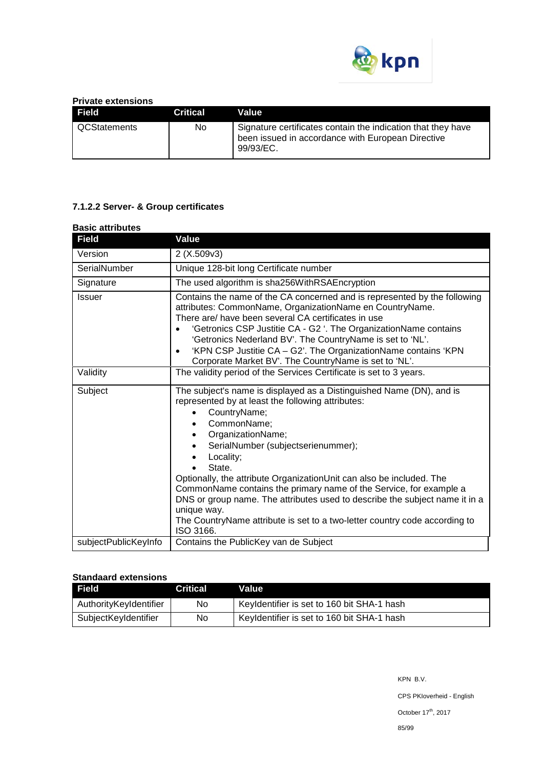

## **Private extensions**

| <b>Field</b> | <b>Critical</b> | Value                                                                                                                          |
|--------------|-----------------|--------------------------------------------------------------------------------------------------------------------------------|
| QCStatements | No.             | Signature certificates contain the indication that they have<br>been issued in accordance with European Directive<br>99/93/EC. |

# **7.1.2.2 Server- & Group certificates**

#### **Basic attributes**

| <b>Field</b>         | Value                                                                                                                                                                                                                                                                                                                                                                                                                                                                                                                                                                                          |  |
|----------------------|------------------------------------------------------------------------------------------------------------------------------------------------------------------------------------------------------------------------------------------------------------------------------------------------------------------------------------------------------------------------------------------------------------------------------------------------------------------------------------------------------------------------------------------------------------------------------------------------|--|
| Version              | 2(X.509v3)                                                                                                                                                                                                                                                                                                                                                                                                                                                                                                                                                                                     |  |
| SerialNumber         | Unique 128-bit long Certificate number                                                                                                                                                                                                                                                                                                                                                                                                                                                                                                                                                         |  |
| Signature            | The used algorithm is sha256WithRSAEncryption                                                                                                                                                                                                                                                                                                                                                                                                                                                                                                                                                  |  |
| <b>Issuer</b>        | Contains the name of the CA concerned and is represented by the following<br>attributes: CommonName, OrganizationName en CountryName.<br>There are/ have been several CA certificates in use<br>'Getronics CSP Justitie CA - G2 '. The OrganizationName contains<br>'Getronics Nederland BV'. The CountryName is set to 'NL'.<br>'KPN CSP Justitie CA - G2'. The OrganizationName contains 'KPN<br>Corporate Market BV'. The CountryName is set to 'NL'.                                                                                                                                       |  |
| Validity             | The validity period of the Services Certificate is set to 3 years.                                                                                                                                                                                                                                                                                                                                                                                                                                                                                                                             |  |
| Subject              | The subject's name is displayed as a Distinguished Name (DN), and is<br>represented by at least the following attributes:<br>CountryName;<br>CommonName;<br>$\bullet$<br>OrganizationName;<br>SerialNumber (subjectserienummer);<br>Locality;<br>State.<br>Optionally, the attribute OrganizationUnit can also be included. The<br>CommonName contains the primary name of the Service, for example a<br>DNS or group name. The attributes used to describe the subject name it in a<br>unique way.<br>The CountryName attribute is set to a two-letter country code according to<br>ISO 3166. |  |
| subjectPublicKeyInfo | Contains the PublicKey van de Subject                                                                                                                                                                                                                                                                                                                                                                                                                                                                                                                                                          |  |

## **Standaard extensions**

| Field                  | <b>Critical</b> | Value                                      |
|------------------------|-----------------|--------------------------------------------|
| AuthorityKeyIdentifier | No              | Keyldentifier is set to 160 bit SHA-1 hash |
| SubjectKeyIdentifier   | No.             | Keyldentifier is set to 160 bit SHA-1 hash |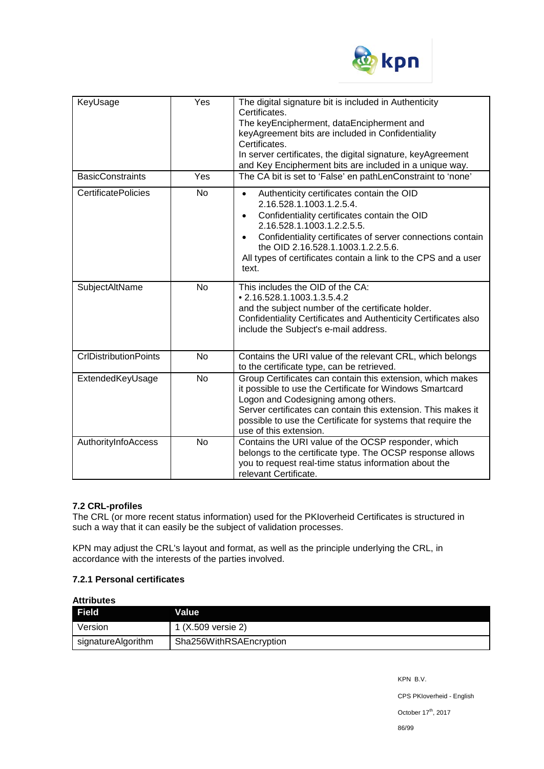

| KeyUsage                     | Yes            | The digital signature bit is included in Authenticity<br>Certificates.<br>The keyEncipherment, dataEncipherment and<br>keyAgreement bits are included in Confidentiality<br>Certificates.<br>In server certificates, the digital signature, keyAgreement<br>and Key Encipherment bits are included in a unique way.                                                       |
|------------------------------|----------------|---------------------------------------------------------------------------------------------------------------------------------------------------------------------------------------------------------------------------------------------------------------------------------------------------------------------------------------------------------------------------|
| <b>BasicConstraints</b>      | Yes            | The CA bit is set to 'False' en pathLenConstraint to 'none'                                                                                                                                                                                                                                                                                                               |
| <b>CertificatePolicies</b>   | <b>No</b>      | Authenticity certificates contain the OID<br>$\bullet$<br>2.16.528.1.1003.1.2.5.4.<br>Confidentiality certificates contain the OID<br>$\bullet$<br>2.16.528.1.1003.1.2.2.5.5.<br>Confidentiality certificates of server connections contain<br>$\bullet$<br>the OID 2.16.528.1.1003.1.2.2.5.6.<br>All types of certificates contain a link to the CPS and a user<br>text. |
| SubjectAltName               | N <sub>o</sub> | This includes the OID of the CA:<br>• 2.16.528.1.1003.1.3.5.4.2<br>and the subject number of the certificate holder.<br>Confidentiality Certificates and Authenticity Certificates also<br>include the Subject's e-mail address.                                                                                                                                          |
| <b>CrIDistributionPoints</b> | <b>No</b>      | Contains the URI value of the relevant CRL, which belongs<br>to the certificate type, can be retrieved.                                                                                                                                                                                                                                                                   |
| ExtendedKeyUsage             | <b>No</b>      | Group Certificates can contain this extension, which makes<br>it possible to use the Certificate for Windows Smartcard<br>Logon and Codesigning among others.<br>Server certificates can contain this extension. This makes it<br>possible to use the Certificate for systems that require the<br>use of this extension.                                                  |
| AuthorityInfoAccess          | <b>No</b>      | Contains the URI value of the OCSP responder, which<br>belongs to the certificate type. The OCSP response allows<br>you to request real-time status information about the<br>relevant Certificate.                                                                                                                                                                        |

# **7.2 CRL-profiles**

The CRL (or more recent status information) used for the PKIoverheid Certificates is structured in such a way that it can easily be the subject of validation processes.

KPN may adjust the CRL's layout and format, as well as the principle underlying the CRL, in accordance with the interests of the parties involved.

## **7.2.1 Personal certificates**

| <b>Attributes</b>  |                         |
|--------------------|-------------------------|
| <b>Field</b>       | Value                   |
| Version            | 1 (X.509 versie 2)      |
| signatureAlgorithm | Sha256WithRSAEncryption |

KPN B.V. CPS PKIoverheid - English October 17<sup>th</sup>, 2017 86/99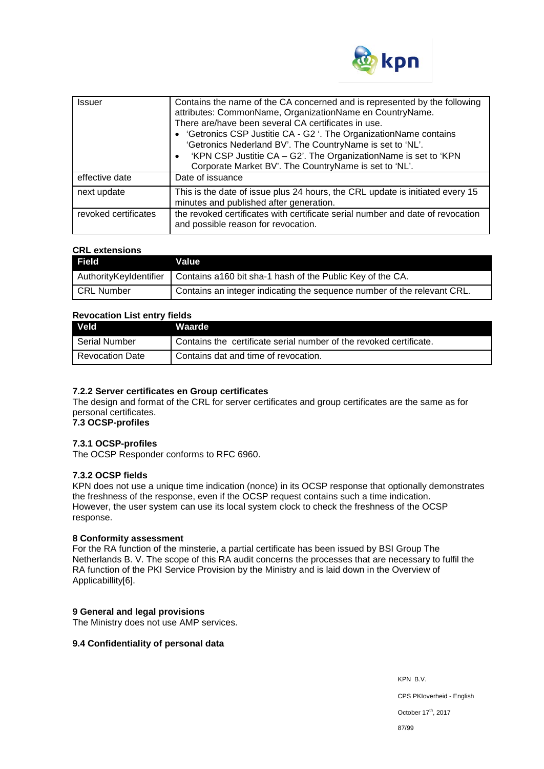

| <b>Issuer</b>        | Contains the name of the CA concerned and is represented by the following<br>attributes: CommonName, OrganizationName en CountryName.<br>There are/have been several CA certificates in use.<br>• 'Getronics CSP Justitie CA - G2 '. The OrganizationName contains<br>'Getronics Nederland BV'. The CountryName is set to 'NL'.<br>'KPN CSP Justitie CA - G2'. The OrganizationName is set to 'KPN<br>Corporate Market BV'. The CountryName is set to 'NL'. |
|----------------------|-------------------------------------------------------------------------------------------------------------------------------------------------------------------------------------------------------------------------------------------------------------------------------------------------------------------------------------------------------------------------------------------------------------------------------------------------------------|
| effective date       | Date of issuance                                                                                                                                                                                                                                                                                                                                                                                                                                            |
| next update          | This is the date of issue plus 24 hours, the CRL update is initiated every 15<br>minutes and published after generation.                                                                                                                                                                                                                                                                                                                                    |
| revoked certificates | the revoked certificates with certificate serial number and date of revocation<br>and possible reason for revocation.                                                                                                                                                                                                                                                                                                                                       |

## **CRL extensions**

| Field      | Value                                                                                |
|------------|--------------------------------------------------------------------------------------|
|            | Authority Keyldentifier   Contains a 160 bit sha-1 hash of the Public Key of the CA. |
| CRL Number | Contains an integer indicating the sequence number of the relevant CRL.              |

## **Revocation List entry fields**

| <b>Veld</b>            | <b>Waarde</b>                                                      |
|------------------------|--------------------------------------------------------------------|
| Serial Number          | Contains the certificate serial number of the revoked certificate. |
| <b>Revocation Date</b> | Contains dat and time of revocation.                               |

### **7.2.2 Server certificates en Group certificates**

The design and format of the CRL for server certificates and group certificates are the same as for personal certificates.

# **7.3 OCSP-profiles**

# **7.3.1 OCSP-profiles**

The OCSP Responder conforms to RFC 6960.

## **7.3.2 OCSP fields**

KPN does not use a unique time indication (nonce) in its OCSP response that optionally demonstrates the freshness of the response, even if the OCSP request contains such a time indication. However, the user system can use its local system clock to check the freshness of the OCSP response.

### **8 Conformity assessment**

For the RA function of the minsterie, a partial certificate has been issued by BSI Group The Netherlands B. V. The scope of this RA audit concerns the processes that are necessary to fulfil the RA function of the PKI Service Provision by the Ministry and is laid down in the Overview of Applicabillity[6].

### **9 General and legal provisions**

The Ministry does not use AMP services.

### **9.4 Confidentiality of personal data**

KPN B.V. CPS PKIoverheid - English October 17<sup>th</sup>, 2017 87/99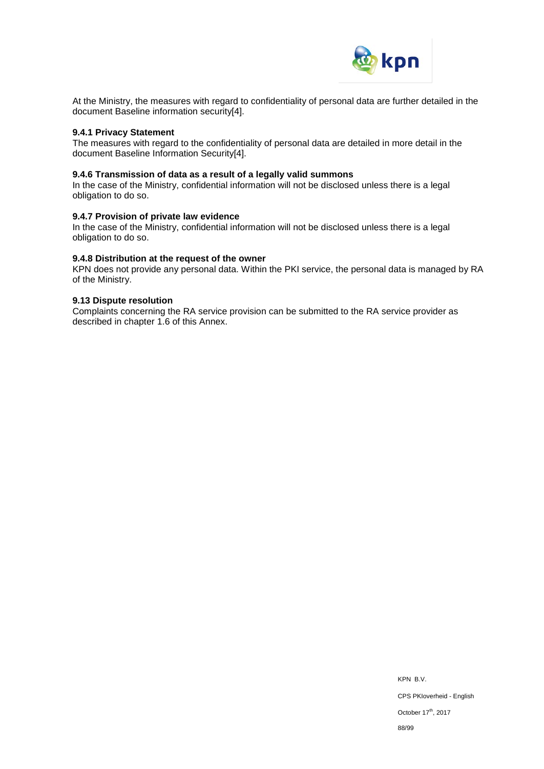

At the Ministry, the measures with regard to confidentiality of personal data are further detailed in the document Baseline information security[4].

### **9.4.1 Privacy Statement**

The measures with regard to the confidentiality of personal data are detailed in more detail in the document Baseline Information Security[4].

### **9.4.6 Transmission of data as a result of a legally valid summons**

In the case of the Ministry, confidential information will not be disclosed unless there is a legal obligation to do so.

### **9.4.7 Provision of private law evidence**

In the case of the Ministry, confidential information will not be disclosed unless there is a legal obligation to do so.

#### **9.4.8 Distribution at the request of the owner**

KPN does not provide any personal data. Within the PKI service, the personal data is managed by RA of the Ministry.

#### **9.13 Dispute resolution**

Complaints concerning the RA service provision can be submitted to the RA service provider as described in chapter 1.6 of this Annex.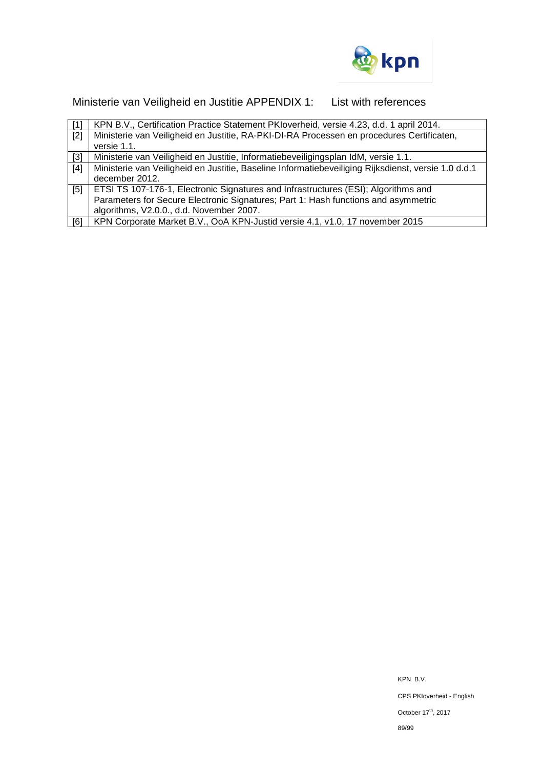

Ministerie van Veiligheid en Justitie APPENDIX 1: List with references

| [1]   | KPN B.V., Certification Practice Statement PKIoverheid, versie 4.23, d.d. 1 april 2014.             |
|-------|-----------------------------------------------------------------------------------------------------|
| $[2]$ | Ministerie van Veiligheid en Justitie, RA-PKI-DI-RA Processen en procedures Certificaten,           |
|       | versie 1.1.                                                                                         |
| $[3]$ | Ministerie van Veiligheid en Justitie, Informatiebeveiligingsplan IdM, versie 1.1.                  |
| [4]   | Ministerie van Veiligheid en Justitie, Baseline Informatiebeveiliging Rijksdienst, versie 1.0 d.d.1 |
|       | december 2012.                                                                                      |
| [5]   | ETSI TS 107-176-1, Electronic Signatures and Infrastructures (ESI); Algorithms and                  |
|       | Parameters for Secure Electronic Signatures; Part 1: Hash functions and asymmetric                  |
|       | algorithms, V2.0.0., d.d. November 2007.                                                            |
| [6]   | KPN Corporate Market B.V., OoA KPN-Justid versie 4.1, v1.0, 17 november 2015                        |

KPN B.V. CPS PKIoverheid - English October 17<sup>th</sup>, 2017 89/99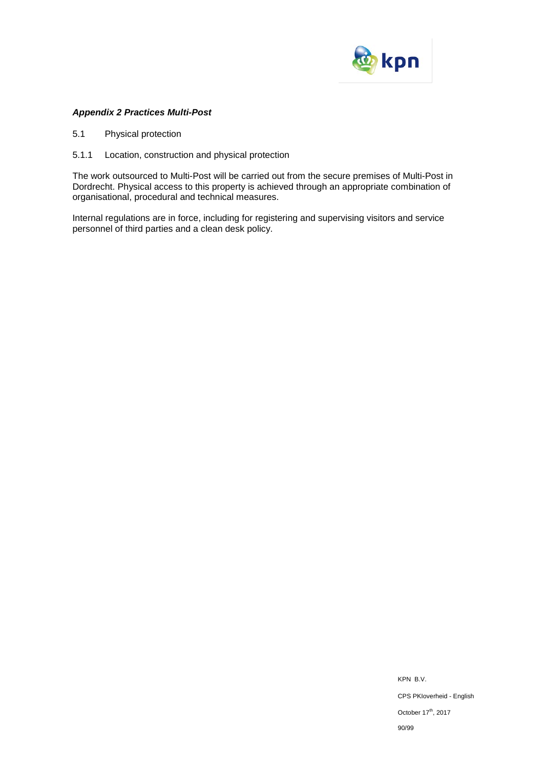

## *Appendix 2 Practices Multi-Post*

- 5.1 Physical protection
- 5.1.1 Location, construction and physical protection

The work outsourced to Multi-Post will be carried out from the secure premises of Multi-Post in Dordrecht. Physical access to this property is achieved through an appropriate combination of organisational, procedural and technical measures.

Internal regulations are in force, including for registering and supervising visitors and service personnel of third parties and a clean desk policy.

> KPN B.V. CPS PKIoverheid - English October 17<sup>th</sup>, 2017 90/99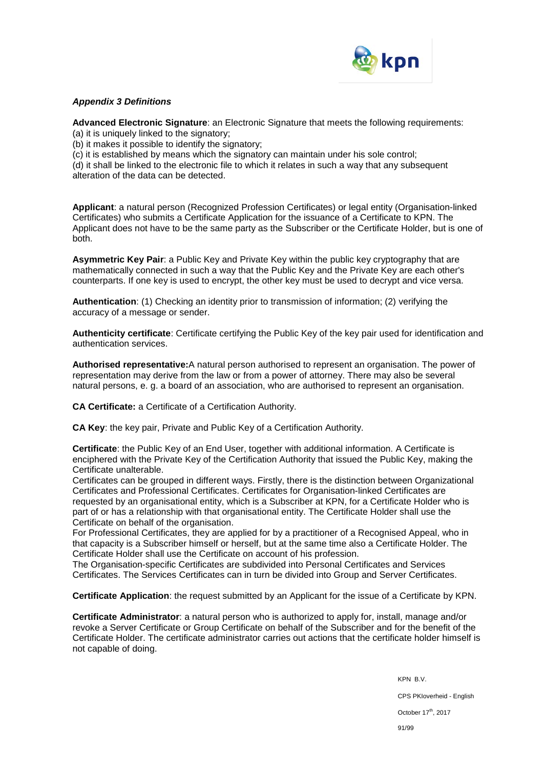

## *Appendix 3 Definitions*

**Advanced Electronic Signature**: an Electronic Signature that meets the following requirements: (a) it is uniquely linked to the signatory;

(b) it makes it possible to identify the signatory;

(c) it is established by means which the signatory can maintain under his sole control;

(d) it shall be linked to the electronic file to which it relates in such a way that any subsequent alteration of the data can be detected.

**Applicant**: a natural person (Recognized Profession Certificates) or legal entity (Organisation-linked Certificates) who submits a Certificate Application for the issuance of a Certificate to KPN. The Applicant does not have to be the same party as the Subscriber or the Certificate Holder, but is one of both.

**Asymmetric Key Pair**: a Public Key and Private Key within the public key cryptography that are mathematically connected in such a way that the Public Key and the Private Key are each other's counterparts. If one key is used to encrypt, the other key must be used to decrypt and vice versa.

**Authentication**: (1) Checking an identity prior to transmission of information; (2) verifying the accuracy of a message or sender.

**Authenticity certificate**: Certificate certifying the Public Key of the key pair used for identification and authentication services.

**Authorised representative:**A natural person authorised to represent an organisation. The power of representation may derive from the law or from a power of attorney. There may also be several natural persons, e. g. a board of an association, who are authorised to represent an organisation.

**CA Certificate:** a Certificate of a Certification Authority.

**CA Key**: the key pair, Private and Public Key of a Certification Authority.

**Certificate**: the Public Key of an End User, together with additional information. A Certificate is enciphered with the Private Key of the Certification Authority that issued the Public Key, making the Certificate unalterable.

Certificates can be grouped in different ways. Firstly, there is the distinction between Organizational Certificates and Professional Certificates. Certificates for Organisation-linked Certificates are requested by an organisational entity, which is a Subscriber at KPN, for a Certificate Holder who is part of or has a relationship with that organisational entity. The Certificate Holder shall use the Certificate on behalf of the organisation.

For Professional Certificates, they are applied for by a practitioner of a Recognised Appeal, who in that capacity is a Subscriber himself or herself, but at the same time also a Certificate Holder. The Certificate Holder shall use the Certificate on account of his profession.

The Organisation-specific Certificates are subdivided into Personal Certificates and Services Certificates. The Services Certificates can in turn be divided into Group and Server Certificates.

**Certificate Application**: the request submitted by an Applicant for the issue of a Certificate by KPN.

**Certificate Administrator**: a natural person who is authorized to apply for, install, manage and/or revoke a Server Certificate or Group Certificate on behalf of the Subscriber and for the benefit of the Certificate Holder. The certificate administrator carries out actions that the certificate holder himself is not capable of doing.

> KPN B.V. CPS PKIoverheid - English October 17<sup>th</sup>, 2017 91/99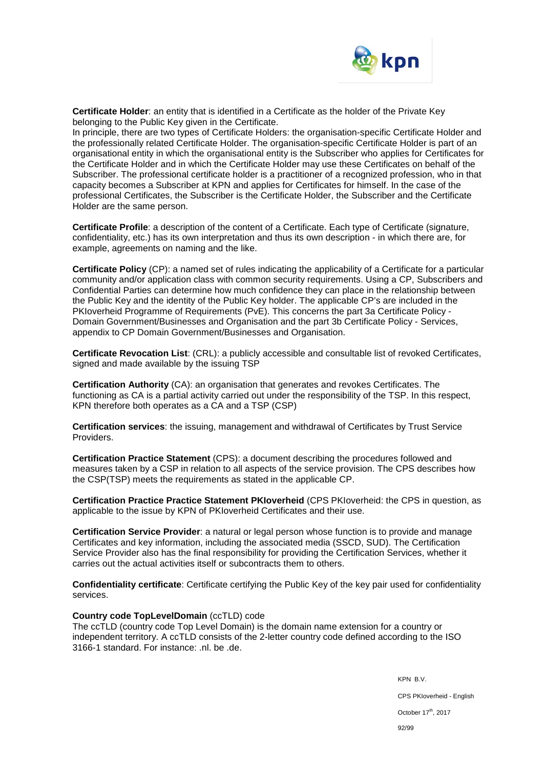

**Certificate Holder**: an entity that is identified in a Certificate as the holder of the Private Key belonging to the Public Key given in the Certificate.

In principle, there are two types of Certificate Holders: the organisation-specific Certificate Holder and the professionally related Certificate Holder. The organisation-specific Certificate Holder is part of an organisational entity in which the organisational entity is the Subscriber who applies for Certificates for the Certificate Holder and in which the Certificate Holder may use these Certificates on behalf of the Subscriber. The professional certificate holder is a practitioner of a recognized profession, who in that capacity becomes a Subscriber at KPN and applies for Certificates for himself. In the case of the professional Certificates, the Subscriber is the Certificate Holder, the Subscriber and the Certificate Holder are the same person.

**Certificate Profile**: a description of the content of a Certificate. Each type of Certificate (signature, confidentiality, etc.) has its own interpretation and thus its own description - in which there are, for example, agreements on naming and the like.

**Certificate Policy** (CP): a named set of rules indicating the applicability of a Certificate for a particular community and/or application class with common security requirements. Using a CP, Subscribers and Confidential Parties can determine how much confidence they can place in the relationship between the Public Key and the identity of the Public Key holder. The applicable CP's are included in the PKIoverheid Programme of Requirements (PvE). This concerns the part 3a Certificate Policy -Domain Government/Businesses and Organisation and the part 3b Certificate Policy - Services, appendix to CP Domain Government/Businesses and Organisation.

**Certificate Revocation List**: (CRL): a publicly accessible and consultable list of revoked Certificates, signed and made available by the issuing TSP

**Certification Authority** (CA): an organisation that generates and revokes Certificates. The functioning as CA is a partial activity carried out under the responsibility of the TSP. In this respect, KPN therefore both operates as a CA and a TSP (CSP)

**Certification services**: the issuing, management and withdrawal of Certificates by Trust Service Providers.

**Certification Practice Statement** (CPS): a document describing the procedures followed and measures taken by a CSP in relation to all aspects of the service provision. The CPS describes how the CSP(TSP) meets the requirements as stated in the applicable CP.

**Certification Practice Practice Statement PKIoverheid** (CPS PKIoverheid: the CPS in question, as applicable to the issue by KPN of PKIoverheid Certificates and their use.

**Certification Service Provider**: a natural or legal person whose function is to provide and manage Certificates and key information, including the associated media (SSCD, SUD). The Certification Service Provider also has the final responsibility for providing the Certification Services, whether it carries out the actual activities itself or subcontracts them to others.

**Confidentiality certificate**: Certificate certifying the Public Key of the key pair used for confidentiality services.

### **Country code TopLevelDomain** (ccTLD) code

The ccTLD (country code Top Level Domain) is the domain name extension for a country or independent territory. A ccTLD consists of the 2-letter country code defined according to the ISO 3166-1 standard. For instance: .nl. be .de.

> KPN B.V. CPS PKIoverheid - English October 17<sup>th</sup>, 2017 92/99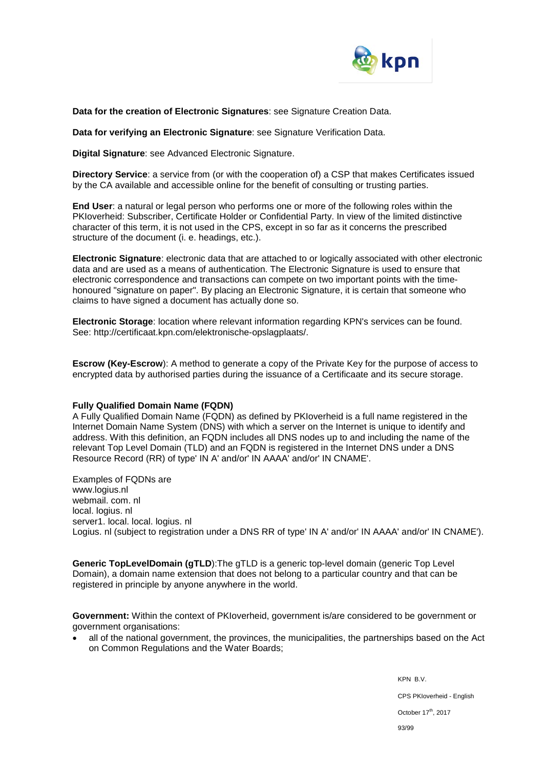

**Data for the creation of Electronic Signatures**: see Signature Creation Data.

**Data for verifying an Electronic Signature**: see Signature Verification Data.

**Digital Signature**: see Advanced Electronic Signature.

**Directory Service**: a service from (or with the cooperation of) a CSP that makes Certificates issued by the CA available and accessible online for the benefit of consulting or trusting parties.

**End User**: a natural or legal person who performs one or more of the following roles within the PKIoverheid: Subscriber, Certificate Holder or Confidential Party. In view of the limited distinctive character of this term, it is not used in the CPS, except in so far as it concerns the prescribed structure of the document (i. e. headings, etc.).

**Electronic Signature**: electronic data that are attached to or logically associated with other electronic data and are used as a means of authentication. The Electronic Signature is used to ensure that electronic correspondence and transactions can compete on two important points with the timehonoured "signature on paper". By placing an Electronic Signature, it is certain that someone who claims to have signed a document has actually done so.

**Electronic Storage**: location where relevant information regarding KPN's services can be found. See: http://certificaat.kpn.com/elektronische-opslagplaats/.

**Escrow (Key-Escrow**): A method to generate a copy of the Private Key for the purpose of access to encrypted data by authorised parties during the issuance of a Certificaate and its secure storage.

### **Fully Qualified Domain Name (FQDN)**

A Fully Qualified Domain Name (FQDN) as defined by PKIoverheid is a full name registered in the Internet Domain Name System (DNS) with which a server on the Internet is unique to identify and address. With this definition, an FQDN includes all DNS nodes up to and including the name of the relevant Top Level Domain (TLD) and an FQDN is registered in the Internet DNS under a DNS Resource Record (RR) of type' IN A' and/or' IN AAAA' and/or' IN CNAME'.

Examples of FQDNs are www.logius.nl webmail. com. nl local. logius. nl server1. local. local. logius. nl Logius. nl (subject to registration under a DNS RR of type' IN A' and/or' IN AAAA' and/or' IN CNAME').

**Generic TopLevelDomain (gTLD**):The gTLD is a generic top-level domain (generic Top Level Domain), a domain name extension that does not belong to a particular country and that can be registered in principle by anyone anywhere in the world.

**Government:** Within the context of PKIoverheid, government is/are considered to be government or government organisations:

• all of the national government, the provinces, the municipalities, the partnerships based on the Act on Common Regulations and the Water Boards;

> KPN B.V. CPS PKIoverheid - English October 17<sup>th</sup>, 2017 93/99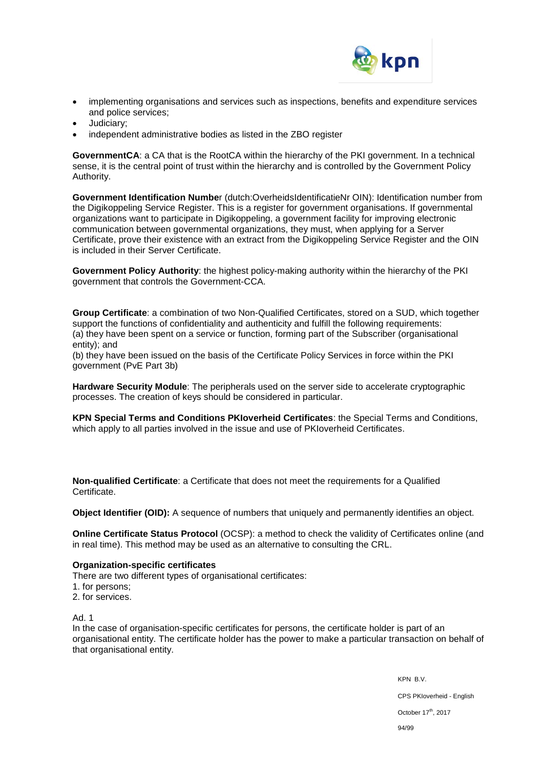

- implementing organisations and services such as inspections, benefits and expenditure services and police services;
- Judiciary;
- independent administrative bodies as listed in the ZBO register

**GovernmentCA**: a CA that is the RootCA within the hierarchy of the PKI government. In a technical sense, it is the central point of trust within the hierarchy and is controlled by the Government Policy Authority.

**Government Identification Numbe**r (dutch:OverheidsIdentificatieNr OIN): Identification number from the Digikoppeling Service Register. This is a register for government organisations. If governmental organizations want to participate in Digikoppeling, a government facility for improving electronic communication between governmental organizations, they must, when applying for a Server Certificate, prove their existence with an extract from the Digikoppeling Service Register and the OIN is included in their Server Certificate.

**Government Policy Authority**: the highest policy-making authority within the hierarchy of the PKI government that controls the Government-CCA.

**Group Certificate**: a combination of two Non-Qualified Certificates, stored on a SUD, which together support the functions of confidentiality and authenticity and fulfill the following requirements: (a) they have been spent on a service or function, forming part of the Subscriber (organisational entity); and

(b) they have been issued on the basis of the Certificate Policy Services in force within the PKI government (PvE Part 3b)

**Hardware Security Module**: The peripherals used on the server side to accelerate cryptographic processes. The creation of keys should be considered in particular.

**KPN Special Terms and Conditions PKIoverheid Certificates**: the Special Terms and Conditions, which apply to all parties involved in the issue and use of PKIoverheid Certificates.

**Non-qualified Certificate**: a Certificate that does not meet the requirements for a Qualified Certificate.

**Object Identifier (OID):** A sequence of numbers that uniquely and permanently identifies an object.

**Online Certificate Status Protocol** (OCSP): a method to check the validity of Certificates online (and in real time). This method may be used as an alternative to consulting the CRL.

### **Organization-specific certificates**

There are two different types of organisational certificates:

- 1. for persons;
- 2. for services.

Ad. 1

In the case of organisation-specific certificates for persons, the certificate holder is part of an organisational entity. The certificate holder has the power to make a particular transaction on behalf of that organisational entity.

> KPN B.V. CPS PKIoverheid - English October 17<sup>th</sup>, 2017 94/99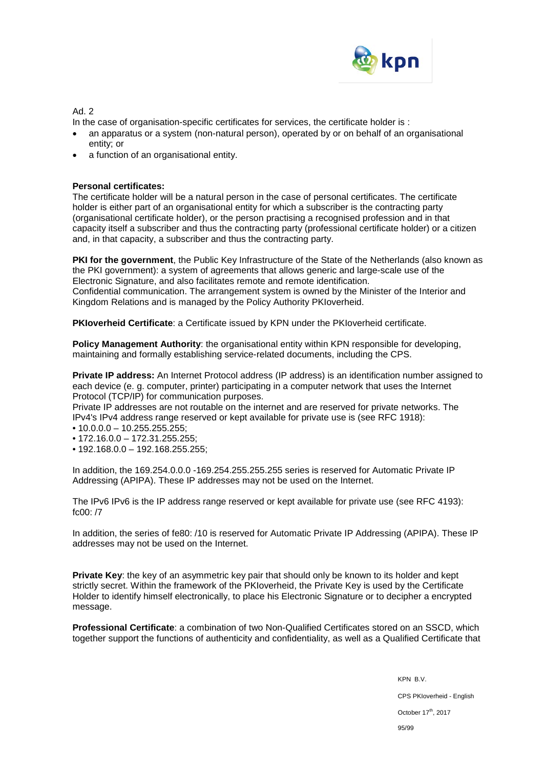

Ad. 2

In the case of organisation-specific certificates for services, the certificate holder is :

- an apparatus or a system (non-natural person), operated by or on behalf of an organisational entity; or
- a function of an organisational entity.

## **Personal certificates:**

The certificate holder will be a natural person in the case of personal certificates. The certificate holder is either part of an organisational entity for which a subscriber is the contracting party (organisational certificate holder), or the person practising a recognised profession and in that capacity itself a subscriber and thus the contracting party (professional certificate holder) or a citizen and, in that capacity, a subscriber and thus the contracting party.

**PKI for the government**, the Public Key Infrastructure of the State of the Netherlands (also known as the PKI government): a system of agreements that allows generic and large-scale use of the Electronic Signature, and also facilitates remote and remote identification. Confidential communication. The arrangement system is owned by the Minister of the Interior and Kingdom Relations and is managed by the Policy Authority PKIoverheid.

**PKIoverheid Certificate**: a Certificate issued by KPN under the PKIoverheid certificate.

**Policy Management Authority**: the organisational entity within KPN responsible for developing, maintaining and formally establishing service-related documents, including the CPS.

**Private IP address:** An Internet Protocol address (IP address) is an identification number assigned to each device (e. g. computer, printer) participating in a computer network that uses the Internet Protocol (TCP/IP) for communication purposes.

Private IP addresses are not routable on the internet and are reserved for private networks. The IPv4's IPv4 address range reserved or kept available for private use is (see RFC 1918):

- 10.0.0.0 10.255.255.255;
- 172.16.0.0 172.31.255.255;
- 192.168.0.0 192.168.255.255;

In addition, the 169.254.0.0.0 -169.254.255.255.255 series is reserved for Automatic Private IP Addressing (APIPA). These IP addresses may not be used on the Internet.

The IPv6 IPv6 is the IP address range reserved or kept available for private use (see RFC 4193): fc00: /7

In addition, the series of fe80: /10 is reserved for Automatic Private IP Addressing (APIPA). These IP addresses may not be used on the Internet.

**Private Key**: the key of an asymmetric key pair that should only be known to its holder and kept strictly secret. Within the framework of the PKIoverheid, the Private Key is used by the Certificate Holder to identify himself electronically, to place his Electronic Signature or to decipher a encrypted message.

**Professional Certificate**: a combination of two Non-Qualified Certificates stored on an SSCD, which together support the functions of authenticity and confidentiality, as well as a Qualified Certificate that

> KPN B.V. CPS PKIoverheid - English October 17<sup>th</sup>, 2017 95/99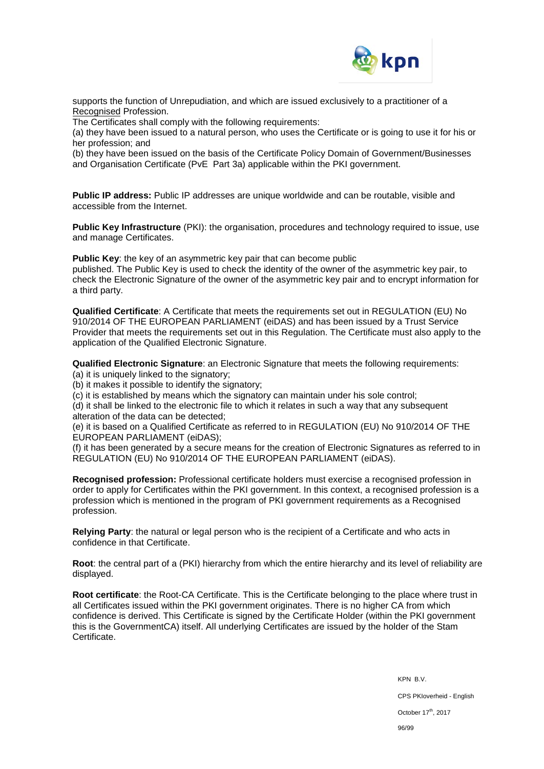

supports the function of Unrepudiation, and which are issued exclusively to a practitioner of a Recognised Profession.

The Certificates shall comply with the following requirements:

(a) they have been issued to a natural person, who uses the Certificate or is going to use it for his or her profession; and

(b) they have been issued on the basis of the Certificate Policy Domain of Government/Businesses and Organisation Certificate (PvE Part 3a) applicable within the PKI government.

**Public IP address:** Public IP addresses are unique worldwide and can be routable, visible and accessible from the Internet.

**Public Key Infrastructure** (PKI): the organisation, procedures and technology required to issue, use and manage Certificates.

**Public Key:** the key of an asymmetric key pair that can become public published. The Public Key is used to check the identity of the owner of the asymmetric key pair, to check the Electronic Signature of the owner of the asymmetric key pair and to encrypt information for a third party.

**Qualified Certificate**: A Certificate that meets the requirements set out in REGULATION (EU) No 910/2014 OF THE EUROPEAN PARLIAMENT (eiDAS) and has been issued by a Trust Service Provider that meets the requirements set out in this Regulation. The Certificate must also apply to the application of the Qualified Electronic Signature.

**Qualified Electronic Signature**: an Electronic Signature that meets the following requirements:

(a) it is uniquely linked to the signatory;

(b) it makes it possible to identify the signatory;

(c) it is established by means which the signatory can maintain under his sole control;

(d) it shall be linked to the electronic file to which it relates in such a way that any subsequent alteration of the data can be detected;

(e) it is based on a Qualified Certificate as referred to in REGULATION (EU) No 910/2014 OF THE EUROPEAN PARLIAMENT (eiDAS);

(f) it has been generated by a secure means for the creation of Electronic Signatures as referred to in REGULATION (EU) No 910/2014 OF THE EUROPEAN PARLIAMENT (eiDAS).

**Recognised profession:** Professional certificate holders must exercise a recognised profession in order to apply for Certificates within the PKI government. In this context, a recognised profession is a profession which is mentioned in the program of PKI government requirements as a Recognised profession.

**Relying Party**: the natural or legal person who is the recipient of a Certificate and who acts in confidence in that Certificate.

**Root**: the central part of a (PKI) hierarchy from which the entire hierarchy and its level of reliability are displayed.

**Root certificate**: the Root-CA Certificate. This is the Certificate belonging to the place where trust in all Certificates issued within the PKI government originates. There is no higher CA from which confidence is derived. This Certificate is signed by the Certificate Holder (within the PKI government this is the GovernmentCA) itself. All underlying Certificates are issued by the holder of the Stam Certificate.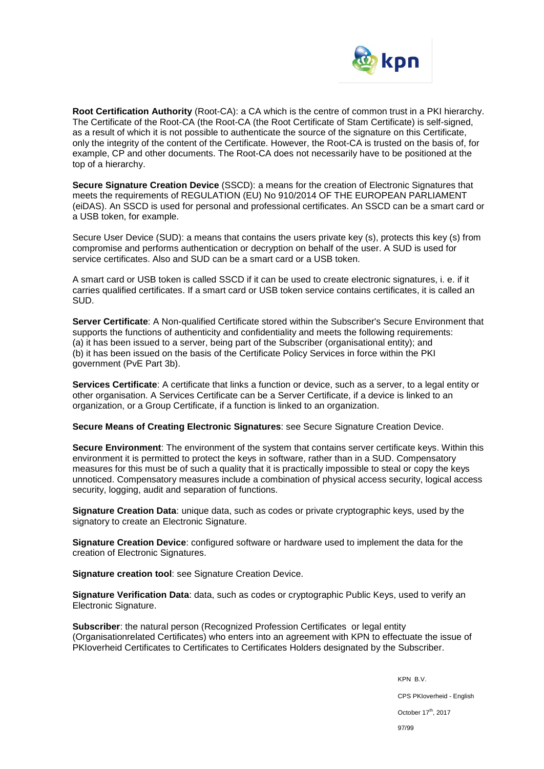

**Root Certification Authority** (Root-CA): a CA which is the centre of common trust in a PKI hierarchy. The Certificate of the Root-CA (the Root-CA (the Root Certificate of Stam Certificate) is self-signed, as a result of which it is not possible to authenticate the source of the signature on this Certificate, only the integrity of the content of the Certificate. However, the Root-CA is trusted on the basis of, for example, CP and other documents. The Root-CA does not necessarily have to be positioned at the top of a hierarchy.

**Secure Signature Creation Device** (SSCD): a means for the creation of Electronic Signatures that meets the requirements of REGULATION (EU) No 910/2014 OF THE EUROPEAN PARLIAMENT (eiDAS). An SSCD is used for personal and professional certificates. An SSCD can be a smart card or a USB token, for example.

Secure User Device (SUD): a means that contains the users private key (s), protects this key (s) from compromise and performs authentication or decryption on behalf of the user. A SUD is used for service certificates. Also and SUD can be a smart card or a USB token.

A smart card or USB token is called SSCD if it can be used to create electronic signatures, i. e. if it carries qualified certificates. If a smart card or USB token service contains certificates, it is called an SUD.

**Server Certificate**: A Non-qualified Certificate stored within the Subscriber's Secure Environment that supports the functions of authenticity and confidentiality and meets the following requirements: (a) it has been issued to a server, being part of the Subscriber (organisational entity); and (b) it has been issued on the basis of the Certificate Policy Services in force within the PKI government (PvE Part 3b).

**Services Certificate**: A certificate that links a function or device, such as a server, to a legal entity or other organisation. A Services Certificate can be a Server Certificate, if a device is linked to an organization, or a Group Certificate, if a function is linked to an organization.

**Secure Means of Creating Electronic Signatures**: see Secure Signature Creation Device.

**Secure Environment**: The environment of the system that contains server certificate keys. Within this environment it is permitted to protect the keys in software, rather than in a SUD. Compensatory measures for this must be of such a quality that it is practically impossible to steal or copy the keys unnoticed. Compensatory measures include a combination of physical access security, logical access security, logging, audit and separation of functions.

**Signature Creation Data**: unique data, such as codes or private cryptographic keys, used by the signatory to create an Electronic Signature.

**Signature Creation Device**: configured software or hardware used to implement the data for the creation of Electronic Signatures.

**Signature creation tool**: see Signature Creation Device.

**Signature Verification Data**: data, such as codes or cryptographic Public Keys, used to verify an Electronic Signature.

**Subscriber**: the natural person (Recognized Profession Certificates or legal entity (Organisationrelated Certificates) who enters into an agreement with KPN to effectuate the issue of PKIoverheid Certificates to Certificates to Certificates Holders designated by the Subscriber.

> KPN B.V. CPS PKIoverheid - English October 17<sup>th</sup>, 2017 97/99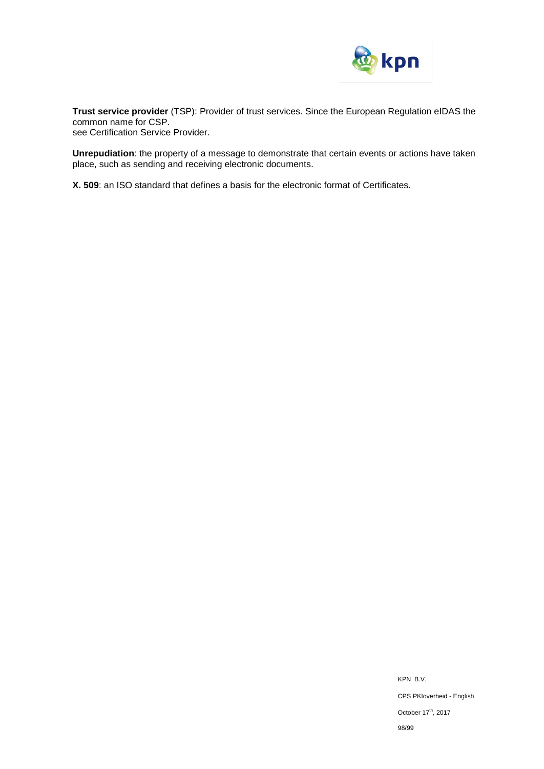

**Trust service provider** (TSP): Provider of trust services. Since the European Regulation eIDAS the common name for CSP.

see Certification Service Provider.

**Unrepudiation**: the property of a message to demonstrate that certain events or actions have taken place, such as sending and receiving electronic documents.

**X. 509**: an ISO standard that defines a basis for the electronic format of Certificates.

KPN B.V. CPS PKIoverheid - English October 17<sup>th</sup>, 2017 98/99